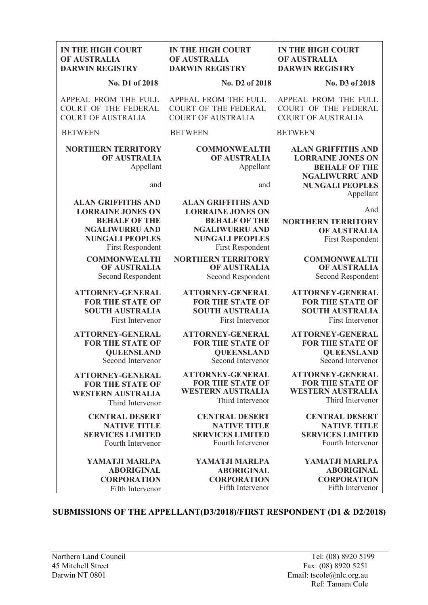| <b>IN THE HIGH COURT</b>                                                                                                                             | <b>IN THE HIGH COURT</b>                                                                                                                             | <b>IN THE HIGH COURT</b>                                                                                                                      |
|------------------------------------------------------------------------------------------------------------------------------------------------------|------------------------------------------------------------------------------------------------------------------------------------------------------|-----------------------------------------------------------------------------------------------------------------------------------------------|
| OF AUSTRALIA                                                                                                                                         | OF AUSTRALIA                                                                                                                                         | OF AUSTRALIA                                                                                                                                  |
| <b>DARWIN REGISTRY</b>                                                                                                                               | <b>DARWIN REGISTRY</b>                                                                                                                               | <b>DARWIN REGISTRY</b>                                                                                                                        |
| No. D1 of 2018                                                                                                                                       | No. D2 of 2018                                                                                                                                       | No. D3 of 2018                                                                                                                                |
| APPEAL FROM THE FULL                                                                                                                                 | APPEAL FROM THE FULL                                                                                                                                 | APPEAL FROM THE FULL                                                                                                                          |
| COURT OF THE FEDERAL                                                                                                                                 | <b>COURT OF THE FEDERAL</b>                                                                                                                          | COURT OF THE FEDERAL                                                                                                                          |
| <b>COURT OF AUSTRALIA</b>                                                                                                                            | <b>COURT OF AUSTRALIA</b>                                                                                                                            | <b>COURT OF AUSTRALIA</b>                                                                                                                     |
| <b>BETWEEN</b>                                                                                                                                       | <b>BETWEEN</b>                                                                                                                                       | <b>BETWEEN</b>                                                                                                                                |
| <b>NORTHERN TERRITORY</b><br>OF AUSTRALIA<br>Appellant<br>and                                                                                        | <b>COMMONWEALTH</b><br><b>OF AUSTRALIA</b><br>Appellant<br>and                                                                                       | <b>ALAN GRIFFITHS AND</b><br><b>LORRAINE JONES ON</b><br><b>BEHALF OF THE</b><br><b>NGALIWURRU AND</b><br><b>NUNGALI PEOPLES</b><br>Appellant |
| <b>ALAN GRIFFITHS AND</b><br><b>LORRAINE JONES ON</b><br><b>BEHALF OF THE</b><br><b>NGALIWURRU AND</b><br><b>NUNGALI PEOPLES</b><br>First Respondent | <b>ALAN GRIFFITHS AND</b><br><b>LORRAINE JONES ON</b><br><b>BEHALF OF THE</b><br><b>NGALIWURRU AND</b><br><b>NUNGALI PEOPLES</b><br>First Respondent | And<br><b>NORTHERN TERRITORY</b><br><b>OF AUSTRALIA</b><br><b>First Respondent</b>                                                            |
| <b>COMMONWEALTH</b>                                                                                                                                  | <b>NORTHERN TERRITORY</b>                                                                                                                            | <b>COMMONWEALTH</b>                                                                                                                           |
| OF AUSTRALIA                                                                                                                                         | OF AUSTRALIA                                                                                                                                         | OF AUSTRALIA                                                                                                                                  |
| Second Respondent                                                                                                                                    | Second Respondent                                                                                                                                    | Second Respondent                                                                                                                             |
| <b>ATTORNEY-GENERAL</b>                                                                                                                              | <b>ATTORNEY-GENERAL</b>                                                                                                                              | <b>ATTORNEY-GENERAL</b>                                                                                                                       |
| <b>FOR THE STATE OF</b>                                                                                                                              | <b>FOR THE STATE OF</b>                                                                                                                              | <b>FOR THE STATE OF</b>                                                                                                                       |
| <b>SOUTH AUSTRALIA</b>                                                                                                                               | <b>SOUTH AUSTRALIA</b>                                                                                                                               | <b>SOUTH AUSTRALIA</b>                                                                                                                        |
| First Intervenor                                                                                                                                     | <b>First Intervenor</b>                                                                                                                              | First Intervenor                                                                                                                              |
| <b>ATTORNEY-GENERAL</b>                                                                                                                              | <b>ATTORNEY-GENERAL</b>                                                                                                                              | <b>ATTORNEY-GENERAL</b>                                                                                                                       |
| <b>FOR THE STATE OF</b>                                                                                                                              | <b>FOR THE STATE OF</b>                                                                                                                              | <b>FOR THE STATE OF</b>                                                                                                                       |
| <b>QUEENSLAND</b>                                                                                                                                    | <b>QUEENSLAND</b>                                                                                                                                    | <b>QUEENSLAND</b>                                                                                                                             |
| Second Intervenor                                                                                                                                    | Second Intervenor                                                                                                                                    | Second Intervenor                                                                                                                             |
| <b>ATTORNEY-GENERAL</b>                                                                                                                              | <b>ATTORNEY-GENERAL</b>                                                                                                                              | <b>ATTORNEY-GENERAL</b>                                                                                                                       |
| <b>FOR THE STATE OF</b>                                                                                                                              | <b>FOR THE STATE OF</b>                                                                                                                              | <b>FOR THE STATE OF</b>                                                                                                                       |
| <b>WESTERN AUSTRALIA</b>                                                                                                                             | <b>WESTERN AUSTRALIA</b>                                                                                                                             | <b>WESTERN AUSTRALIA</b>                                                                                                                      |
| Third Intervenor                                                                                                                                     | Third Intervenor                                                                                                                                     | Third Intervenor                                                                                                                              |
| <b>CENTRAL DESERT</b>                                                                                                                                | <b>CENTRAL DESERT</b>                                                                                                                                | <b>CENTRAL DESERT</b>                                                                                                                         |
| <b>NATIVE TITLE</b>                                                                                                                                  | <b>NATIVE TITLE</b>                                                                                                                                  | <b>NATIVE TITLE</b>                                                                                                                           |
| <b>SERVICES LIMITED</b>                                                                                                                              | <b>SERVICES LIMITED</b>                                                                                                                              | <b>SERVICES LIMITED</b>                                                                                                                       |
| Fourth Intervenor                                                                                                                                    | Fourth Intervenor                                                                                                                                    | Fourth Intervenor                                                                                                                             |
| YAMATJI MARLPA                                                                                                                                       | YAMATJI MARLPA                                                                                                                                       | YAMATJI MARLPA                                                                                                                                |
| <b>ABORIGINAL</b>                                                                                                                                    | <b>ABORIGINAL</b>                                                                                                                                    | <b>ABORIGINAL</b>                                                                                                                             |
| <b>CORPORATION</b>                                                                                                                                   | <b>CORPORATION</b>                                                                                                                                   | <b>CORPORATION</b>                                                                                                                            |
| Fifth Intervenor                                                                                                                                     | Fifth Intervenor                                                                                                                                     | Fifth Intervenor                                                                                                                              |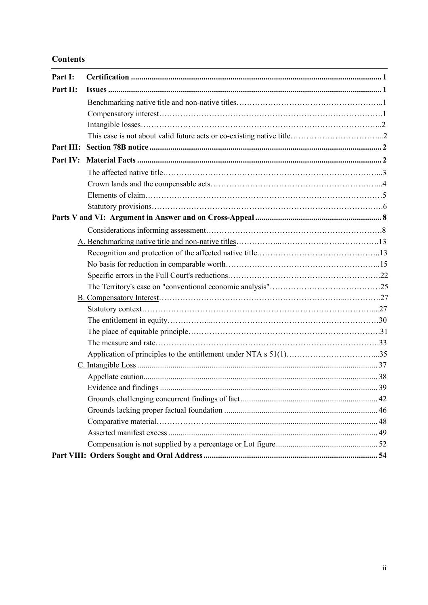## **Contents**

| Part I:   |  |
|-----------|--|
| Part II:  |  |
|           |  |
|           |  |
|           |  |
|           |  |
| Part III: |  |
| Part IV:  |  |
|           |  |
|           |  |
|           |  |
|           |  |
|           |  |
|           |  |
|           |  |
|           |  |
|           |  |
|           |  |
|           |  |
|           |  |
|           |  |
|           |  |
|           |  |
|           |  |
|           |  |
|           |  |
|           |  |
|           |  |
|           |  |
|           |  |
|           |  |
|           |  |
|           |  |
|           |  |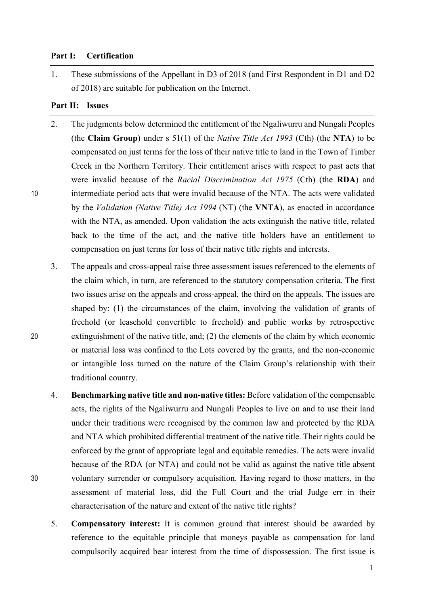### **Part I: Certification**

1. These submissions of the Appellant in D3 of 2018 (and First Respondent in D1 and D2 of 2018) are suitable for publication on the Internet.

## **Part II: Issues**

- 2. The judgments below determined the entitlement of the Ngaliwurru and Nungali Peoples (the **Claim Group**) under s 51(1) of the *Native Title Act 1993* (Cth) (the **NTA**) to be compensated on just terms for the loss of their native title to land in the Town of Timber Creek in the Northern Territory. Their entitlement arises with respect to past acts that were invalid because of the *Racial Discrimination Act 1975* (Cth) (the **RDA**) and 10 intermediate period acts that were invalid because of the NTA. The acts were validated by the *Validation (Native Title) Act 1994* (NT) (the **VNTA**), as enacted in accordance with the NTA, as amended. Upon validation the acts extinguish the native title, related back to the time of the act, and the native title holders have an entitlement to compensation on just terms for loss of their native title rights and interests.
- 3. The appeals and cross-appeal raise three assessment issues referenced to the elements of the claim which, in turn, are referenced to the statutory compensation criteria. The first two issues arise on the appeals and cross-appeal, the third on the appeals. The issues are shaped by: (1) the circumstances of the claim, involving the validation of grants of freehold (or leasehold convertible to freehold) and public works by retrospective 20 extinguishment of the native title, and; (2) the elements of the claim by which economic or material loss was confined to the Lots covered by the grants, and the non-economic or intangible loss turned on the nature of the Claim Group's relationship with their traditional country.
- 4. **Benchmarking native title and non-native titles:** Before validation of the compensable acts, the rights of the Ngaliwurru and Nungali Peoples to live on and to use their land under their traditions were recognised by the common law and protected by the RDA and NTA which prohibited differential treatment of the native title. Their rights could be enforced by the grant of appropriate legal and equitable remedies. The acts were invalid because of the RDA (or NTA) and could not be valid as against the native title absent 30 voluntary surrender or compulsory acquisition. Having regard to those matters, in the assessment of material loss, did the Full Court and the trial Judge err in their characterisation of the nature and extent of the native title rights?
	- 5. **Compensatory interest:** It is common ground that interest should be awarded by reference to the equitable principle that moneys payable as compensation for land compulsorily acquired bear interest from the time of dispossession. The first issue is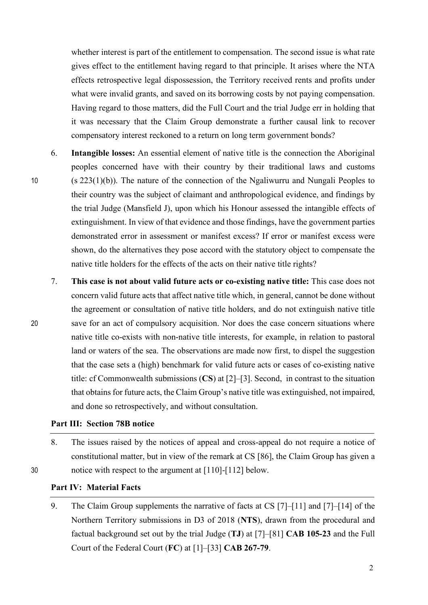whether interest is part of the entitlement to compensation. The second issue is what rate gives effect to the entitlement having regard to that principle. It arises where the NTA effects retrospective legal dispossession, the Territory received rents and profits under what were invalid grants, and saved on its borrowing costs by not paying compensation. Having regard to those matters, did the Full Court and the trial Judge err in holding that it was necessary that the Claim Group demonstrate a further causal link to recover compensatory interest reckoned to a return on long term government bonds?

- 6. **Intangible losses:** An essential element of native title is the connection the Aboriginal peoples concerned have with their country by their traditional laws and customs 10 (s 223(1)(b)). The nature of the connection of the Ngaliwurru and Nungali Peoples to their country was the subject of claimant and anthropological evidence, and findings by the trial Judge (Mansfield J), upon which his Honour assessed the intangible effects of extinguishment. In view of that evidence and those findings, have the government parties demonstrated error in assessment or manifest excess? If error or manifest excess were shown, do the alternatives they pose accord with the statutory object to compensate the native title holders for the effects of the acts on their native title rights?
- 7. **This case is not about valid future acts or co-existing native title:** This case does not concern valid future acts that affect native title which, in general, cannot be done without the agreement or consultation of native title holders, and do not extinguish native title 20 save for an act of compulsory acquisition. Nor does the case concern situations where native title co-exists with non-native title interests, for example, in relation to pastoral land or waters of the sea. The observations are made now first, to dispel the suggestion that the case sets a (high) benchmark for valid future acts or cases of co-existing native title: cf Commonwealth submissions (**CS**) at [2]–[3]. Second, in contrast to the situation that obtains for future acts, the Claim Group's native title was extinguished, not impaired, and done so retrospectively, and without consultation.

## **Part III: Section 78B notice**

8. The issues raised by the notices of appeal and cross-appeal do not require a notice of constitutional matter, but in view of the remark at CS [86], the Claim Group has given a 30 notice with respect to the argument at [110]-[112] below.

## **Part IV: Material Facts**

9. The Claim Group supplements the narrative of facts at CS [7]–[11] and [7]–[14] of the Northern Territory submissions in D3 of 2018 (**NTS**), drawn from the procedural and factual background set out by the trial Judge (**TJ**) at [7]–[81] **CAB 105-23** and the Full Court of the Federal Court (**FC**) at [1]–[33] **CAB 267-79**.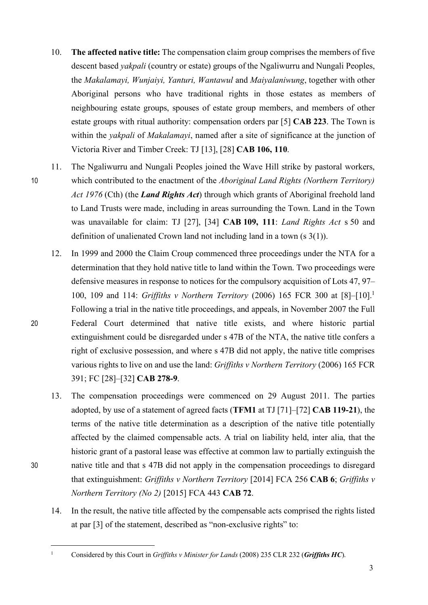- 10. **The affected native title:** The compensation claim group comprises the members of five descent based *yakpali* (country or estate) groups of the Ngaliwurru and Nungali Peoples, the *Makalamayi, Wunjaiyi, Yanturi, Wantawul* and *Maiyalaniwung*, together with other Aboriginal persons who have traditional rights in those estates as members of neighbouring estate groups, spouses of estate group members, and members of other estate groups with ritual authority: compensation orders par [5] **CAB 223**. The Town is within the *yakpali* of *Makalamayi*, named after a site of significance at the junction of Victoria River and Timber Creek: TJ [13], [28] **CAB 106, 110**.
- 11. The Ngaliwurru and Nungali Peoples joined the Wave Hill strike by pastoral workers, 10 which contributed to the enactment of the *Aboriginal Land Rights (Northern Territory) Act 1976* (Cth) (the *Land Rights Act*) through which grants of Aboriginal freehold land to Land Trusts were made, including in areas surrounding the Town. Land in the Town was unavailable for claim: TJ [27], [34] **CAB 109, 111**: *Land Rights Act* s 50 and definition of unalienated Crown land not including land in a town (s 3(1)).
- 12. In 1999 and 2000 the Claim Croup commenced three proceedings under the NTA for a determination that they hold native title to land within the Town. Two proceedings were defensive measures in response to notices for the compulsory acquisition of Lots 47, 97– 100, 109 and 114: *Griffiths v Northern Territory* (2006) 165 FCR 300 at [8]–[10].1 Following a trial in the native title proceedings, and appeals, in November 2007 the Full 20 Federal Court determined that native title exists, and where historic partial extinguishment could be disregarded under s 47B of the NTA, the native title confers a right of exclusive possession, and where s 47B did not apply, the native title comprises various rights to live on and use the land: *Griffiths v Northern Territory* (2006) 165 FCR 391; FC [28]–[32] **CAB 278-9**.
- 13. The compensation proceedings were commenced on 29 August 2011. The parties adopted, by use of a statement of agreed facts (**TFM1** at TJ [71]–[72] **CAB 119-21**), the terms of the native title determination as a description of the native title potentially affected by the claimed compensable acts. A trial on liability held, inter alia, that the historic grant of a pastoral lease was effective at common law to partially extinguish the 30 native title and that s 47B did not apply in the compensation proceedings to disregard that extinguishment: *Griffiths v Northern Territory* [2014] FCA 256 **CAB 6**; *Griffiths v Northern Territory (No 2)* [2015] FCA 443 **CAB 72**.
	- 14. In the result, the native title affected by the compensable acts comprised the rights listed at par [3] of the statement, described as "non-exclusive rights" to:

 <sup>1</sup> Considered by this Court in *Griffiths v Minister for Lands* (2008) 235 CLR 232 (*Griffiths HC*).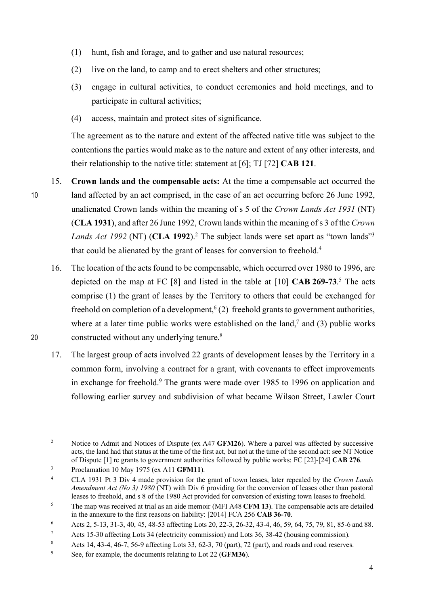- (1) hunt, fish and forage, and to gather and use natural resources;
- (2) live on the land, to camp and to erect shelters and other structures;
- (3) engage in cultural activities, to conduct ceremonies and hold meetings, and to participate in cultural activities;
- (4) access, maintain and protect sites of significance.

The agreement as to the nature and extent of the affected native title was subject to the contentions the parties would make as to the nature and extent of any other interests, and their relationship to the native title: statement at [6]; TJ [72] **CAB 121**.

- 15. **Crown lands and the compensable acts:** At the time a compensable act occurred the 10 land affected by an act comprised, in the case of an act occurring before 26 June 1992, unalienated Crown lands within the meaning of s 5 of the *Crown Lands Act 1931* (NT) (**CLA 1931**), and after 26 June 1992, Crown lands within the meaning of s 3 of the *Crown Lands Act 1992* (NT) (**CLA 1992**).2 The subject lands were set apart as "town lands"3 that could be alienated by the grant of leases for conversion to freehold.4
- 16. The location of the acts found to be compensable, which occurred over 1980 to 1996, are depicted on the map at FC [8] and listed in the table at [10] **CAB 269-73**. <sup>5</sup> The acts comprise (1) the grant of leases by the Territory to others that could be exchanged for freehold on completion of a development,<sup>6</sup> (2) freehold grants to government authorities, where at a later time public works were established on the land,<sup>7</sup> and (3) public works constructed without any underlying tenure. <sup>8</sup> 20
	- 17. The largest group of acts involved 22 grants of development leases by the Territory in a common form, involving a contract for a grant, with covenants to effect improvements in exchange for freehold.<sup>9</sup> The grants were made over 1985 to 1996 on application and following earlier survey and subdivision of what became Wilson Street, Lawler Court

<sup>9</sup> See, for example, the documents relating to Lot 22 (**GFM36**).

<sup>&</sup>lt;sup>2</sup> Notice to Admit and Notices of Dispute (ex A47 **GFM26**). Where a parcel was affected by successive acts, the land had that status at the time of the first act, but not at the time of the second act: see NT Notice of Dispute [1] re grants to government authorities followed by public works: FC [22]-[24] **CAB 276**.

<sup>3</sup> Proclamation 10 May 1975 (ex A11 **GFM11**).

<sup>4</sup> CLA 1931 Pt 3 Div 4 made provision for the grant of town leases, later repealed by the *Crown Lands Amendment Act (No 3) 1980* (NT) with Div 6 providing for the conversion of leases other than pastoral leases to freehold, and s 8 of the 1980 Act provided for conversion of existing town leases to freehold.

<sup>5</sup> The map was received at trial as an aide memoir (MFI A48 **CFM 13**). The compensable acts are detailed in the annexure to the first reasons on liability: [2014] FCA 256 **CAB 36-70**.

<sup>6</sup> Acts 2, 5-13, 31-3, 40, 45, 48-53 affecting Lots 20, 22-3, 26-32, 43-4, 46, 59, 64, 75, 79, 81, 85-6 and 88.

<sup>7</sup> Acts 15-30 affecting Lots 34 (electricity commission) and Lots 36, 38-42 (housing commission).

<sup>8</sup> Acts 14, 43-4, 46-7, 56-9 affecting Lots 33, 62-3, 70 (part), 72 (part), and roads and road reserves.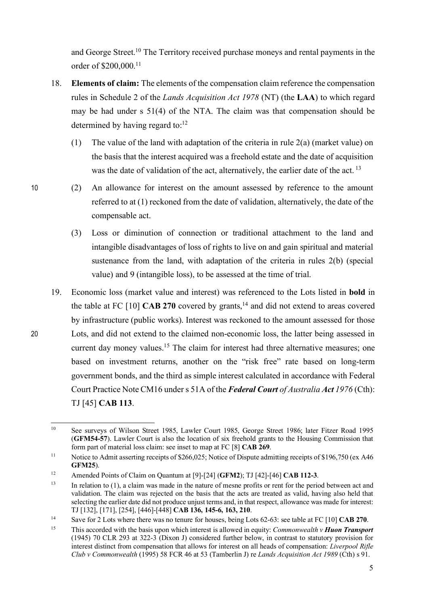and George Street. <sup>10</sup> The Territory received purchase moneys and rental payments in the order of \$200,000. 11

- 18. **Elements of claim:** The elements of the compensation claim reference the compensation rules in Schedule 2 of the *Lands Acquisition Act 1978* (NT) (the **LAA**) to which regard may be had under s 51(4) of the NTA. The claim was that compensation should be determined by having regard to: $12$ 
	- (1) The value of the land with adaptation of the criteria in rule 2(a) (market value) on the basis that the interest acquired was a freehold estate and the date of acquisition was the date of validation of the act, alternatively, the earlier date of the act.<sup>13</sup>
- 10 (2) An allowance for interest on the amount assessed by reference to the amount referred to at (1) reckoned from the date of validation, alternatively, the date of the compensable act.
	- (3) Loss or diminution of connection or traditional attachment to the land and intangible disadvantages of loss of rights to live on and gain spiritual and material sustenance from the land, with adaptation of the criteria in rules 2(b) (special value) and 9 (intangible loss), to be assessed at the time of trial.
- 19. Economic loss (market value and interest) was referenced to the Lots listed in **bold** in the table at FC [10] **CAB 270** covered by grants, <sup>14</sup> and did not extend to areas covered by infrastructure (public works). Interest was reckoned to the amount assessed for those 20 Lots, and did not extend to the claimed non-economic loss, the latter being assessed in current day money values.<sup>15</sup> The claim for interest had three alternative measures; one based on investment returns, another on the "risk free" rate based on long-term government bonds, and the third as simple interest calculated in accordance with Federal Court Practice Note CM16 under s 51A of the *Federal Court of Australia Act 1976* (Cth): TJ [45] **CAB 113**.

 <sup>10</sup> See surveys of Wilson Street 1985, Lawler Court 1985, George Street 1986; later Fitzer Road 1995 (**GFM54-57**). Lawler Court is also the location of six freehold grants to the Housing Commission that form part of material loss claim: see inset to map at FC [8] **CAB 269**.

<sup>&</sup>lt;sup>11</sup> Notice to Admit asserting receipts of \$266,025; Notice of Dispute admitting receipts of \$196,750 (ex A46 **GFM25**).

<sup>12</sup> Amended Points of Claim on Quantum at [9]-[24] (**GFM2**); TJ [42]-[46] **CAB 112-3**.

<sup>&</sup>lt;sup>13</sup> In relation to (1), a claim was made in the nature of mesne profits or rent for the period between act and validation. The claim was rejected on the basis that the acts are treated as valid, having also held that selecting the earlier date did not produce unjust terms and, in that respect, allowance was made for interest: TJ [132], [171], [254], [446]-[448] **CAB 136, 145-6, 163, 210**.

<sup>14</sup> Save for 2 Lots where there was no tenure for houses, being Lots 62-63: see table at FC [10] **CAB 270**.

<sup>15</sup> This accorded with the basis upon which interest is allowed in equity: *Commonwealth v Huon Transport* (1945) 70 CLR 293 at 322-3 (Dixon J) considered further below, in contrast to statutory provision for interest distinct from compensation that allows for interest on all heads of compensation: *Liverpool Rifle Club v Commonwealth* (1995) 58 FCR 46 at 53 (Tamberlin J) re *Lands Acquisition Act 1989* (Cth) s 91.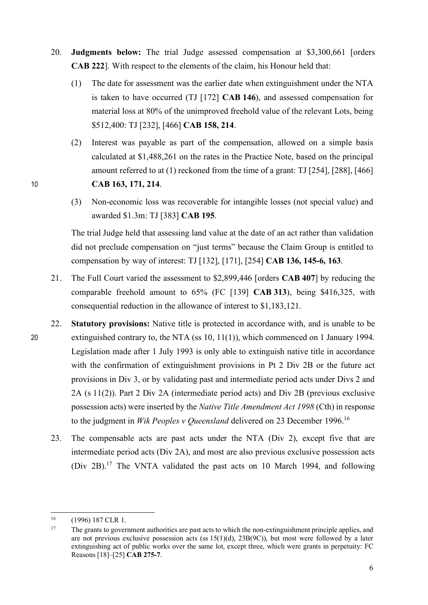- 20. **Judgments below:** The trial Judge assessed compensation at \$3,300,661 [orders **CAB 222**]. With respect to the elements of the claim, his Honour held that:
	- (1) The date for assessment was the earlier date when extinguishment under the NTA is taken to have occurred (TJ [172] **CAB 146**), and assessed compensation for material loss at 80% of the unimproved freehold value of the relevant Lots, being \$512,400: TJ [232], [466] **CAB 158, 214**.
- (2) Interest was payable as part of the compensation, allowed on a simple basis calculated at \$1,488,261 on the rates in the Practice Note, based on the principal amount referred to at (1) reckoned from the time of a grant: TJ [254], [288], [466] 10 **CAB 163, 171, 214**.
	- (3) Non-economic loss was recoverable for intangible losses (not special value) and awarded \$1.3m: TJ [383] **CAB 195**.

The trial Judge held that assessing land value at the date of an act rather than validation did not preclude compensation on "just terms" because the Claim Group is entitled to compensation by way of interest: TJ [132], [171], [254] **CAB 136, 145-6, 163**.

- 21. The Full Court varied the assessment to \$2,899,446 [orders **CAB 407**] by reducing the comparable freehold amount to 65% (FC [139] **CAB 313**), being \$416,325, with consequential reduction in the allowance of interest to \$1,183,121.
- 22. **Statutory provisions:** Native title is protected in accordance with, and is unable to be 20 extinguished contrary to, the NTA (ss 10, 11(1)), which commenced on 1 January 1994. Legislation made after 1 July 1993 is only able to extinguish native title in accordance with the confirmation of extinguishment provisions in Pt 2 Div 2B or the future act provisions in Div 3, or by validating past and intermediate period acts under Divs 2 and 2A (s 11(2)). Part 2 Div 2A (intermediate period acts) and Div 2B (previous exclusive possession acts) were inserted by the *Native Title Amendment Act 1998* (Cth) in response to the judgment in *Wik Peoples v Queensland* delivered on 23 December 1996.16
	- 23. The compensable acts are past acts under the NTA (Div 2), except five that are intermediate period acts (Div 2A), and most are also previous exclusive possession acts (Div 2B).17 The VNTA validated the past acts on 10 March 1994, and following

 <sup>16</sup> (1996) 187 CLR 1.

<sup>&</sup>lt;sup>17</sup> The grants to government authorities are past acts to which the non-extinguishment principle applies, and are not previous exclusive possession acts (ss  $15(1)(d)$ ,  $23B(9C)$ ), but most were followed by a later extinguishing act of public works over the same lot, except three, which were grants in perpetuity: FC Reasons [18]–[25] **CAB 275-7**.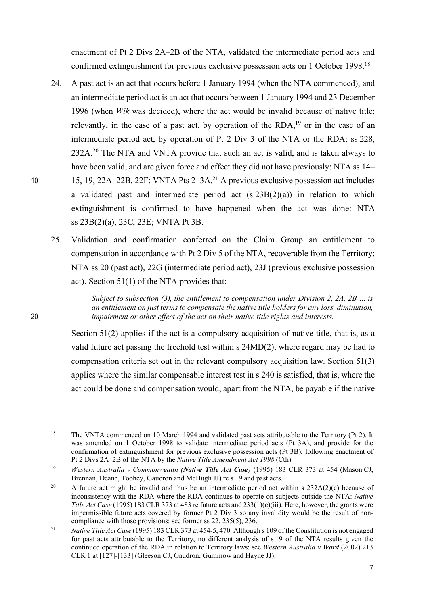enactment of Pt 2 Divs 2A–2B of the NTA, validated the intermediate period acts and confirmed extinguishment for previous exclusive possession acts on 1 October 1998. 18

- 24. A past act is an act that occurs before 1 January 1994 (when the NTA commenced), and an intermediate period act is an act that occurs between 1 January 1994 and 23 December 1996 (when *Wik* was decided), where the act would be invalid because of native title; relevantly, in the case of a past act, by operation of the RDA,<sup>19</sup> or in the case of an intermediate period act, by operation of Pt 2 Div 3 of the NTA or the RDA: ss 228, 232A.<sup>20</sup> The NTA and VNTA provide that such an act is valid, and is taken always to have been valid, and are given force and effect they did not have previously: NTA ss 14– 10 15, 19, 22A–22B, 22F; VNTA Pts  $2-3A$ <sup>21</sup> A previous exclusive possession act includes a validated past and intermediate period act  $(s 23B(2)(a))$  in relation to which extinguishment is confirmed to have happened when the act was done: NTA ss 23B(2)(a), 23C, 23E; VNTA Pt 3B.
	- 25. Validation and confirmation conferred on the Claim Group an entitlement to compensation in accordance with Pt 2 Div 5 of the NTA, recoverable from the Territory: NTA ss 20 (past act), 22G (intermediate period act), 23J (previous exclusive possession act). Section 51(1) of the NTA provides that:

*Subject to subsection (3), the entitlement to compensation under Division 2, 2A, 2B … is an entitlement on just terms to compensate the native title holders for any loss, diminution,*  20 *impairment or other effect of the act on their native title rights and interests.*

> Section 51(2) applies if the act is a compulsory acquisition of native title, that is, as a valid future act passing the freehold test within s 24MD(2), where regard may be had to compensation criteria set out in the relevant compulsory acquisition law. Section 51(3) applies where the similar compensable interest test in s 240 is satisfied, that is, where the act could be done and compensation would, apart from the NTA, be payable if the native

<sup>&</sup>lt;sup>18</sup> The VNTA commenced on 10 March 1994 and validated past acts attributable to the Territory (Pt 2). It was amended on 1 October 1998 to validate intermediate period acts (Pt 3A), and provide for the confirmation of extinguishment for previous exclusive possession acts (Pt 3B), following enactment of Pt 2 Divs 2A–2B of the NTA by the *Native Title Amendment Act 1998* (Cth).

<sup>19</sup> *Western Australia v Commonwealth (Native Title Act Case)* (1995) 183 CLR 373 at 454 (Mason CJ, Brennan, Deane, Toohey, Gaudron and McHugh JJ) re s 19 and past acts.

<sup>&</sup>lt;sup>20</sup> A future act might be invalid and thus be an intermediate period act within s  $232A(2)(c)$  because of inconsistency with the RDA where the RDA continues to operate on subjects outside the NTA: *Native Title Act Case* (1995) 183 CLR 373 at 483 re future acts and 233(1)(c)(iii). Here, however, the grants were impermissible future acts covered by former Pt 2 Div 3 so any invalidity would be the result of noncompliance with those provisions: see former ss 22, 235(5), 236.

<sup>21</sup> *Native Title Act Case* (1995) 183 CLR 373 at 454-5, 470. Although s 109 of the Constitution is not engaged for past acts attributable to the Territory, no different analysis of s 19 of the NTA results given the continued operation of the RDA in relation to Territory laws: see *Western Australia v Ward* (2002) 213 CLR 1 at [127]-[133] (Gleeson CJ, Gaudron, Gummow and Hayne JJ).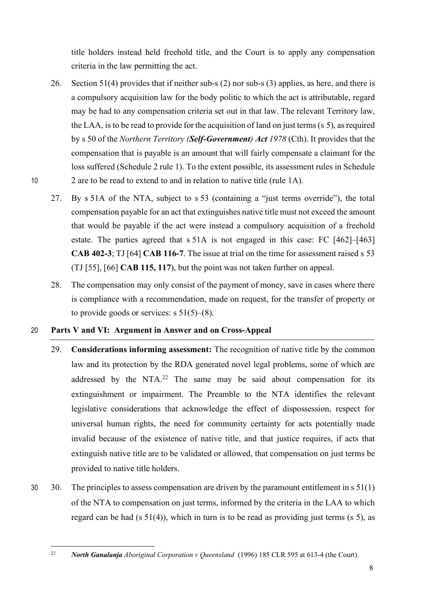title holders instead held freehold title, and the Court is to apply any compensation criteria in the law permitting the act.

- 26. Section 51(4) provides that if neither sub-s (2) nor sub-s (3) applies, as here, and there is a compulsory acquisition law for the body politic to which the act is attributable, regard may be had to any compensation criteria set out in that law. The relevant Territory law, the LAA, is to be read to provide for the acquisition of land on just terms (s 5), as required by s 50 of the *Northern Territory (Self-Government) Act 1978* (Cth). It provides that the compensation that is payable is an amount that will fairly compensate a claimant for the loss suffered (Schedule 2 rule 1). To the extent possible, its assessment rules in Schedule 10 2 are to be read to extend to and in relation to native title (rule 1A).
	- 27. By s 51A of the NTA, subject to s 53 (containing a "just terms override"), the total compensation payable for an act that extinguishes native title must not exceed the amount that would be payable if the act were instead a compulsory acquisition of a freehold estate. The parties agreed that s 51A is not engaged in this case: FC [462]–[463] **CAB 402-3**; TJ [64] **CAB 116-7**. The issue at trial on the time for assessment raised s 53 (TJ [55], [66] **CAB 115, 117**), but the point was not taken further on appeal.
	- 28. The compensation may only consist of the payment of money, save in cases where there is compliance with a recommendation, made on request, for the transfer of property or to provide goods or services:  $s \frac{51}{5}(-8)$ .
- 20 **Parts V and VI: Argument in Answer and on Cross-Appeal**
	- 29. **Considerations informing assessment:** The recognition of native title by the common law and its protection by the RDA generated novel legal problems, some of which are addressed by the NTA.<sup>22</sup> The same may be said about compensation for its extinguishment or impairment. The Preamble to the NTA identifies the relevant legislative considerations that acknowledge the effect of dispossession, respect for universal human rights, the need for community certainty for acts potentially made invalid because of the existence of native title, and that justice requires, if acts that extinguish native title are to be validated or allowed, that compensation on just terms be provided to native title holders.
- 30 30. The principles to assess compensation are driven by the paramount entitlement in s 51(1) of the NTA to compensation on just terms, informed by the criteria in the LAA to which regard can be had (s 51(4)), which in turn is to be read as providing just terms (s 5), as

 <sup>22</sup> *North Ganalanja Aboriginal Corporation v Queensland* (1996) 185 CLR 595 at 613-4 (the Court).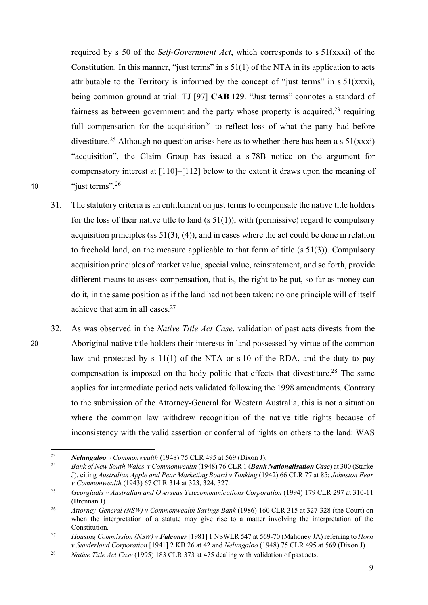required by s 50 of the *Self-Government Act*, which corresponds to s 51(xxxi) of the Constitution. In this manner, "just terms" in s 51(1) of the NTA in its application to acts attributable to the Territory is informed by the concept of "just terms" in  $s \, 51(xxxi)$ , being common ground at trial: TJ [97] **CAB 129**. "Just terms" connotes a standard of fairness as between government and the party whose property is acquired, $2<sup>3</sup>$  requiring full compensation for the acquisition<sup>24</sup> to reflect loss of what the party had before divestiture.<sup>25</sup> Although no question arises here as to whether there has been a s  $51(xxxi)$ "acquisition", the Claim Group has issued a s 78B notice on the argument for compensatory interest at [110]–[112] below to the extent it draws upon the meaning of 10 "just terms".<sup>26</sup>

- 31. The statutory criteria is an entitlement on just terms to compensate the native title holders for the loss of their native title to land  $(s 51(1))$ , with (permissive) regard to compulsory acquisition principles (ss  $51(3)$ , (4)), and in cases where the act could be done in relation to freehold land, on the measure applicable to that form of title  $(s 51(3))$ . Compulsory acquisition principles of market value, special value, reinstatement, and so forth, provide different means to assess compensation, that is, the right to be put, so far as money can do it, in the same position as if the land had not been taken; no one principle will of itself achieve that aim in all cases. 27
- 32. As was observed in the *Native Title Act Case*, validation of past acts divests from the 20 Aboriginal native title holders their interests in land possessed by virtue of the common law and protected by s 11(1) of the NTA or s 10 of the RDA, and the duty to pay compensation is imposed on the body politic that effects that divestiture. <sup>28</sup> The same applies for intermediate period acts validated following the 1998 amendments. Contrary to the submission of the Attorney-General for Western Australia, this is not a situation where the common law withdrew recognition of the native title rights because of inconsistency with the valid assertion or conferral of rights on others to the land: WAS

 <sup>23</sup> *Nelungaloo v Commonwealth* (1948) 75 CLR 495 at 569 (Dixon J).

<sup>24</sup> *Bank of New South Wales v Commonwealth* (1948) 76 CLR 1 (*Bank Nationalisation Case*) at 300 (Starke J), citing *Australian Apple and Pear Marketing Board v Tonking* (1942) 66 CLR 77 at 85; *Johnston Fear v Commonwealth* (1943) 67 CLR 314 at 323, 324, 327.

<sup>25</sup> *Georgiadis v Australian and Overseas Telecommunications Corporation* (1994) 179 CLR 297 at 310-11 (Brennan J).

<sup>&</sup>lt;sup>26</sup> *Attorney-General (NSW) v Commonwealth Savings Bank* (1986) 160 CLR 315 at 327-328 (the Court) on when the interpretation of a statute may give rise to a matter involving the interpretation of the Constitution.

<sup>27</sup> *Housing Commission (NSW) v Falconer* [1981] 1 NSWLR 547 at 569-70 (Mahoney JA) referring to *Horn v Sunderland Corporation* [1941] 2 KB 26 at 42 and *Nelungaloo* (1948) 75 CLR 495 at 569 (Dixon J).

<sup>28</sup> *Native Title Act Case* (1995) 183 CLR 373 at 475 dealing with validation of past acts.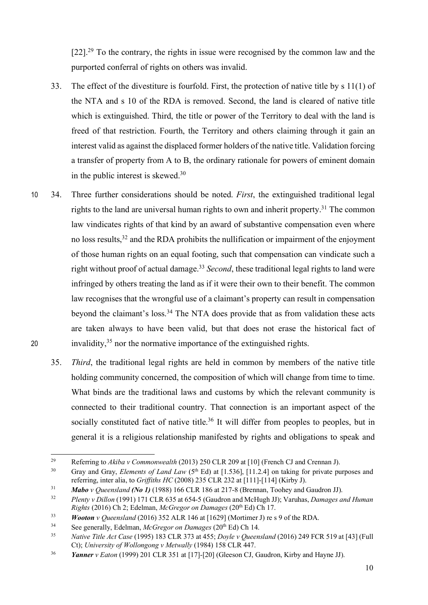$[22]$ <sup>29</sup>. To the contrary, the rights in issue were recognised by the common law and the purported conferral of rights on others was invalid.

- 33. The effect of the divestiture is fourfold. First, the protection of native title by s 11(1) of the NTA and s 10 of the RDA is removed. Second, the land is cleared of native title which is extinguished. Third, the title or power of the Territory to deal with the land is freed of that restriction. Fourth, the Territory and others claiming through it gain an interest valid as against the displaced former holders of the native title. Validation forcing a transfer of property from A to B, the ordinary rationale for powers of eminent domain in the public interest is skewed. 30
- 10 34. Three further considerations should be noted. *First*, the extinguished traditional legal rights to the land are universal human rights to own and inherit property.<sup>31</sup> The common law vindicates rights of that kind by an award of substantive compensation even where no loss results, <sup>32</sup> and the RDA prohibits the nullification or impairment of the enjoyment of those human rights on an equal footing, such that compensation can vindicate such a right without proof of actual damage.<sup>33</sup> *Second*, these traditional legal rights to land were infringed by others treating the land as if it were their own to their benefit. The common law recognises that the wrongful use of a claimant's property can result in compensation beyond the claimant's loss.<sup>34</sup> The NTA does provide that as from validation these acts are taken always to have been valid, but that does not erase the historical fact of 20 invalidity,  $35$  nor the normative importance of the extinguished rights.
	- 35. *Third*, the traditional legal rights are held in common by members of the native title holding community concerned, the composition of which will change from time to time. What binds are the traditional laws and customs by which the relevant community is connected to their traditional country. That connection is an important aspect of the socially constituted fact of native title.<sup>36</sup> It will differ from peoples to peoples, but in general it is a religious relationship manifested by rights and obligations to speak and

 <sup>29</sup> Referring to *Akiba v Commonwealth* (2013) 250 CLR 209 at [10] (French CJ and Crennan J).

<sup>&</sup>lt;sup>30</sup> Gray and Gray, *Elements of Land Law* (5<sup>th</sup> Ed) at [1.536], [11.2.4] on taking for private purposes and referring, inter alia, to *Griffiths HC* (2008) 235 CLR 232 at [111]-[114] (Kirby J).

<sup>31</sup> *Mabo v Queensland (No 1)* (1988) 166 CLR 186 at 217-8 (Brennan, Toohey and Gaudron JJ).

<sup>32</sup> *Plenty v Dillon* (1991) 171 CLR 635 at 654-5 (Gaudron and McHugh JJ); Varuhas, *Damages and Human* 

*Rights* (2016) Ch 2; Edelman, *McGregor on Damages* (20th Ed) Ch 17. 33 *Wooton v Queensland* (2016) 352 ALR 146 at [1629] (Mortimer J) re s 9 of the RDA.

<sup>34</sup> See generally, Edelman, *McGregor on Damages* (20th Ed) Ch 14.

<sup>35</sup> *Native Title Act Case* (1995) 183 CLR 373 at 455; *Doyle v Queensland* (2016) 249 FCR 519 at [43] (Full Ct); *University of Wollongong v Metwally* (1984) 158 CLR 447.

<sup>36</sup> *Yanner v Eaton* (1999) 201 CLR 351 at [17]-[20] (Gleeson CJ, Gaudron, Kirby and Hayne JJ).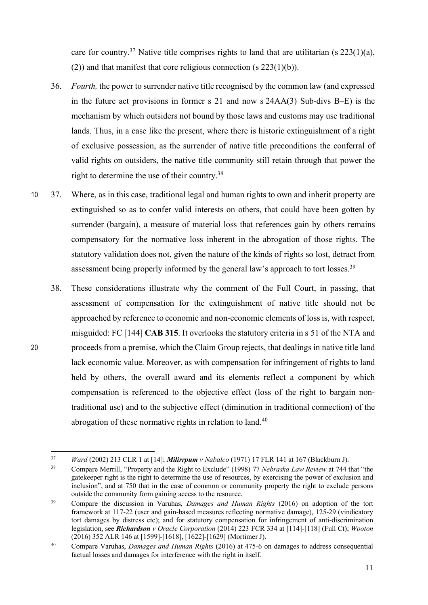care for country.<sup>37</sup> Native title comprises rights to land that are utilitarian (s  $223(1)(a)$ , (2)) and that manifest that core religious connection (s 223(1)(b)).

- 36. *Fourth,* the power to surrender native title recognised by the common law (and expressed in the future act provisions in former s 21 and now s 24AA(3) Sub-divs B–E) is the mechanism by which outsiders not bound by those laws and customs may use traditional lands. Thus, in a case like the present, where there is historic extinguishment of a right of exclusive possession, as the surrender of native title preconditions the conferral of valid rights on outsiders, the native title community still retain through that power the right to determine the use of their country. 38
- 10 37. Where, as in this case, traditional legal and human rights to own and inherit property are extinguished so as to confer valid interests on others, that could have been gotten by surrender (bargain), a measure of material loss that references gain by others remains compensatory for the normative loss inherent in the abrogation of those rights. The statutory validation does not, given the nature of the kinds of rights so lost, detract from assessment being properly informed by the general law's approach to tort losses.<sup>39</sup>
- 38. These considerations illustrate why the comment of the Full Court, in passing, that assessment of compensation for the extinguishment of native title should not be approached by reference to economic and non-economic elements of lossis, with respect, misguided: FC [144] **CAB 315**. It overlooks the statutory criteria in s 51 of the NTA and 20 proceeds from a premise, which the Claim Group rejects, that dealings in native title land lack economic value. Moreover, as with compensation for infringement of rights to land held by others, the overall award and its elements reflect a component by which compensation is referenced to the objective effect (loss of the right to bargain nontraditional use) and to the subjective effect (diminution in traditional connection) of the abrogation of these normative rights in relation to land.<sup>40</sup>

 <sup>37</sup> *Ward* (2002) 213 CLR 1 at [14]; *Milirrpum v Nabalco* (1971) 17 FLR 141 at 167 (Blackburn J).

<sup>38</sup> Compare Merrill, "Property and the Right to Exclude" (1998) 77 *Nebraska Law Review* at 744 that "the gatekeeper right is the right to determine the use of resources, by exercising the power of exclusion and inclusion", and at 750 that in the case of common or community property the right to exclude persons outside the community form gaining access to the resource.

<sup>39</sup> Compare the discussion in Varuhas, *Damages and Human Rights* (2016) on adoption of the tort framework at 117-22 (user and gain-based measures reflecting normative damage), 125-29 (vindicatory tort damages by distress etc); and for statutory compensation for infringement of anti-discrimination legislation, see *Richardson v Oracle Corporation* (2014) 223 FCR 334 at [114]-[118] (Full Ct); *Wooton* (2016) 352 ALR 146 at [1599]-[1618], [1622]-[1629] (Mortimer J).

<sup>40</sup> Compare Varuhas, *Damages and Human Rights* (2016) at 475-6 on damages to address consequential factual losses and damages for interference with the right in itself.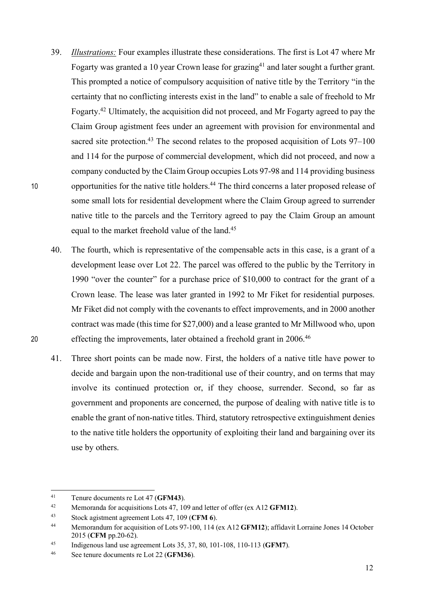- 39. *Illustrations:* Four examples illustrate these considerations. The first is Lot 47 where Mr Fogarty was granted a 10 year Crown lease for grazing<sup>41</sup> and later sought a further grant. This prompted a notice of compulsory acquisition of native title by the Territory "in the certainty that no conflicting interests exist in the land" to enable a sale of freehold to Mr Fogarty.<sup>42</sup> Ultimately, the acquisition did not proceed, and Mr Fogarty agreed to pay the Claim Group agistment fees under an agreement with provision for environmental and sacred site protection.<sup>43</sup> The second relates to the proposed acquisition of Lots  $97-100$ and 114 for the purpose of commercial development, which did not proceed, and now a company conducted by the Claim Group occupies Lots 97-98 and 114 providing business 10 opportunities for the native title holders.<sup>44</sup> The third concerns a later proposed release of some small lots for residential development where the Claim Group agreed to surrender native title to the parcels and the Territory agreed to pay the Claim Group an amount equal to the market freehold value of the land.<sup>45</sup>
- 40. The fourth, which is representative of the compensable acts in this case, is a grant of a development lease over Lot 22. The parcel was offered to the public by the Territory in 1990 "over the counter" for a purchase price of \$10,000 to contract for the grant of a Crown lease. The lease was later granted in 1992 to Mr Fiket for residential purposes. Mr Fiket did not comply with the covenants to effect improvements, and in 2000 another contract was made (this time for \$27,000) and a lease granted to Mr Millwood who, upon effecting the improvements, later obtained a freehold grant in 2006.<sup>46</sup>
	- 41. Three short points can be made now. First, the holders of a native title have power to decide and bargain upon the non-traditional use of their country, and on terms that may involve its continued protection or, if they choose, surrender. Second, so far as government and proponents are concerned, the purpose of dealing with native title is to enable the grant of non-native titles. Third, statutory retrospective extinguishment denies to the native title holders the opportunity of exploiting their land and bargaining over its use by others.

 <sup>41</sup> Tenure documents re Lot 47 (**GFM43**).

<sup>42</sup> Memoranda for acquisitions Lots 47, 109 and letter of offer (ex A12 **GFM12**).

<sup>43</sup> Stock agistment agreement Lots 47, 109 (**CFM 6**).

<sup>44</sup> Memorandum for acquisition of Lots 97-100, 114 (ex A12 **GFM12**); affidavit Lorraine Jones 14 October 2015 (**CFM** pp.20-62).

<sup>45</sup> Indigenous land use agreement Lots 35, 37, 80, 101-108, 110-113 (**GFM7**).

<sup>46</sup> See tenure documents re Lot 22 (**GFM36**).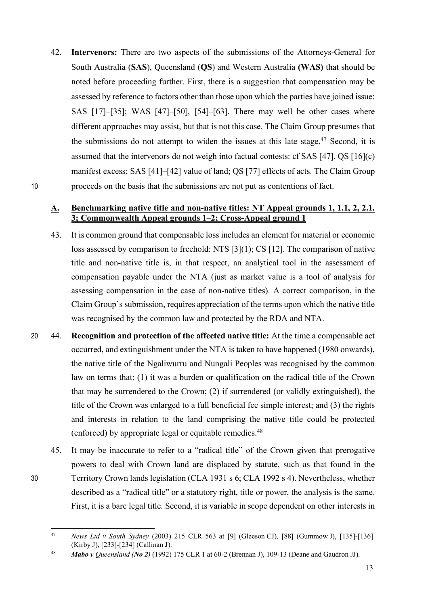42. **Intervenors:** There are two aspects of the submissions of the Attorneys-General for South Australia (**SAS**), Queensland (**QS**) and Western Australia **(WAS)** that should be noted before proceeding further. First, there is a suggestion that compensation may be assessed by reference to factors other than those upon which the parties have joined issue: SAS [17]–[35]; WAS [47]–[50], [54]–[63]. There may well be other cases where different approaches may assist, but that is not this case. The Claim Group presumes that the submissions do not attempt to widen the issues at this late stage.<sup>47</sup> Second, it is assumed that the intervenors do not weigh into factual contests: cf SAS [47], QS [16](c) manifest excess; SAS [41]–[42] value of land; QS [77] effects of acts. The Claim Group 10 proceeds on the basis that the submissions are not put as contentions of fact.

## **A. Benchmarking native title and non-native titles: NT Appeal grounds 1, 1.1, 2, 2.1. 3; Commonwealth Appeal grounds 1–2; Cross-Appeal ground 1**

- 43. It is common ground that compensable loss includes an element for material or economic loss assessed by comparison to freehold: NTS [3](1); CS [12]. The comparison of native title and non-native title is, in that respect, an analytical tool in the assessment of compensation payable under the NTA (just as market value is a tool of analysis for assessing compensation in the case of non-native titles). A correct comparison, in the Claim Group's submission, requires appreciation of the terms upon which the native title was recognised by the common law and protected by the RDA and NTA.
- 20 44. **Recognition and protection of the affected native title:** At the time a compensable act occurred, and extinguishment under the NTA is taken to have happened (1980 onwards), the native title of the Ngaliwurru and Nungali Peoples was recognised by the common law on terms that: (1) it was a burden or qualification on the radical title of the Crown that may be surrendered to the Crown; (2) if surrendered (or validly extinguished), the title of the Crown was enlarged to a full beneficial fee simple interest; and (3) the rights and interests in relation to the land comprising the native title could be protected (enforced) by appropriate legal or equitable remedies.48
- 45. It may be inaccurate to refer to a "radical title" of the Crown given that prerogative powers to deal with Crown land are displaced by statute, such as that found in the 30 Territory Crown lands legislation (CLA 1931 s 6; CLA 1992 s 4). Nevertheless, whether described as a "radical title" or a statutory right, title or power, the analysis is the same. First, it is a bare legal title. Second, it is variable in scope dependent on other interests in

 <sup>47</sup> *News Ltd v South Sydney* (2003) 215 CLR 563 at [9] (Gleeson CJ), [88] (Gummow J), [135]-[136] (Kirby J), [233]-[234] (Callinan J).

<sup>48</sup> *Mabo v Queensland (No 2)* (1992) 175 CLR 1 at 60-2 (Brennan J), 109-13 (Deane and Gaudron JJ).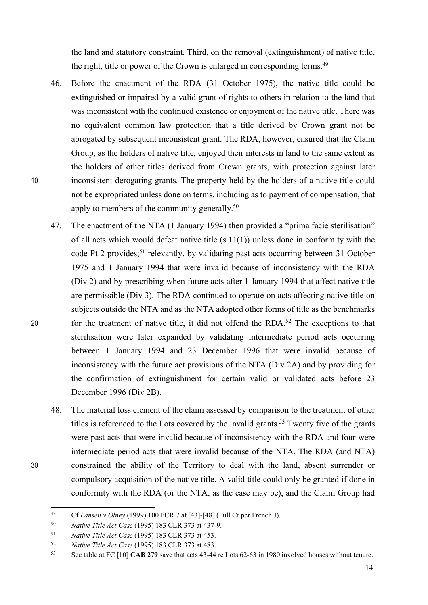the land and statutory constraint. Third, on the removal (extinguishment) of native title, the right, title or power of the Crown is enlarged in corresponding terms.<sup>49</sup>

- 46. Before the enactment of the RDA (31 October 1975), the native title could be extinguished or impaired by a valid grant of rights to others in relation to the land that was inconsistent with the continued existence or enjoyment of the native title. There was no equivalent common law protection that a title derived by Crown grant not be abrogated by subsequent inconsistent grant. The RDA, however, ensured that the Claim Group, as the holders of native title, enjoyed their interests in land to the same extent as the holders of other titles derived from Crown grants, with protection against later 10 inconsistent derogating grants. The property held by the holders of a native title could not be expropriated unless done on terms, including as to payment of compensation, that apply to members of the community generally.<sup>50</sup>
- 47. The enactment of the NTA (1 January 1994) then provided a "prima facie sterilisation" of all acts which would defeat native title (s 11(1)) unless done in conformity with the code Pt 2 provides;<sup>51</sup> relevantly, by validating past acts occurring between 31 October 1975 and 1 January 1994 that were invalid because of inconsistency with the RDA (Div 2) and by prescribing when future acts after 1 January 1994 that affect native title are permissible (Div 3). The RDA continued to operate on acts affecting native title on subjects outside the NTA and as the NTA adopted other forms of title as the benchmarks for the treatment of native title, it did not offend the RDA.<sup>52</sup> The exceptions to that sterilisation were later expanded by validating intermediate period acts occurring between 1 January 1994 and 23 December 1996 that were invalid because of inconsistency with the future act provisions of the NTA (Div 2A) and by providing for the confirmation of extinguishment for certain valid or validated acts before 23 December 1996 (Div 2B).
- 48. The material loss element of the claim assessed by comparison to the treatment of other titles is referenced to the Lots covered by the invalid grants.<sup>53</sup> Twenty five of the grants were past acts that were invalid because of inconsistency with the RDA and four were intermediate period acts that were invalid because of the NTA. The RDA (and NTA) 30 constrained the ability of the Territory to deal with the land, absent surrender or compulsory acquisition of the native title. A valid title could only be granted if done in conformity with the RDA (or the NTA, as the case may be), and the Claim Group had

 <sup>49</sup> Cf *Lansen v Olney* (1999) 100 FCR 7 at [43]-[48] (Full Ct per French J).

<sup>50</sup> *Native Title Act Case* (1995) 183 CLR 373 at 437-9.

<sup>51</sup> *Native Title Act Case* (1995) 183 CLR 373 at 453.

<sup>52</sup> *Native Title Act Case* (1995) 183 CLR 373 at 483.

<sup>53</sup> See table at FC [10] **CAB 279** save that acts 43-44 re Lots 62-63 in 1980 involved houses without tenure.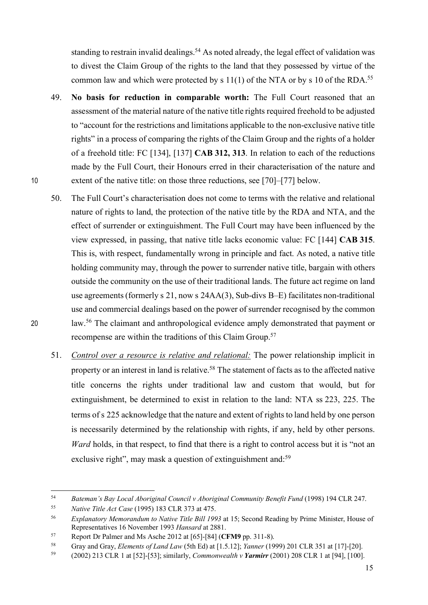standing to restrain invalid dealings.<sup>54</sup> As noted already, the legal effect of validation was to divest the Claim Group of the rights to the land that they possessed by virtue of the common law and which were protected by s  $11(1)$  of the NTA or by s 10 of the RDA.<sup>55</sup>

- 49. **No basis for reduction in comparable worth:** The Full Court reasoned that an assessment of the material nature of the native title rights required freehold to be adjusted to "account for the restrictions and limitations applicable to the non-exclusive native title rights" in a process of comparing the rights of the Claim Group and the rights of a holder of a freehold title: FC [134], [137] **CAB 312, 313**. In relation to each of the reductions made by the Full Court, their Honours erred in their characterisation of the nature and 10 extent of the native title: on those three reductions, see [70]–[77] below.
- 50. The Full Court's characterisation does not come to terms with the relative and relational nature of rights to land, the protection of the native title by the RDA and NTA, and the effect of surrender or extinguishment. The Full Court may have been influenced by the view expressed, in passing, that native title lacks economic value: FC [144] **CAB 315**. This is, with respect, fundamentally wrong in principle and fact. As noted, a native title holding community may, through the power to surrender native title, bargain with others outside the community on the use of their traditional lands. The future act regime on land use agreements (formerly s 21, now s 24AA(3), Sub-divs B–E) facilitates non-traditional use and commercial dealings based on the power of surrender recognised by the common 20 law.<sup>56</sup> The claimant and anthropological evidence amply demonstrated that payment or recompense are within the traditions of this Claim Group.57
	- 51. *Control over a resource is relative and relational:* The power relationship implicit in property or an interest in land is relative.<sup>58</sup> The statement of facts as to the affected native title concerns the rights under traditional law and custom that would, but for extinguishment, be determined to exist in relation to the land: NTA ss 223, 225. The terms of s 225 acknowledge that the nature and extent of rights to land held by one person is necessarily determined by the relationship with rights, if any, held by other persons. *Ward* holds, in that respect, to find that there is a right to control access but it is "not an exclusive right", may mask a question of extinguishment and:<sup>59</sup>

 <sup>54</sup> *Bateman's Bay Local Aboriginal Council v Aboriginal Community Benefit Fund* (1998) 194 CLR 247.

<sup>55</sup> *Native Title Act Case* (1995) 183 CLR 373 at 475.

<sup>56</sup> *Explanatory Memorandum to Native Title Bill 1993* at 15; Second Reading by Prime Minister, House of Representatives 16 November 1993 *Hansard* at 2881.

<sup>57</sup> Report Dr Palmer and Ms Asche 2012 at [65]-[84] (**CFM9** pp. 311-8).

<sup>58</sup> Gray and Gray, *Elements of Land Law* (5th Ed) at [1.5.12]; *Yanner* (1999) 201 CLR 351 at [17]-[20].

<sup>59</sup> (2002) 213 CLR 1 at [52]-[53]; similarly, *Commonwealth v Yarmirr* (2001) 208 CLR 1 at [94], [100].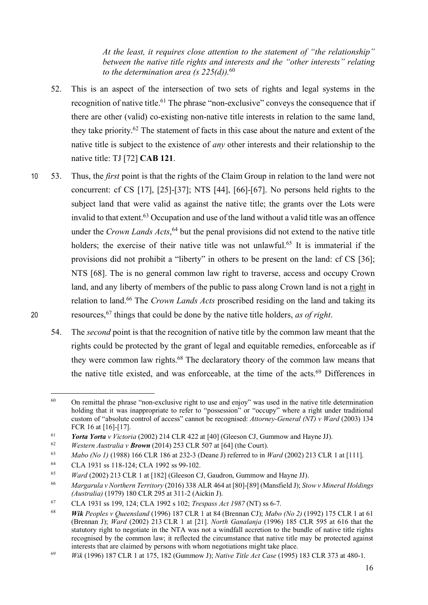*At the least, it requires close attention to the statement of "the relationship" between the native title rights and interests and the "other interests" relating to the determination area (s 225(d)).*<sup>60</sup>

- 52. This is an aspect of the intersection of two sets of rights and legal systems in the recognition of native title.<sup>61</sup> The phrase "non-exclusive" conveys the consequence that if there are other (valid) co-existing non-native title interests in relation to the same land, they take priority. <sup>62</sup> The statement of facts in this case about the nature and extent of the native title is subject to the existence of *any* other interests and their relationship to the native title: TJ [72] **CAB 121**.
- 10 53. Thus, the *first* point is that the rights of the Claim Group in relation to the land were not concurrent: cf CS [17], [25]-[37]; NTS [44], [66]-[67]. No persons held rights to the subject land that were valid as against the native title; the grants over the Lots were invalid to that extent.<sup>63</sup> Occupation and use of the land without a valid title was an offence under the *Crown Lands Acts*, <sup>64</sup> but the penal provisions did not extend to the native title holders; the exercise of their native title was not unlawful.<sup>65</sup> It is immaterial if the provisions did not prohibit a "liberty" in others to be present on the land: cf CS [36]; NTS [68]. The is no general common law right to traverse, access and occupy Crown land, and any liberty of members of the public to pass along Crown land is not a right in relation to land.66 The *Crown Lands Acts* proscribed residing on the land and taking its resources,67 20 things that could be done by the native title holders, *as of right*.
	- 54. The *second* point is that the recognition of native title by the common law meant that the rights could be protected by the grant of legal and equitable remedies, enforceable as if they were common law rights.<sup>68</sup> The declaratory theory of the common law means that the native title existed, and was enforceable, at the time of the acts. <sup>69</sup> Differences in

<sup>&</sup>lt;sup>60</sup> On remittal the phrase "non-exclusive right to use and enjoy" was used in the native title determination holding that it was inappropriate to refer to "possession" or "occupy" where a right under traditional custom of "absolute control of access" cannot be recognised: *Attorney-General (NT) v Ward* (2003) 134 FCR 16 at [16]-[17].

<sup>&</sup>lt;sup>61</sup> *Yorta Yorta v Victoria* (2002) 214 CLR 422 at [40] (Gleeson CJ, Gummow and Hayne JJ).<br> *Western Australia v Brown* (2014) 253 CLB 507 at [641 (the Court)

<sup>62</sup> *Western Australia v Brown* (2014) 253 CLR 507 at [64] (the Court).

<sup>63</sup> *Mabo (No 1)* (1988) 166 CLR 186 at 232-3 (Deane J) referred to in *Ward* (2002) 213 CLR 1 at [111].

<sup>64</sup> CLA 1931 ss 118-124; CLA 1992 ss 99-102.

<sup>65</sup> *Ward* (2002) 213 CLR 1 at [182] (Gleeson CJ, Gaudron, Gummow and Hayne JJ).

<sup>66</sup> *Margarula v Northern Territory* (2016) 338 ALR 464 at [80]-[89] (Mansfield J); *Stow v Mineral Holdings (Australia)* (1979) 180 CLR 295 at 311-2 (Aickin J).

<sup>67</sup> CLA 1931 ss 199, 124; CLA 1992 s 102; *Trespass Act 1987* (NT) ss 6-7.

<sup>68</sup> *Wik Peoples v Queensland* (1996) 187 CLR 1 at 84 (Brennan CJ); *Mabo (No 2)* (1992) 175 CLR 1 at 61 (Brennan J); *Ward* (2002) 213 CLR 1 at [21]. *North Ganalanja* (1996) 185 CLR 595 at 616 that the statutory right to negotiate in the NTA was not a windfall accretion to the bundle of native title rights recognised by the common law; it reflected the circumstance that native title may be protected against interests that are claimed by persons with whom negotiations might take place.

<sup>69</sup> *Wik* (1996) 187 CLR 1 at 175, 182 (Gummow J); *Native Title Act Case* (1995) 183 CLR 373 at 480-1.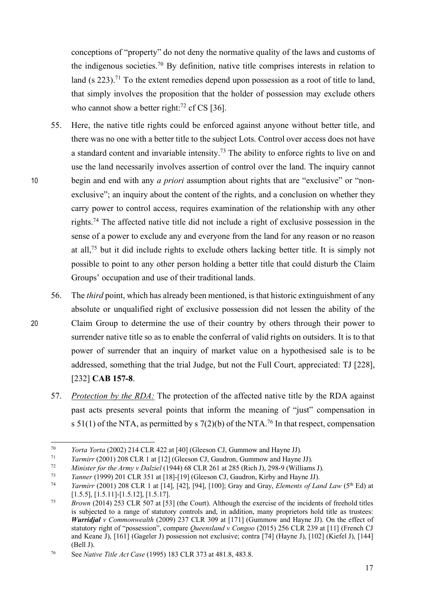conceptions of "property" do not deny the normative quality of the laws and customs of the indigenous societies. <sup>70</sup> By definition, native title comprises interests in relation to land (s  $223$ ).<sup>71</sup> To the extent remedies depend upon possession as a root of title to land, that simply involves the proposition that the holder of possession may exclude others who cannot show a better right: $^{72}$  cf CS [36].

- 55. Here, the native title rights could be enforced against anyone without better title, and there was no one with a better title to the subject Lots. Control over access does not have a standard content and invariable intensity.<sup>73</sup> The ability to enforce rights to live on and use the land necessarily involves assertion of control over the land. The inquiry cannot 10 begin and end with any *a priori* assumption about rights that are "exclusive" or "nonexclusive"; an inquiry about the content of the rights, and a conclusion on whether they carry power to control access, requires examination of the relationship with any other rights.74 The affected native title did not include a right of exclusive possession in the sense of a power to exclude any and everyone from the land for any reason or no reason at all,75 but it did include rights to exclude others lacking better title. It is simply not possible to point to any other person holding a better title that could disturb the Claim Groups' occupation and use of their traditional lands.
- 56. The *third* point, which has already been mentioned, is that historic extinguishment of any absolute or unqualified right of exclusive possession did not lessen the ability of the 20 Claim Group to determine the use of their country by others through their power to surrender native title so as to enable the conferral of valid rights on outsiders. It is to that power of surrender that an inquiry of market value on a hypothesised sale is to be addressed, something that the trial Judge, but not the Full Court, appreciated: TJ [228], [232] **CAB 157-8**.
	- 57. *Protection by the RDA:* The protection of the affected native title by the RDA against past acts presents several points that inform the meaning of "just" compensation in s 51(1) of the NTA, as permitted by s  $7(2)(b)$  of the NTA.<sup>76</sup> In that respect, compensation

 <sup>70</sup> *Yorta Yorta* (2002) 214 CLR 422 at [40] (Gleeson CJ, Gummow and Hayne JJ).

<sup>&</sup>lt;sup>71</sup> *Yarmirr* (2001) 208 CLR 1 at [12] (Gleeson CJ, Gaudron, Gummow and Hayne JJ).<br>*T<sub>2</sub> Ministar for the Army y Dalziel* (1944) 68 CLR 261 at 285 (Rich I), 298 9 (Williams

<sup>72</sup> *Minister for the Army v Dalziel* (1944) 68 CLR 261 at 285 (Rich J), 298-9 (Williams J).

<sup>73</sup> *Yanner* (1999) 201 CLR 351 at [18]-[19] (Gleeson CJ, Gaudron, Kirby and Hayne JJ).

<sup>74</sup> *Yarmirr* (2001) 208 CLR 1 at [14], [42], [94], [100]; Gray and Gray, *Elements of Land Law* (5th Ed) at [1.5.5], [1.5.11]-[1.5.12], [1.5.17].

<sup>75</sup> *Brown* (2014) 253 CLR 507 at [53] (the Court). Although the exercise of the incidents of freehold titles is subjected to a range of statutory controls and, in addition, many proprietors hold title as trustees: *Wurridjal v Commonwealth* (2009) 237 CLR 309 at [171] (Gummow and Hayne JJ). On the effect of statutory right of "possession", compare *Queensland v Congoo* (2015) 256 CLR 239 at [11] (French CJ and Keane J), [161] (Gageler J) possession not exclusive; contra [74] (Hayne J), [102] (Kiefel J), [144] (Bell J).

<sup>76</sup> See *Native Title Act Case* (1995) 183 CLR 373 at 481.8, 483.8.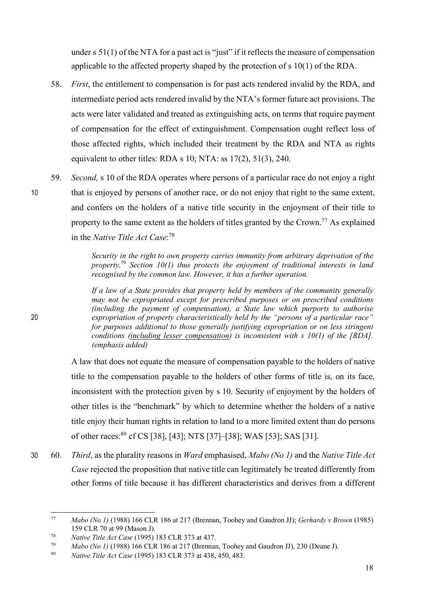under s 51(1) of the NTA for a past act is "just" if it reflects the measure of compensation applicable to the affected property shaped by the protection of s 10(1) of the RDA.

- 58. *First*, the entitlement to compensation is for past acts rendered invalid by the RDA, and intermediate period acts rendered invalid by the NTA's former future act provisions. The acts were later validated and treated as extinguishing acts, on terms that require payment of compensation for the effect of extinguishment. Compensation ought reflect loss of those affected rights, which included their treatment by the RDA and NTA as rights equivalent to other titles: RDA s 10; NTA: ss 17(2), 51(3), 240.
- 59. *Second,* s 10 of the RDA operates where persons of a particular race do not enjoy a right 10 that is enjoyed by persons of another race, or do not enjoy that right to the same extent, and confers on the holders of a native title security in the enjoyment of their title to property to the same extent as the holders of titles granted by the Crown.<sup>77</sup> As explained in the *Native Title Act Case*: 78

*Security in the right to own property carries immunity from arbitrary deprivation of the property.*<sup>79</sup> *Section 10(1) thus protects the enjoyment of traditional interests in land recognised by the common law. However, it has a further operation.* 

*If a law of a State provides that property held by members of the community generally may not be expropriated except for prescribed purposes or on prescribed conditions (including the payment of compensation), a State law which purports to authorise*  20 *expropriation of property characteristically held by the "persons of a particular race" for purposes additional to those generally justifying expropriation or on less stringent conditions (including lesser compensation) is inconsistent with s 10(1) of the [RDA]. (emphasis added)*

> A law that does not equate the measure of compensation payable to the holders of native title to the compensation payable to the holders of other forms of title is, on its face, inconsistent with the protection given by s 10. Security of enjoyment by the holders of other titles is the "benchmark" by which to determine whether the holders of a native title enjoy their human rights in relation to land to a more limited extent than do persons of other races: <sup>80</sup> cf CS [38], [43]; NTS [37]–[38]; WAS [53]; SAS [31].

30 60. *Third*, as the plurality reasons in *Ward* emphasised, *Mabo (No 1)* and the *Native Title Act Case* rejected the proposition that native title can legitimately be treated differently from other forms of title because it has different characteristics and derives from a different

 <sup>77</sup> *Mabo (No 1)* (1988) 166 CLR 186 at 217 (Brennan, Toohey and Gaudron JJ); *Gerhardy v Brown* (1985) 159 CLR 70 at 99 (Mason J).

<sup>78</sup> *Native Title Act Case* (1995) 183 CLR 373 at 437.

<sup>79</sup> *Mabo (No 1)* (1988) 166 CLR 186 at 217 (Brennan, Toohey and Gaudron JJ), 230 (Deane J).

<sup>80</sup> *Native Title Act Case* (1995) 183 CLR 373 at 438, 450, 483.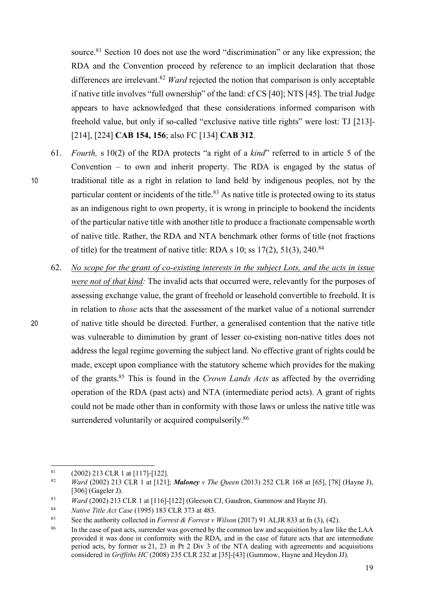source.<sup>81</sup> Section 10 does not use the word "discrimination" or any like expression; the RDA and the Convention proceed by reference to an implicit declaration that those differences are irrelevant.<sup>82</sup> *Ward* rejected the notion that comparison is only acceptable if native title involves "full ownership" of the land: cf CS [40]; NTS [45]. The trial Judge appears to have acknowledged that these considerations informed comparison with freehold value, but only if so-called "exclusive native title rights" were lost: TJ [213]- [214], [224] **CAB 154, 156**; also FC [134] **CAB 312**.

- 61. *Fourth,* s 10(2) of the RDA protects "a right of a *kind*" referred to in article 5 of the Convention – to own and inherit property. The RDA is engaged by the status of 10 traditional title as a right in relation to land held by indigenous peoples, not by the particular content or incidents of the title.<sup>83</sup> As native title is protected owing to its status as an indigenous right to own property, it is wrong in principle to bookend the incidents of the particular native title with another title to produce a fractionate compensable worth of native title. Rather, the RDA and NTA benchmark other forms of title (not fractions of title) for the treatment of native title: RDA s  $10$ ; ss  $17(2)$ ,  $51(3)$ ,  $240$ <sup>84</sup>
- 62. *No scope for the grant of co-existing interests in the subject Lots, and the acts in issue were not of that kind:* The invalid acts that occurred were, relevantly for the purposes of assessing exchange value, the grant of freehold or leasehold convertible to freehold. It is in relation to *those* acts that the assessment of the market value of a notional surrender 20 of native title should be directed. Further, a generalised contention that the native title was vulnerable to diminution by grant of lesser co-existing non-native titles does not address the legal regime governing the subject land. No effective grant of rights could be made, except upon compliance with the statutory scheme which provides for the making of the grants. <sup>85</sup> This is found in the *Crown Lands Acts* as affected by the overriding operation of the RDA (past acts) and NTA (intermediate period acts). A grant of rights could not be made other than in conformity with those laws or unless the native title was surrendered voluntarily or acquired compulsorily.<sup>86</sup>

 <sup>81</sup> (2002) 213 CLR 1 at [117]-[122].

<sup>82</sup> *Ward* (2002) 213 CLR 1 at [121]; *Maloney v The Queen* (2013) 252 CLR 168 at [65], [78] (Hayne J), [306] (Gageler J).

<sup>83</sup> *Ward* (2002) 213 CLR 1 at [116]-[122] (Gleeson CJ, Gaudron, Gummow and Hayne JJ).

<sup>84</sup> *Native Title Act Case* (1995) 183 CLR 373 at 483.

<sup>85</sup> See the authority collected in *Forrest & Forrest v Wilson* (2017) 91 ALJR 833 at fn (3), (42).

<sup>&</sup>lt;sup>86</sup> In the case of past acts, surrender was governed by the common law and acquisition by a law like the LAA provided it was done in conformity with the RDA, and in the case of future acts that are intermediate period acts, by former ss 21, 23 in Pt 2 Div 3 of the NTA dealing with agreements and acquisitions considered in *Griffiths HC* (2008) 235 CLR 232 at [35]-[43] (Gummow, Hayne and Heydon JJ).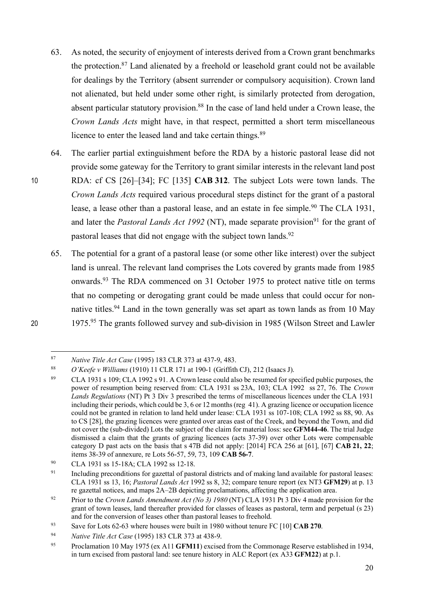- 63. As noted, the security of enjoyment of interests derived from a Crown grant benchmarks the protection. <sup>87</sup> Land alienated by a freehold or leasehold grant could not be available for dealings by the Territory (absent surrender or compulsory acquisition). Crown land not alienated, but held under some other right, is similarly protected from derogation, absent particular statutory provision.<sup>88</sup> In the case of land held under a Crown lease, the *Crown Lands Acts* might have, in that respect, permitted a short term miscellaneous licence to enter the leased land and take certain things.<sup>89</sup>
- 64. The earlier partial extinguishment before the RDA by a historic pastoral lease did not provide some gateway for the Territory to grant similar interests in the relevant land post 10 RDA: cf CS [26]–[34]; FC [135] **CAB 312**. The subject Lots were town lands. The *Crown Lands Acts* required various procedural steps distinct for the grant of a pastoral lease, a lease other than a pastoral lease, and an estate in fee simple.<sup>90</sup> The CLA 1931, and later the *Pastoral Lands Act 1992* (NT), made separate provision<sup>91</sup> for the grant of pastoral leases that did not engage with the subject town lands.<sup>92</sup>
- 65. The potential for a grant of a pastoral lease (or some other like interest) over the subject land is unreal. The relevant land comprises the Lots covered by grants made from 1985 onwards.<sup>93</sup> The RDA commenced on 31 October 1975 to protect native title on terms that no competing or derogating grant could be made unless that could occur for nonnative titles.<sup>94</sup> Land in the town generally was set apart as town lands as from 10 May 20 1975<sup>.95</sup> The grants followed survey and sub-division in 1985 (Wilson Street and Lawler

 <sup>87</sup> *Native Title Act Case* (1995) 183 CLR 373 at 437-9, 483.

<sup>88</sup> *O'Keefe v Williams* (1910) 11 CLR 171 at 190-1 (Griffith CJ), 212 (Isaacs J).

<sup>89</sup> CLA 1931 s 109; CLA 1992 s 91. A Crown lease could also be resumed for specified public purposes, the power of resumption being reserved from: CLA 1931 ss 23A, 103; CLA 1992 ss 27, 76. The *Crown Lands Regulations* (NT) Pt 3 Div 3 prescribed the terms of miscellaneous licences under the CLA 1931 including their periods, which could be 3, 6 or 12 months (reg 41). A grazing licence or occupation licence could not be granted in relation to land held under lease: CLA 1931 ss 107-108; CLA 1992 ss 88, 90. As to CS [28], the grazing licences were granted over areas east of the Creek, and beyond the Town, and did not cover the (sub-divided) Lots the subject of the claim for material loss: see **GFM44-46**. The trial Judge dismissed a claim that the grants of grazing licences (acts 37-39) over other Lots were compensable category D past acts on the basis that s 47B did not apply: [2014] FCA 256 at [61], [67] **CAB 21, 22**; items 38-39 of annexure, re Lots 56-57, 59, 73, 109 **CAB 56-7**.

<sup>90</sup> CLA 1931 ss 15-18A; CLA 1992 ss 12-18.

<sup>&</sup>lt;sup>91</sup> Including preconditions for gazettal of pastoral districts and of making land available for pastoral leases: CLA 1931 ss 13, 16; *Pastoral Lands Act* 1992 ss 8, 32; compare tenure report (ex NT3 **GFM29**) at p. 13 re gazettal notices, and maps 2A–2B depicting proclamations, affecting the application area.

<sup>92</sup> Prior to the *Crown Lands Amendment Act (No 3) 1980* (NT) CLA 1931 Pt 3 Div 4 made provision for the grant of town leases, land thereafter provided for classes of leases as pastoral, term and perpetual (s 23) and for the conversion of leases other than pastoral leases to freehold.

<sup>&</sup>lt;sup>93</sup> Save for Lots 62-63 where houses were built in 1980 without tenure FC [10]  $\mathbf{CAB 270}$ .

<sup>94</sup> *Native Title Act Case* (1995) 183 CLR 373 at 438-9.

<sup>95</sup> Proclamation 10 May 1975 (ex A11 **GFM11**) excised from the Commonage Reserve established in 1934, in turn excised from pastoral land: see tenure history in ALC Report (ex A33 **GFM22**) at p.1.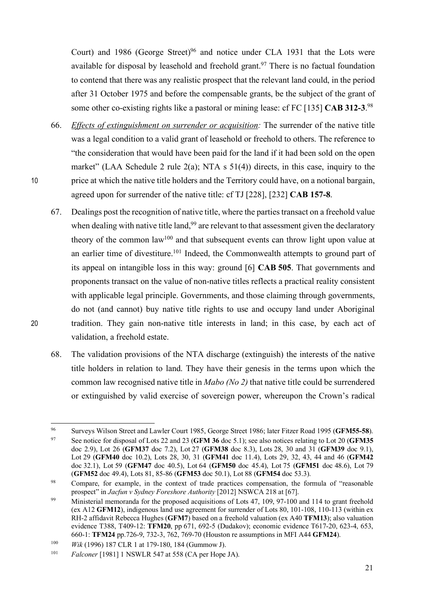Court) and 1986 (George Street)<sup>96</sup> and notice under CLA 1931 that the Lots were available for disposal by leasehold and freehold grant.<sup>97</sup> There is no factual foundation to contend that there was any realistic prospect that the relevant land could, in the period after 31 October 1975 and before the compensable grants, be the subject of the grant of some other co-existing rights like a pastoral or mining lease: cf FC [135] **CAB 312-3**. 98

- 66. *Effects of extinguishment on surrender or acquisition:* The surrender of the native title was a legal condition to a valid grant of leasehold or freehold to others. The reference to "the consideration that would have been paid for the land if it had been sold on the open market" (LAA Schedule 2 rule  $2(a)$ ; NTA s  $51(4)$ ) directs, in this case, inquiry to the 10 price at which the native title holders and the Territory could have, on a notional bargain, agreed upon for surrender of the native title: cf TJ [228], [232] **CAB 157-8**.
- 67. Dealings post the recognition of native title, where the parties transact on a freehold value when dealing with native title land,  $99$  are relevant to that assessment given the declaratory theory of the common  $law^{100}$  and that subsequent events can throw light upon value at an earlier time of divestiture.<sup>101</sup> Indeed, the Commonwealth attempts to ground part of its appeal on intangible loss in this way: ground [6] **CAB 505**. That governments and proponents transact on the value of non-native titles reflects a practical reality consistent with applicable legal principle. Governments, and those claiming through governments, do not (and cannot) buy native title rights to use and occupy land under Aboriginal 20 tradition. They gain non-native title interests in land; in this case, by each act of validation, a freehold estate.
	- 68. The validation provisions of the NTA discharge (extinguish) the interests of the native title holders in relation to land. They have their genesis in the terms upon which the common law recognised native title in *Mabo (No 2)* that native title could be surrendered or extinguished by valid exercise of sovereign power, whereupon the Crown's radical

 <sup>96</sup> Surveys Wilson Street and Lawler Court 1985, George Street 1986; later Fitzer Road 1995 (**GFM55-58**). <sup>97</sup> See notice for disposal of Lots 22 and 23 (**GFM 36** doc 5.1); see also notices relating to Lot 20 (**GFM35**  doc 2.9), Lot 26 (**GFM37** doc 7.2), Lot 27 (**GFM38** doc 8.3), Lots 28, 30 and 31 (**GFM39** doc 9.1), Lot 29 (**GFM40** doc 10.2), Lots 28, 30, 31 (**GFM41** doc 11.4), Lots 29, 32, 43, 44 and 46 (**GFM42**  doc 32.1), Lot 59 (**GFM47** doc 40.5), Lot 64 (**GFM50** doc 45.4), Lot 75 (**GFM51** doc 48.6), Lot 79 (**GFM52** doc 49.4), Lots 81, 85-86 (**GFM53** doc 50.1), Lot 88 (**GFM54** doc 53.3).

<sup>&</sup>lt;sup>98</sup> Compare, for example, in the context of trade practices compensation, the formula of "reasonable" prospect" in *Jacfun v Sydney Foreshore Authority* [2012] NSWCA 218 at [67].

<sup>&</sup>lt;sup>99</sup> Ministerial memoranda for the proposed acquisitions of Lots 47, 109, 97-100 and 114 to grant freehold (ex A12 **GFM12**), indigenous land use agreement for surrender of Lots 80, 101-108, 110-113 (within ex RH-2 affidavit Rebecca Hughes (**GFM7**) based on a freehold valuation (ex A40 **TFM13**); also valuation evidence T388, T409-12: **TFM20**, pp 671, 692-5 (Dudakov); economic evidence T617-20, 623-4, 653, 660-1: **TFM24** pp.726-9, 732-3, 762, 769-70 (Houston re assumptions in MFI A44 **GFM24**).

<sup>100</sup> *Wik* (1996) 187 CLR 1 at 179-180, 184 (Gummow J).

<sup>101</sup> *Falconer* [1981] 1 NSWLR 547 at 558 (CA per Hope JA).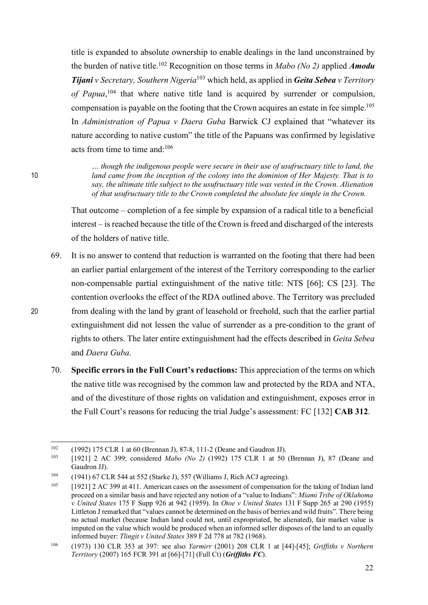title is expanded to absolute ownership to enable dealings in the land unconstrained by the burden of native title. <sup>102</sup> Recognition on those terms in *Mabo (No 2)* applied *Amodu Tijani v Secretary, Southern Nigeria*<sup>103</sup> which held, as applied in *Geita Sebea v Territory of Papua*, <sup>104</sup> that where native title land is acquired by surrender or compulsion, compensation is payable on the footing that the Crown acquires an estate in fee simple. 105 In *Administration of Papua v Daera Guba* Barwick CJ explained that "whatever its nature according to native custom" the title of the Papuans was confirmed by legislative acts from time to time and  $106$ 

*… though the indigenous people were secure in their use of usufructuary title to land, the*  10 *land came from the inception of the colony into the dominion of Her Majesty. That is to say, the ultimate title subject to the usufructuary title was vested in the Crown. Alienation of that usufructuary title to the Crown completed the absolute fee simple in the Crown.*

> That outcome – completion of a fee simple by expansion of a radical title to a beneficial interest – is reached because the title of the Crown is freed and discharged of the interests of the holders of native title.

- 69. It is no answer to contend that reduction is warranted on the footing that there had been an earlier partial enlargement of the interest of the Territory corresponding to the earlier non-compensable partial extinguishment of the native title: NTS [66]; CS [23]. The contention overlooks the effect of the RDA outlined above. The Territory was precluded 20 from dealing with the land by grant of leasehold or freehold, such that the earlier partial extinguishment did not lessen the value of surrender as a pre-condition to the grant of rights to others. The later entire extinguishment had the effects described in *Geita Sebea* and *Daera Guba*.
	- 70. **Specific errors in the Full Court's reductions:** This appreciation of the terms on which the native title was recognised by the common law and protected by the RDA and NTA, and of the divestiture of those rights on validation and extinguishment, exposes error in the Full Court's reasons for reducing the trial Judge's assessment: FC [132] **CAB 312**.

 <sup>102</sup> (1992) 175 CLR 1 at 60 (Brennan J), 87-8, 111-2 (Deane and Gaudron JJ).

<sup>103</sup> [1921] 2 AC 399; considered *Mabo (No 2)* (1992) 175 CLR 1 at 50 (Brennan J), 87 (Deane and Gaudron JJ).

<sup>104</sup> (1941) 67 CLR 544 at 552 (Starke J), 557 (Williams J, Rich ACJ agreeing).

<sup>&</sup>lt;sup>105</sup> [1921] 2 AC 399 at 411. American cases on the assessment of compensation for the taking of Indian land proceed on a similar basis and have rejected any notion of a "value to Indians": *Miami Tribe of Oklahoma v United States* 175 F Supp 926 at 942 (1959). In *Otoe v United States* 131 F Supp 265 at 290 (1955) Littleton J remarked that "values cannot be determined on the basis of berries and wild fruits". There being no actual market (because Indian land could not, until expropriated, be alienated), fair market value is imputed on the value which would be produced when an informed seller disposes of the land to an equally informed buyer: *Tlingit v United States* 389 F 2d 778 at 782 (1968).

<sup>106</sup> (1973) 130 CLR 353 at 397: see also *Yarmirr* (2001) 208 CLR 1 at [44]-[45]; *Griffiths v Northern Territory* (2007) 165 FCR 391 at [66]-[71] (Full Ct) (*Griffiths FC*).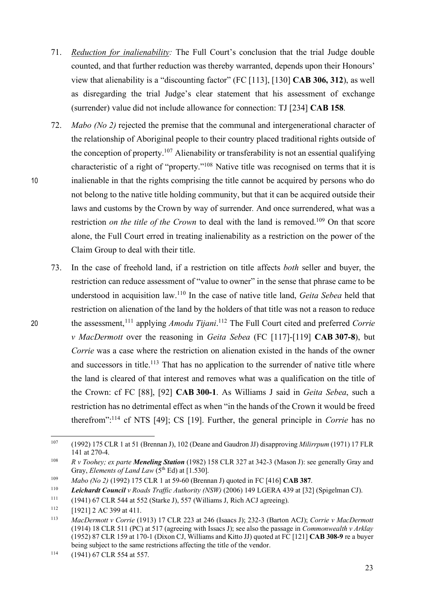- 71. *Reduction for inalienability:* The Full Court's conclusion that the trial Judge double counted, and that further reduction was thereby warranted, depends upon their Honours' view that alienability is a "discounting factor" (FC [113], [130] **CAB 306, 312**), as well as disregarding the trial Judge's clear statement that his assessment of exchange (surrender) value did not include allowance for connection: TJ [234] **CAB 158**.
- 72. *Mabo (No 2)* rejected the premise that the communal and intergenerational character of the relationship of Aboriginal people to their country placed traditional rights outside of the conception of property.<sup>107</sup> Alienability or transferability is not an essential qualifying characteristic of a right of "property."108 Native title was recognised on terms that it is 10 inalienable in that the rights comprising the title cannot be acquired by persons who do not belong to the native title holding community, but that it can be acquired outside their laws and customs by the Crown by way of surrender*.* And once surrendered, what was a restriction *on the title of the Crown* to deal with the land is removed.<sup>109</sup> On that score alone, the Full Court erred in treating inalienability as a restriction on the power of the Claim Group to deal with their title.
- 73. In the case of freehold land, if a restriction on title affects *both* seller and buyer, the restriction can reduce assessment of "value to owner" in the sense that phrase came to be understood in acquisition law. <sup>110</sup> In the case of native title land, *Geita Sebea* held that restriction on alienation of the land by the holders of that title was not a reason to reduce 20 the assessment,<sup>111</sup> applying *Amodu Tijani*.<sup>112</sup> The Full Court cited and preferred *Corrie v MacDermott* over the reasoning in *Geita Sebea* (FC [117]-[119] **CAB 307-8**), but *Corrie* was a case where the restriction on alienation existed in the hands of the owner and successors in title.<sup>113</sup> That has no application to the surrender of native title where the land is cleared of that interest and removes what was a qualification on the title of the Crown: cf FC [88], [92] **CAB 300-1**. As Williams J said in *Geita Sebea*, such a restriction has no detrimental effect as when "in the hands of the Crown it would be freed therefrom":114 cf NTS [49]; CS [19]. Further, the general principle in *Corrie* has no

 <sup>107</sup> (1992) 175 CLR 1 at 51 (Brennan J), 102 (Deane and Gaudron JJ) disapproving *Milirrpum* (1971) 17 FLR 141 at 270-4.

<sup>108</sup> *R v Toohey; ex parte Meneling Station* (1982) 158 CLR 327 at 342-3 (Mason J): see generally Gray and Gray, *Elements of Land Law* (5<sup>th</sup> Ed) at [1.530].

<sup>109</sup> *Mabo (No 2)* (1992) 175 CLR 1 at 59-60 (Brennan J) quoted in FC [416] **CAB 387**.

<sup>110</sup> *Leichardt Council v Roads Traffic Authority (NSW)* (2006) 149 LGERA 439 at [32] (Spigelman CJ).

<sup>111</sup> (1941) 67 CLR 544 at 552 (Starke J), 557 (Williams J, Rich ACJ agreeing).

 $112$  [1921] 2 AC 399 at 411.

<sup>113</sup> *MacDermott v Corrie* (1913) 17 CLR 223 at 246 (Isaacs J); 232-3 (Barton ACJ); *Corrie v MacDermott*  (1914) 18 CLR 511 (PC) at 517 (agreeing with Issacs J); see also the passage in *Commonwealth v Arklay*  (1952) 87 CLR 159 at 170-1 (Dixon CJ, Williams and Kitto JJ) quoted at FC [121] **CAB 308-9** re a buyer being subject to the same restrictions affecting the title of the vendor.<br>
(1941) 67 CLR 554 at 557.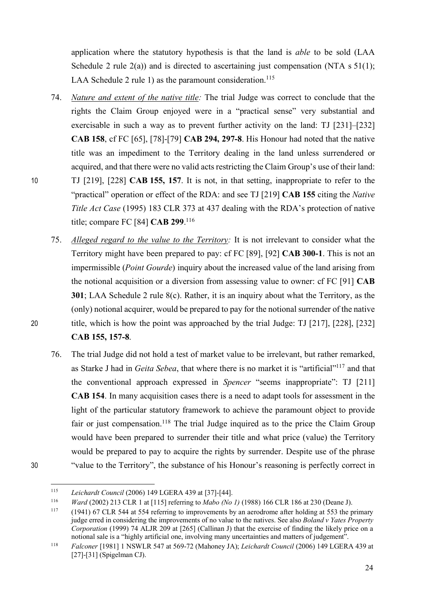application where the statutory hypothesis is that the land is *able* to be sold (LAA Schedule 2 rule  $2(a)$ ) and is directed to ascertaining just compensation (NTA s  $51(1)$ ; LAA Schedule 2 rule 1) as the paramount consideration.<sup>115</sup>

- 74. *Nature and extent of the native title:* The trial Judge was correct to conclude that the rights the Claim Group enjoyed were in a "practical sense" very substantial and exercisable in such a way as to prevent further activity on the land: TJ [231]–[232] **CAB 158**, cf FC [65], [78]-[79] **CAB 294, 297-8**. His Honour had noted that the native title was an impediment to the Territory dealing in the land unless surrendered or acquired, and that there were no valid acts restricting the Claim Group's use of their land: 10 TJ [219], [228] **CAB 155, 157**. It is not, in that setting, inappropriate to refer to the "practical" operation or effect of the RDA: and see TJ [219] **CAB 155** citing the *Native Title Act Case* (1995) 183 CLR 373 at 437 dealing with the RDA's protection of native title; compare FC [84] **CAB 299**. 116
- 75. *Alleged regard to the value to the Territory:* It is not irrelevant to consider what the Territory might have been prepared to pay: cf FC [89], [92] **CAB 300-1**. This is not an impermissible (*Point Gourde*) inquiry about the increased value of the land arising from the notional acquisition or a diversion from assessing value to owner: cf FC [91] **CAB 301**; LAA Schedule 2 rule 8(c). Rather, it is an inquiry about what the Territory, as the (only) notional acquirer, would be prepared to pay for the notional surrender of the native 20 title, which is how the point was approached by the trial Judge: TJ [217], [228], [232] **CAB 155, 157-8**.
- 76. The trial Judge did not hold a test of market value to be irrelevant, but rather remarked, as Starke J had in *Geita Sebea*, that where there is no market it is "artificial"117 and that the conventional approach expressed in *Spencer* "seems inappropriate": TJ [211] **CAB 154**. In many acquisition cases there is a need to adapt tools for assessment in the light of the particular statutory framework to achieve the paramount object to provide fair or just compensation.<sup>118</sup> The trial Judge inquired as to the price the Claim Group would have been prepared to surrender their title and what price (value) the Territory would be prepared to pay to acquire the rights by surrender. Despite use of the phrase 30 "value to the Territory", the substance of his Honour's reasoning is perfectly correct in
- 

 <sup>115</sup> *Leichardt Council* (2006) 149 LGERA 439 at [37]-[44].

<sup>116</sup> *Ward* (2002) 213 CLR 1 at [115] referring to *Mabo (No 1)* (1988) 166 CLR 186 at 230 (Deane J).

<sup>117</sup> (1941) 67 CLR 544 at 554 referring to improvements by an aerodrome after holding at 553 the primary judge erred in considering the improvements of no value to the natives. See also *Boland v Yates Property Corporation* (1999) 74 ALJR 209 at [265] (Callinan J) that the exercise of finding the likely price on a notional sale is a "highly artificial one, involving many uncertainties and matters of judgement".

<sup>118</sup> *Falconer* [1981] 1 NSWLR 547 at 569-72 (Mahoney JA); *Leichardt Council* (2006) 149 LGERA 439 at [27]-[31] (Spigelman CJ).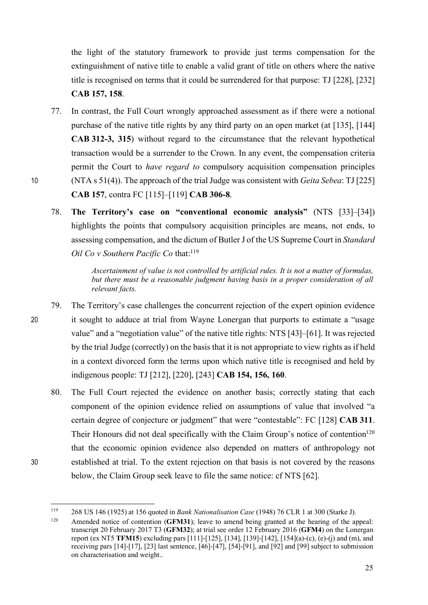the light of the statutory framework to provide just terms compensation for the extinguishment of native title to enable a valid grant of title on others where the native title is recognised on terms that it could be surrendered for that purpose: TJ [228], [232] **CAB 157, 158**.

- 77. In contrast, the Full Court wrongly approached assessment as if there were a notional purchase of the native title rights by any third party on an open market (at [135], [144] **CAB 312-3, 315**) without regard to the circumstance that the relevant hypothetical transaction would be a surrender to the Crown. In any event, the compensation criteria permit the Court to *have regard to* compulsory acquisition compensation principles 10 (NTA s 51(4)). The approach of the trial Judge was consistent with *Geita Sebea*: TJ[225] **CAB 157**, contra FC [115]–[119] **CAB 306-8**.
	- 78. **The Territory's case on "conventional economic analysis"** (NTS [33]–[34]) highlights the points that compulsory acquisition principles are means, not ends, to assessing compensation, and the dictum of Butler J of the US Supreme Court in *Standard Oil Co v Southern Pacific Co* that: 119

*Ascertainment of value is not controlled by artificial rules. It is not a matter of formulas, but there must be a reasonable judgment having basis in a proper consideration of all relevant facts.*

- 79. The Territory's case challenges the concurrent rejection of the expert opinion evidence 20 it sought to adduce at trial from Wayne Lonergan that purports to estimate a "usage value" and a "negotiation value" of the native title rights: NTS [43]–[61]. It was rejected by the trial Judge (correctly) on the basis that it is not appropriate to view rights as if held in a context divorced form the terms upon which native title is recognised and held by indigenous people: TJ [212], [220], [243] **CAB 154, 156, 160**.
- 80. The Full Court rejected the evidence on another basis; correctly stating that each component of the opinion evidence relied on assumptions of value that involved "a certain degree of conjecture or judgment" that were "contestable": FC [128] **CAB 311**. Their Honours did not deal specifically with the Claim Group's notice of contention<sup>120</sup> that the economic opinion evidence also depended on matters of anthropology not 30 established at trial. To the extent rejection on that basis is not covered by the reasons below, the Claim Group seek leave to file the same notice: cf NTS [62].

 <sup>119</sup> 268 US 146 (1925) at 156 quoted in *Bank Nationalisation Case* (1948) 76 CLR 1 at 300 (Starke J).

<sup>120</sup> Amended notice of contention (**GFM31**); leave to amend being granted at the hearing of the appeal: transcript 20 February 2017 T3 (**GFM32**); at trial see order 12 February 2016 (**GFM4**) on the Lonergan report (ex NT5 **TFM15**) excluding pars [111]-[125], [134], [139]-[142], [154](a)-(c), (e)-(j) and (m), and receiving pars [14]-[17], [23] last sentence, [46]-[47], [54]-[91], and [92] and [99] subject to submission on characterisation and weight..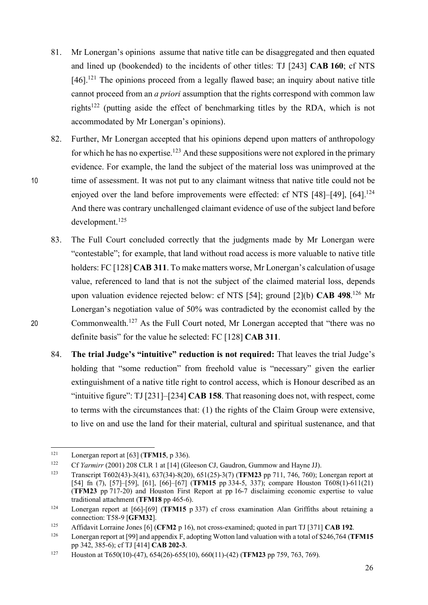- 81. Mr Lonergan's opinions assume that native title can be disaggregated and then equated and lined up (bookended) to the incidents of other titles: TJ [243] **CAB 160**; cf NTS [46].<sup>121</sup> The opinions proceed from a legally flawed base; an inquiry about native title cannot proceed from an *a priori* assumption that the rights correspond with common law rights122 (putting aside the effect of benchmarking titles by the RDA, which is not accommodated by Mr Lonergan's opinions).
- 82. Further, Mr Lonergan accepted that his opinions depend upon matters of anthropology for which he has no expertise.<sup>123</sup> And these suppositions were not explored in the primary evidence. For example, the land the subject of the material loss was unimproved at the 10 time of assessment. It was not put to any claimant witness that native title could not be enjoyed over the land before improvements were effected: cf NTS [48]–[49], [64].<sup>124</sup> And there was contrary unchallenged claimant evidence of use of the subject land before development.<sup>125</sup>
- 83. The Full Court concluded correctly that the judgments made by Mr Lonergan were "contestable"; for example, that land without road access is more valuable to native title holders: FC [128] **CAB 311**. To make matters worse, Mr Lonergan's calculation of usage value, referenced to land that is not the subject of the claimed material loss, depends upon valuation evidence rejected below: cf NTS [54]; ground [2](b) **CAB 498**. <sup>126</sup> Mr Lonergan's negotiation value of 50% was contradicted by the economist called by the 20  $\blacksquare$  Commonwealth. <sup>127</sup> As the Full Court noted, Mr Lonergan accepted that "there was no definite basis" for the value he selected: FC [128] **CAB 311**.
	- 84. **The trial Judge's "intuitive" reduction is not required:** That leaves the trial Judge's holding that "some reduction" from freehold value is "necessary" given the earlier extinguishment of a native title right to control access, which is Honour described as an "intuitive figure": TJ[231]–[234] **CAB 158**. That reasoning does not, with respect, come to terms with the circumstances that: (1) the rights of the Claim Group were extensive, to live on and use the land for their material, cultural and spiritual sustenance, and that

 <sup>121</sup> Lonergan report at [63] (**TFM15**, p 336).

<sup>&</sup>lt;sup>122</sup> Cf *Yarmirr* (2001) 208 CLR 1 at [14] (Gleeson CJ, Gaudron, Gummow and Hayne JJ).

<sup>123</sup> Transcript T602(43)-3(41), 637(34)-8(20), 651(25)-3(7) (**TFM23** pp 711, 746, 760); Lonergan report at [54] fn (7), [57]–[59], [61], [66]–[67] (**TFM15** pp 334-5, 337); compare Houston T608(1)-611(21) (**TFM23** pp 717-20) and Houston First Report at pp 16-7 disclaiming economic expertise to value traditional attachment (**TFM18** pp 465-6).

<sup>124</sup> Lonergan report at [66]-[69] (**TFM15** p 337) cf cross examination Alan Griffiths about retaining a connection: T58-9 [**GFM32**].

<sup>125</sup> Affidavit Lorraine Jones [6] (**CFM2** p 16), not cross-examined; quoted in part TJ [371] **CAB 192**.

<sup>126</sup> Lonergan report at [99] and appendix F, adopting Wotton land valuation with a total of \$246,764 (**TFM15**  pp 342, 385-6); cf TJ [414] **CAB 202-3**.

<sup>127</sup> Houston at T650(10)-(47), 654(26)-655(10), 660(11)-(42) (**TFM23** pp 759, 763, 769).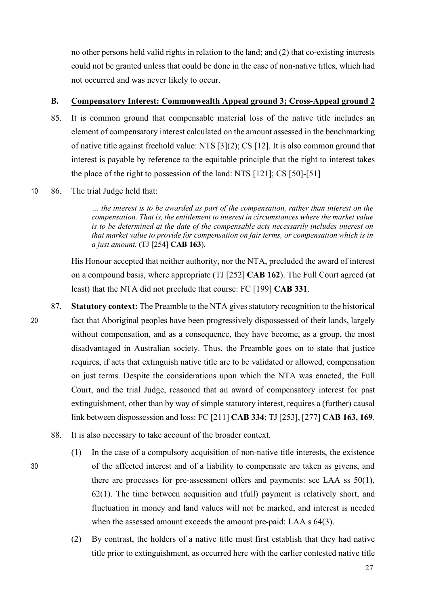no other persons held valid rights in relation to the land; and (2) that co-existing interests could not be granted unless that could be done in the case of non-native titles, which had not occurred and was never likely to occur.

# **B. Compensatory Interest: Commonwealth Appeal ground 3; Cross-Appeal ground 2**

- 85. It is common ground that compensable material loss of the native title includes an element of compensatory interest calculated on the amount assessed in the benchmarking of native title against freehold value: NTS [3](2); CS [12]. It is also common ground that interest is payable by reference to the equitable principle that the right to interest takes the place of the right to possession of the land: NTS [121]; CS [50]-[51]
- 10 86. The trial Judge held that:

*… the interest is to be awarded as part of the compensation, rather than interest on the compensation. That is, the entitlement to interest in circumstances where the market value is to be determined at the date of the compensable acts necessarily includes interest on that market value to provide for compensation on fair terms, or compensation which is in a just amount.* (TJ [254] **CAB 163**).

His Honour accepted that neither authority, nor the NTA, precluded the award of interest on a compound basis, where appropriate (TJ [252] **CAB 162**). The Full Court agreed (at least) that the NTA did not preclude that course: FC [199] **CAB 331**.

- 87. **Statutory context:** The Preamble to the NTA gives statutory recognition to the historical 20 fact that Aboriginal peoples have been progressively dispossessed of their lands, largely without compensation, and as a consequence, they have become, as a group, the most disadvantaged in Australian society. Thus, the Preamble goes on to state that justice requires, if acts that extinguish native title are to be validated or allowed, compensation on just terms. Despite the considerations upon which the NTA was enacted, the Full Court, and the trial Judge, reasoned that an award of compensatory interest for past extinguishment, other than by way of simple statutory interest, requires a (further) causal link between dispossession and loss: FC [211] **CAB 334**; TJ [253], [277] **CAB 163, 169**.
	- 88. It is also necessary to take account of the broader context.
- (1) In the case of a compulsory acquisition of non-native title interests, the existence 30 of the affected interest and of a liability to compensate are taken as givens, and there are processes for pre-assessment offers and payments: see LAA ss 50(1), 62(1). The time between acquisition and (full) payment is relatively short, and fluctuation in money and land values will not be marked, and interest is needed when the assessed amount exceeds the amount pre-paid: LAA s 64(3).
	- (2) By contrast, the holders of a native title must first establish that they had native title prior to extinguishment, as occurred here with the earlier contested native title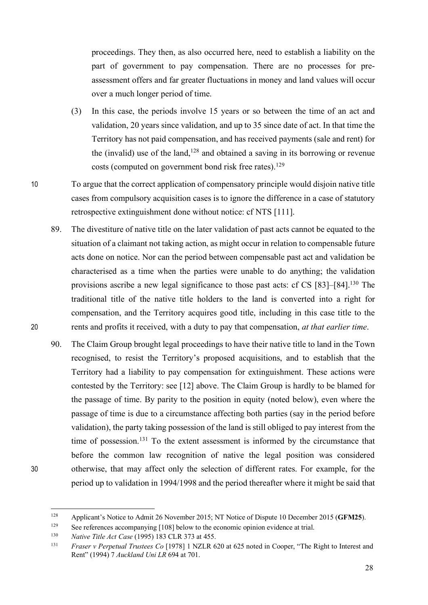proceedings. They then, as also occurred here, need to establish a liability on the part of government to pay compensation. There are no processes for preassessment offers and far greater fluctuations in money and land values will occur over a much longer period of time.

- (3) In this case, the periods involve 15 years or so between the time of an act and validation, 20 years since validation, and up to 35 since date of act. In that time the Territory has not paid compensation, and has received payments (sale and rent) for the (invalid) use of the land, <sup>128</sup> and obtained a saving in its borrowing or revenue costs (computed on government bond risk free rates). 129
- 10 To argue that the correct application of compensatory principle would disjoin native title cases from compulsory acquisition cases is to ignore the difference in a case of statutory retrospective extinguishment done without notice: cf NTS [111].
- 89. The divestiture of native title on the later validation of past acts cannot be equated to the situation of a claimant not taking action, as might occur in relation to compensable future acts done on notice. Nor can the period between compensable past act and validation be characterised as a time when the parties were unable to do anything; the validation provisions ascribe a new legal significance to those past acts: cf CS [83]–[84].130 The traditional title of the native title holders to the land is converted into a right for compensation, and the Territory acquires good title, including in this case title to the 20 rents and profits it received, with a duty to pay that compensation, *at that earlier time*.
- 90. The Claim Group brought legal proceedings to have their native title to land in the Town recognised, to resist the Territory's proposed acquisitions, and to establish that the Territory had a liability to pay compensation for extinguishment. These actions were contested by the Territory: see [12] above. The Claim Group is hardly to be blamed for the passage of time. By parity to the position in equity (noted below), even where the passage of time is due to a circumstance affecting both parties (say in the period before validation), the party taking possession of the land is still obliged to pay interest from the time of possession. <sup>131</sup> To the extent assessment is informed by the circumstance that before the common law recognition of native the legal position was considered 30 otherwise, that may affect only the selection of different rates. For example, for the period up to validation in 1994/1998 and the period thereafter where it might be said that

 <sup>128</sup> Applicant's Notice to Admit 26 November 2015; NT Notice of Dispute 10 December 2015 (**GFM25**).

<sup>129</sup> See references accompanying [108] below to the economic opinion evidence at trial. 130 *Native Title Act Case* (1995) 183 CLR 373 at 455.

<sup>131</sup> *Fraser v Perpetual Trustees Co* [1978] 1 NZLR 620 at 625 noted in Cooper, "The Right to Interest and Rent" (1994) 7 *Auckland Uni LR* 694 at 701.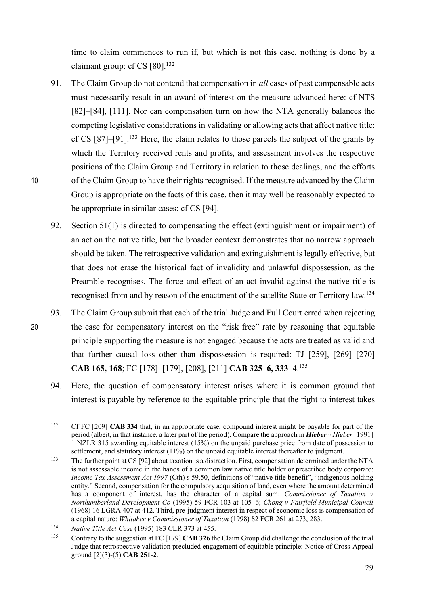time to claim commences to run if, but which is not this case, nothing is done by a claimant group: cf CS [80]. 132

- 91. The Claim Group do not contend that compensation in *all* cases of past compensable acts must necessarily result in an award of interest on the measure advanced here: cf NTS [82]–[84], [111]. Nor can compensation turn on how the NTA generally balances the competing legislative considerations in validating or allowing acts that affect native title: cf CS  $[87]$ – $[91]$ <sup> $[133$ </sup> Here, the claim relates to those parcels the subject of the grants by which the Territory received rents and profits, and assessment involves the respective positions of the Claim Group and Territory in relation to those dealings, and the efforts 10 of the Claim Group to have their rights recognised. If the measure advanced by the Claim Group is appropriate on the facts of this case, then it may well be reasonably expected to be appropriate in similar cases: cf CS [94].
	- 92. Section 51(1) is directed to compensating the effect (extinguishment or impairment) of an act on the native title, but the broader context demonstrates that no narrow approach should be taken. The retrospective validation and extinguishment is legally effective, but that does not erase the historical fact of invalidity and unlawful dispossession, as the Preamble recognises. The force and effect of an act invalid against the native title is recognised from and by reason of the enactment of the satellite State or Territory law.134
- 93. The Claim Group submit that each of the trial Judge and Full Court erred when rejecting 20 the case for compensatory interest on the "risk free" rate by reasoning that equitable principle supporting the measure is not engaged because the acts are treated as valid and that further causal loss other than dispossession is required: TJ [259], [269]–[270] **CAB 165, 168**; FC [178]–[179], [208], [211] **CAB 325–6, 333–4**. 135
	- 94. Here, the question of compensatory interest arises where it is common ground that interest is payable by reference to the equitable principle that the right to interest takes

 <sup>132</sup> Cf FC [209] **CAB <sup>334</sup>** that, in an appropriate case, compound interest might be payable for part of the period (albeit, in that instance, a later part of the period). Compare the approach in *Hieber v Hieber* [1991] 1 NZLR 315 awarding equitable interest (15%) on the unpaid purchase price from date of possession to settlement, and statutory interest (11%) on the unpaid equitable interest thereafter to judgment.

<sup>133</sup> The further point at CS [92] about taxation is a distraction. First, compensation determined under the NTA is not assessable income in the hands of a common law native title holder or prescribed body corporate: *Income Tax Assessment Act 1997* (Cth) s 59.50, definitions of "native title benefit", "indigenous holding entity." Second, compensation for the compulsory acquisition of land, even where the amount determined has a component of interest, has the character of a capital sum: *Commissioner of Taxation v Northumberland Development Co* (1995) 59 FCR 103 at 105–6; *Chong v Fairfield Municipal Council* (1968) 16 LGRA 407 at 412. Third, pre-judgment interest in respect of economic loss is compensation of a capital nature: *Whitaker v Commissioner of Taxation* (1998) 82 FCR 261 at 273, 283. 134 *Native Title Act Case* (1995) 183 CLR 373 at 455.

<sup>135</sup> Contrary to the suggestion at FC [179] **CAB 326** the Claim Group did challenge the conclusion of the trial Judge that retrospective validation precluded engagement of equitable principle: Notice of Cross-Appeal ground [2](3)-(5) **CAB 251-2**.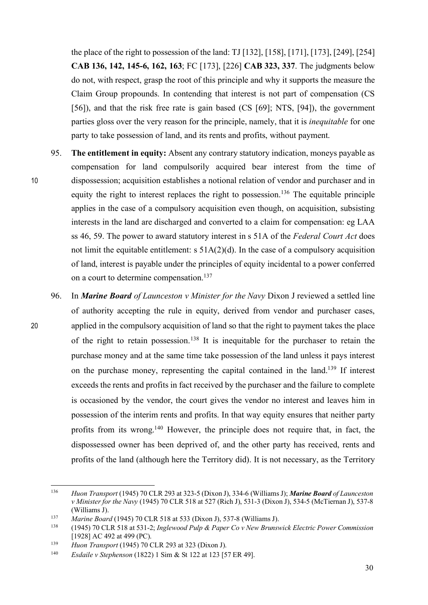the place of the right to possession of the land: TJ [132], [158], [171], [173], [249], [254] **CAB 136, 142, 145-6, 162, 163**; FC [173], [226] **CAB 323, 337**. The judgments below do not, with respect, grasp the root of this principle and why it supports the measure the Claim Group propounds. In contending that interest is not part of compensation (CS [56]), and that the risk free rate is gain based (CS [69]; NTS, [94]), the government parties gloss over the very reason for the principle, namely, that it is *inequitable* for one party to take possession of land, and its rents and profits, without payment.

- 95. **The entitlement in equity:** Absent any contrary statutory indication, moneys payable as compensation for land compulsorily acquired bear interest from the time of 10 dispossession; acquisition establishes a notional relation of vendor and purchaser and in equity the right to interest replaces the right to possession.<sup>136</sup> The equitable principle applies in the case of a compulsory acquisition even though, on acquisition, subsisting interests in the land are discharged and converted to a claim for compensation: eg LAA ss 46, 59. The power to award statutory interest in s 51A of the *Federal Court Act* does not limit the equitable entitlement:  $s$  51A(2)(d). In the case of a compulsory acquisition of land, interest is payable under the principles of equity incidental to a power conferred on a court to determine compensation.137
- 96. In *Marine Board of Launceston v Minister for the Navy* Dixon J reviewed a settled line of authority accepting the rule in equity, derived from vendor and purchaser cases, 20 applied in the compulsory acquisition of land so that the right to payment takes the place of the right to retain possession.138 It is inequitable for the purchaser to retain the purchase money and at the same time take possession of the land unless it pays interest on the purchase money, representing the capital contained in the land.139 If interest exceeds the rents and profits in fact received by the purchaser and the failure to complete is occasioned by the vendor, the court gives the vendor no interest and leaves him in possession of the interim rents and profits. In that way equity ensures that neither party profits from its wrong.140 However, the principle does not require that, in fact, the dispossessed owner has been deprived of, and the other party has received, rents and profits of the land (although here the Territory did). It is not necessary, as the Territory

 <sup>136</sup> *Huon Transport* (1945) 70 CLR 293 at 323-5 (Dixon J), 334-6 (Williams J); *Marine Board of Launceston v Minister for the Navy* (1945) 70 CLR 518 at 527 (Rich J), 531-3 (Dixon J), 534-5 (McTiernan J), 537-8 (Williams J).

<sup>137</sup> *Marine Board* (1945) 70 CLR 518 at 533 (Dixon J), 537-8 (Williams J). 138 (1945) 70 CLR 518 at 531-2; *Inglewood Pulp & Paper Co v New Brunswick Electric Power Commission*  [1928] AC 492 at 499 (PC).

<sup>139</sup> *Huon Transport* (1945) 70 CLR 293 at 323 (Dixon J).

<sup>140</sup> *Esdaile v Stephenson* (1822) 1 Sim & St 122 at 123 [57 ER 49].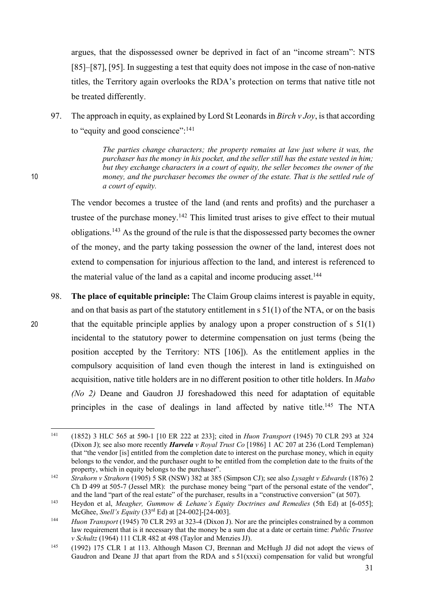argues, that the dispossessed owner be deprived in fact of an "income stream": NTS [85]–[87], [95]. In suggesting a test that equity does not impose in the case of non-native titles, the Territory again overlooks the RDA's protection on terms that native title not be treated differently.

97. The approach in equity, as explained by Lord St Leonards in *Birch v Joy*, is that according to "equity and good conscience": 141

*The parties change characters; the property remains at law just where it was, the purchaser has the money in his pocket, and the seller still has the estate vested in him; but they exchange characters in a court of equity, the seller becomes the owner of the*  10 *money, and the purchaser becomes the owner of the estate. That is the settled rule of a court of equity.*

> The vendor becomes a trustee of the land (and rents and profits) and the purchaser a trustee of the purchase money.<sup>142</sup> This limited trust arises to give effect to their mutual obligations. <sup>143</sup> As the ground of the rule is that the dispossessed party becomes the owner of the money, and the party taking possession the owner of the land, interest does not extend to compensation for injurious affection to the land, and interest is referenced to the material value of the land as a capital and income producing asset.<sup>144</sup>

98. **The place of equitable principle:** The Claim Group claims interest is payable in equity, and on that basis as part of the statutory entitlement in  $s 51(1)$  of the NTA, or on the basis 20 that the equitable principle applies by analogy upon a proper construction of s 51(1) incidental to the statutory power to determine compensation on just terms (being the position accepted by the Territory: NTS [106]). As the entitlement applies in the compulsory acquisition of land even though the interest in land is extinguished on acquisition, native title holders are in no different position to other title holders. In *Mabo (No 2)* Deane and Gaudron JJ foreshadowed this need for adaptation of equitable principles in the case of dealings in land affected by native title.<sup>145</sup> The NTA

 <sup>141</sup> (1852) 3 HLC 565 at 590-1 [10 ER 222 at 233]; cited in *Huon Transport* (1945) 70 CLR 293 at 324 (Dixon J); see also more recently *Harvela v Royal Trust Co* [1986] 1 AC 207 at 236 (Lord Templeman) that "the vendor [is] entitled from the completion date to interest on the purchase money, which in equity belongs to the vendor, and the purchaser ought to be entitled from the completion date to the fruits of the property, which in equity belongs to the purchaser".

<sup>142</sup> *Strahorn v Strahorn* (1905) 5 SR (NSW) 382 at 385 (Simpson CJ); see also *Lysaght v Edwards* (1876) 2 Ch D 499 at 505-7 (Jessel MR): the purchase money being "part of the personal estate of the vendor", and the land "part of the real estate" of the purchaser, results in a "constructive conversion" (at 507).

<sup>&</sup>lt;sup>143</sup> Heydon et al, *Meagher, Gummow & Lehane's Equity Doctrines and Remedies* (5th Ed) at [6-055]; McGhee, *Snell's Equity* (33rd Ed) at [24-002]-[24-003].

<sup>&</sup>lt;sup>144</sup> *Huon Transport* (1945) 70 CLR 293 at 323-4 (Dixon J). Nor are the principles constrained by a common law requirement that is it necessary that the money be a sum due at a date or certain time: *Public Trustee v Schultz* (1964) 111 CLR 482 at 498 (Taylor and Menzies JJ).

<sup>145</sup> (1992) 175 CLR 1 at 113. Although Mason CJ, Brennan and McHugh JJ did not adopt the views of Gaudron and Deane JJ that apart from the RDA and  $s 51(xxxi)$  compensation for valid but wrongful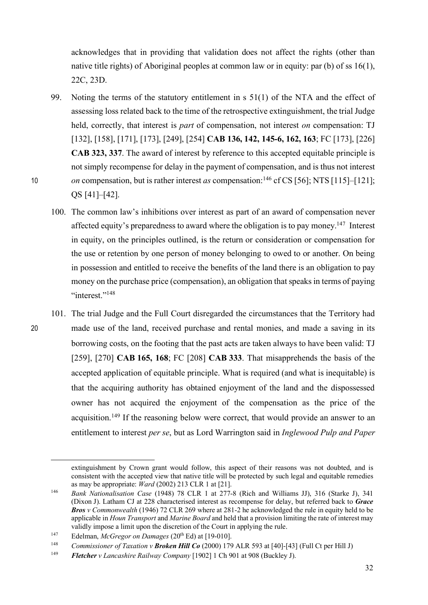acknowledges that in providing that validation does not affect the rights (other than native title rights) of Aboriginal peoples at common law or in equity: par (b) of ss 16(1), 22C, 23D.

- 99. Noting the terms of the statutory entitlement in s 51(1) of the NTA and the effect of assessing loss related back to the time of the retrospective extinguishment, the trial Judge held, correctly, that interest is *part* of compensation, not interest *on* compensation: TJ [132], [158], [171], [173], [249], [254] **CAB 136, 142, 145-6, 162, 163**; FC [173], [226] **CAB 323, 337**. The award of interest by reference to this accepted equitable principle is not simply recompense for delay in the payment of compensation, and is thus not interest *on* compensation, but is rather interest *as* compensation:<sup>146</sup> cf CS [56]; NTS [115]–[121]; QS [41]–[42].
	- 100. The common law's inhibitions over interest as part of an award of compensation never affected equity's preparedness to award where the obligation is to pay money.<sup>147</sup> Interest in equity, on the principles outlined, is the return or consideration or compensation for the use or retention by one person of money belonging to owed to or another. On being in possession and entitled to receive the benefits of the land there is an obligation to pay money on the purchase price (compensation), an obligation that speaks in terms of paying "interest."<sup>148</sup>
- 101. The trial Judge and the Full Court disregarded the circumstances that the Territory had 20 made use of the land, received purchase and rental monies, and made a saving in its borrowing costs, on the footing that the past acts are taken always to have been valid: TJ [259], [270] **CAB 165, 168**; FC [208] **CAB 333**. That misapprehends the basis of the accepted application of equitable principle. What is required (and what is inequitable) is that the acquiring authority has obtained enjoyment of the land and the dispossessed owner has not acquired the enjoyment of the compensation as the price of the acquisition.<sup>149</sup> If the reasoning below were correct, that would provide an answer to an entitlement to interest *per se*, but as Lord Warrington said in *Inglewood Pulp and Paper*

 $\overline{a}$ 

extinguishment by Crown grant would follow, this aspect of their reasons was not doubted, and is consistent with the accepted view that native title will be protected by such legal and equitable remedies as may be appropriate: *Ward* (2002) 213 CLR 1 at [21].

<sup>146</sup> *Bank Nationalisation Case* (1948) 78 CLR 1 at 277-8 (Rich and Williams JJ), 316 (Starke J), 341 (Dixon J). Latham CJ at 228 characterised interest as recompense for delay, but referred back to *Grace Bros v Commonwealth* (1946) 72 CLR 269 where at 281-2 he acknowledged the rule in equity held to be applicable in *Houn Transport* and *Marine Board* and held that a provision limiting the rate of interest may validly impose a limit upon the discretion of the Court in applying the rule.

<sup>147</sup> Edelman, *McGregor on Damages* (20th Ed) at [19-010].

<sup>148</sup> *Commissioner of Taxation v Broken Hill Co* (2000) 179 ALR 593 at [40]-[43] (Full Ct per Hill J)

<sup>149</sup> *Fletcher v Lancashire Railway Company* [1902] 1 Ch 901 at 908 (Buckley J).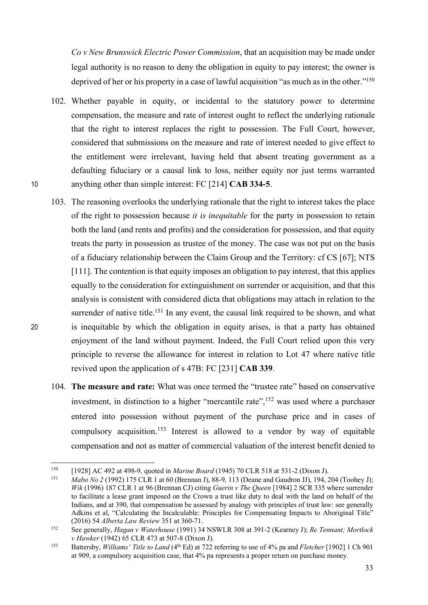*Co v New Brunswick Electric Power Commission*, that an acquisition may be made under legal authority is no reason to deny the obligation in equity to pay interest; the owner is deprived of her or his property in a case of lawful acquisition "as much as in the other."<sup>150</sup>

- 102. Whether payable in equity, or incidental to the statutory power to determine compensation, the measure and rate of interest ought to reflect the underlying rationale that the right to interest replaces the right to possession. The Full Court, however, considered that submissions on the measure and rate of interest needed to give effect to the entitlement were irrelevant, having held that absent treating government as a defaulting fiduciary or a causal link to loss, neither equity nor just terms warranted 10 anything other than simple interest: FC [214] **CAB 334-5**.
- 103. The reasoning overlooks the underlying rationale that the right to interest takes the place of the right to possession because *it is inequitable* for the party in possession to retain both the land (and rents and profits) and the consideration for possession, and that equity treats the party in possession as trustee of the money. The case was not put on the basis of a fiduciary relationship between the Claim Group and the Territory: cf CS [67]; NTS [111]. The contention is that equity imposes an obligation to pay interest, that this applies equally to the consideration for extinguishment on surrender or acquisition, and that this analysis is consistent with considered dicta that obligations may attach in relation to the surrender of native title.<sup>151</sup> In any event, the causal link required to be shown, and what 20 is inequitable by which the obligation in equity arises, is that a party has obtained enjoyment of the land without payment. Indeed, the Full Court relied upon this very principle to reverse the allowance for interest in relation to Lot 47 where native title revived upon the application of s 47B: FC [231] **CAB 339**.
	- 104. **The measure and rate:** What was once termed the "trustee rate" based on conservative investment, in distinction to a higher "mercantile rate",  $152$  was used where a purchaser entered into possession without payment of the purchase price and in cases of compulsory acquisition.<sup>153</sup> Interest is allowed to a vendor by way of equitable compensation and not as matter of commercial valuation of the interest benefit denied to

 <sup>150</sup> [1928] AC 492 at 498-9, quoted in *Marine Board* (1945) 70 CLR 518 at 531-2 (Dixon J).

<sup>151</sup> *Mabo No 2* (1992) 175 CLR 1 at 60 (Brennan J), 88-9, 113 (Deane and Gaudron JJ), 194, 204 (Toohey J); *Wik* (1996) 187 CLR 1 at 96 (Brennan CJ) citing *Guerin v The Queen* [1984] 2 SCR 335 where surrender to facilitate a lease grant imposed on the Crown a trust like duty to deal with the land on behalf of the Indians, and at 390, that compensation be assessed by analogy with principles of trust law: see generally Adkins et al, "Calculating the Incalculable: Principles for Compensating Impacts to Aboriginal Title" (2016) 54 *Alberta Law Review* 351 at 360-71.

<sup>152</sup> See generally, *Hagan v Waterhouse* (1991) 34 NSWLR 308 at 391-2 (Kearney J); *Re Tennant; Mortlock v Hawker* (1942) 65 CLR 473 at 507-8 (Dixon J).<br><sup>153</sup> Battersby, *Williams' Title to Land* (4<sup>th</sup> Ed) at 722 referring to use of 4% pa and *Fletcher* [1902] 1 Ch 901

at 909, a compulsory acquisition case, that 4% pa represents a proper return on purchase money.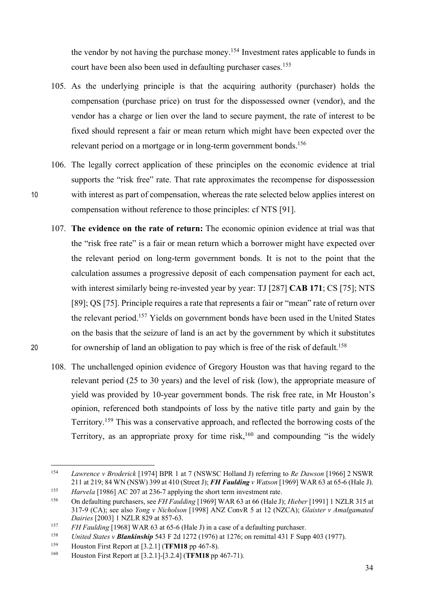the vendor by not having the purchase money.<sup>154</sup> Investment rates applicable to funds in court have been also been used in defaulting purchaser cases.<sup>155</sup>

- 105. As the underlying principle is that the acquiring authority (purchaser) holds the compensation (purchase price) on trust for the dispossessed owner (vendor), and the vendor has a charge or lien over the land to secure payment, the rate of interest to be fixed should represent a fair or mean return which might have been expected over the relevant period on a mortgage or in long-term government bonds.<sup>156</sup>
- 106. The legally correct application of these principles on the economic evidence at trial supports the "risk free" rate. That rate approximates the recompense for dispossession 10 with interest as part of compensation, whereas the rate selected below applies interest on compensation without reference to those principles: cf NTS [91].
- 107. **The evidence on the rate of return:** The economic opinion evidence at trial was that the "risk free rate" is a fair or mean return which a borrower might have expected over the relevant period on long-term government bonds. It is not to the point that the calculation assumes a progressive deposit of each compensation payment for each act, with interest similarly being re-invested year by year: TJ [287] **CAB 171**; CS [75]; NTS [89]; QS [75]. Principle requires a rate that represents a fair or "mean" rate of return over the relevant period. <sup>157</sup> Yields on government bonds have been used in the United States on the basis that the seizure of land is an act by the government by which it substitutes for ownership of land an obligation to pay which is free of the risk of default.158 20
	- 108. The unchallenged opinion evidence of Gregory Houston was that having regard to the relevant period (25 to 30 years) and the level of risk (low), the appropriate measure of yield was provided by 10-year government bonds. The risk free rate, in Mr Houston's opinion, referenced both standpoints of loss by the native title party and gain by the Territory.159 This was a conservative approach, and reflected the borrowing costs of the Territory, as an appropriate proxy for time risk,  $160$  and compounding "is the widely

 <sup>154</sup> *Lawrence v Broderick* [1974] BPR 1 at 7 (NSWSC Holland J) referring to *Re Dawson* [1966] <sup>2</sup> NSWR 211 at 219; 84 WN (NSW) 399 at 410 (Street J); *FH Faulding v Watson* [1969] WAR 63 at 65-6 (Hale J).

<sup>&</sup>lt;sup>155</sup> *Harvela* [1986] AC 207 at 236-7 applying the short term investment rate.<br><sup>156</sup> On defaulting purchasers, see *FH Faulding* [1969] WAR 63 at 66 (Hale J); *Hieber* [1991] 1 NZLR 315 at

<sup>317-9 (</sup>CA); see also *Yong v Nicholson* [1998] ANZ ConvR 5 at 12 (NZCA); *Glaister v Amalgamated Dairies* [2003] 1 NZLR 829 at 857-63.<br><sup>157</sup> *FH Faulding* [1968] WAR 63 at 65-6 (Hale J) in a case of a defaulting purchaser.

<sup>158</sup> *United States v Blankinship* 543 F 2d 1272 (1976) at 1276; on remittal 431 F Supp 403 (1977).

<sup>159</sup> Houston First Report at [3.2.1] (**TFM18** pp 467-8).

<sup>160</sup> Houston First Report at [3.2.1]-[3.2.4] (**TFM18** pp 467-71).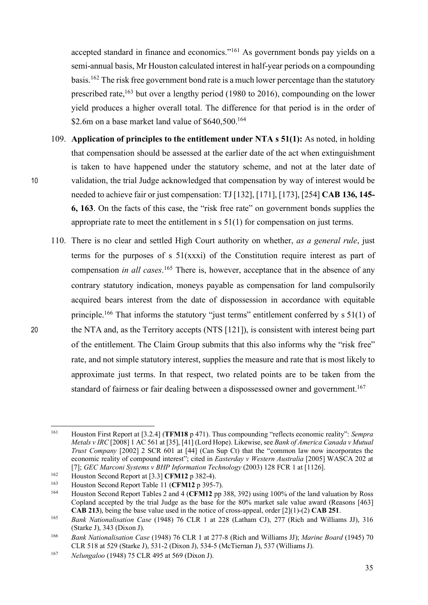accepted standard in finance and economics."161 As government bonds pay yields on a semi-annual basis, Mr Houston calculated interest in half-year periods on a compounding basis.162 The risk free government bond rate is a much lower percentage than the statutory prescribed rate,<sup>163</sup> but over a lengthy period (1980 to 2016), compounding on the lower yield produces a higher overall total. The difference for that period is in the order of \$2.6m on a base market land value of \$640,500.<sup>164</sup>

- 109. **Application of principles to the entitlement under NTA s 51(1):** As noted, in holding that compensation should be assessed at the earlier date of the act when extinguishment is taken to have happened under the statutory scheme, and not at the later date of 10 validation, the trial Judge acknowledged that compensation by way of interest would be needed to achieve fair or just compensation: TJ[132], [171], [173], [254] **CAB 136, 145- 6, 163**. On the facts of this case, the "risk free rate" on government bonds supplies the appropriate rate to meet the entitlement in s 51(1) for compensation on just terms.
- 110. There is no clear and settled High Court authority on whether, *as a general rule*, just terms for the purposes of s 51(xxxi) of the Constitution require interest as part of compensation *in all cases*. <sup>165</sup> There is, however, acceptance that in the absence of any contrary statutory indication, moneys payable as compensation for land compulsorily acquired bears interest from the date of dispossession in accordance with equitable principle.<sup>166</sup> That informs the statutory "just terms" entitlement conferred by s 51(1) of 20 the NTA and, as the Territory accepts (NTS [121]), is consistent with interest being part of the entitlement. The Claim Group submits that this also informs why the "risk free" rate, and not simple statutory interest, supplies the measure and rate that is most likely to approximate just terms. In that respect, two related points are to be taken from the standard of fairness or fair dealing between a dispossessed owner and government.<sup>167</sup>

 <sup>161</sup> Houston First Report at [3.2.4] (**TFM18** <sup>p</sup> 471). Thus compounding "reflects economic reality": *Sempra Metals v IRC* [2008] 1 AC 561 at [35], [41] (Lord Hope). Likewise, see *Bank of America Canada v Mutual Trust Company* [2002] 2 SCR 601 at [44] (Can Sup Ct) that the "common law now incorporates the economic reality of compound interest<sup>3</sup>; cited in *Easterday v Western Australia* [2005] WASCA 202 at [7]; *GEC Marconi Systems v BHP Information Technology* (2003) 128 FCR 1 at [1126].

<sup>162</sup> Houston Second Report at [3.3] **CFM12** p 382-4).

<sup>163</sup> Houston Second Report Table 11 (**CFM12** p 395-7).

<sup>164</sup> Houston Second Report Tables 2 and 4 (**CFM12** pp 388, 392) using 100% of the land valuation by Ross Copland accepted by the trial Judge as the base for the 80% market sale value award (Reasons [463] **CAB 213**), being the base value used in the notice of cross-appeal, order [2](1)-(2) **CAB 251**.

<sup>165</sup> *Bank Nationalisation Case* (1948) 76 CLR 1 at 228 (Latham CJ), 277 (Rich and Williams JJ), 316 (Starke J), 343 (Dixon J).

<sup>166</sup> *Bank Nationalisation Case* (1948) 76 CLR 1 at 277-8 (Rich and Williams JJ); *Marine Board* (1945) 70 CLR 518 at 529 (Starke J), 531-2 (Dixon J), 534-5 (McTiernan J), 537 (Williams J).

<sup>167</sup> *Nelungaloo* (1948) 75 CLR 495 at 569 (Dixon J).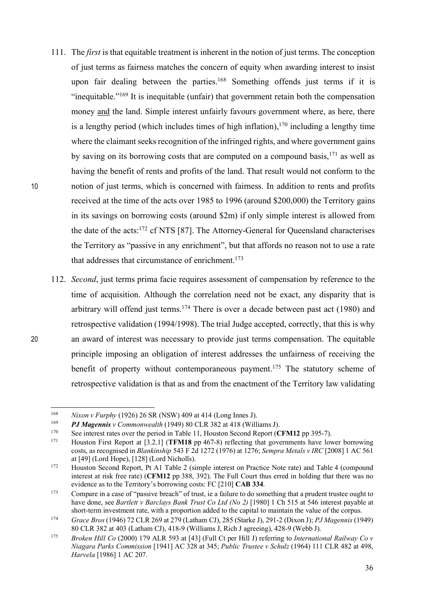- 111. The *first* is that equitable treatment is inherent in the notion of just terms. The conception of just terms as fairness matches the concern of equity when awarding interest to insist upon fair dealing between the parties.<sup>168</sup> Something offends just terms if it is "inequitable."169 It is inequitable (unfair) that government retain both the compensation money and the land. Simple interest unfairly favours government where, as here, there is a lengthy period (which includes times of high inflation),  $170$  including a lengthy time where the claimant seeks recognition of the infringed rights, and where government gains by saving on its borrowing costs that are computed on a compound basis,<sup>171</sup> as well as having the benefit of rents and profits of the land. That result would not conform to the 10 notion of just terms, which is concerned with fairness. In addition to rents and profits received at the time of the acts over 1985 to 1996 (around \$200,000) the Territory gains in its savings on borrowing costs (around \$2m) if only simple interest is allowed from the date of the acts:<sup>172</sup> cf NTS [87]. The Attorney-General for Queensland characterises the Territory as "passive in any enrichment", but that affords no reason not to use a rate that addresses that circumstance of enrichment. 173
- 112. *Second*, just terms prima facie requires assessment of compensation by reference to the time of acquisition. Although the correlation need not be exact, any disparity that is arbitrary will offend just terms. <sup>174</sup> There is over a decade between past act (1980) and retrospective validation (1994/1998). The trial Judge accepted, correctly, that this is why 20 an award of interest was necessary to provide just terms compensation. The equitable principle imposing an obligation of interest addresses the unfairness of receiving the benefit of property without contemporaneous payment.<sup>175</sup> The statutory scheme of retrospective validation is that as and from the enactment of the Territory law validating

 <sup>168</sup> *Nixon v Furphy* (1926) 26 SR (NSW) 409 at 414 (Long Innes J).

<sup>169</sup> *PJ Magennis v Commonwealth* (1949) 80 CLR 382 at 418 (Williams J).

<sup>170</sup> See interest rates over the period in Table 11, Houston Second Report (**CFM12** pp 395-7).

<sup>171</sup> Houston First Report at [3.2.1] (**TFM18** pp 467-8) reflecting that governments have lower borrowing costs, as recognised in *Blankinship* 543 F 2d 1272 (1976) at 1276; *Sempra Metals v IRC* [2008] 1 AC 561 at [49] (Lord Hope), [128] (Lord Nicholls).

<sup>172</sup> Houston Second Report, Pt A1 Table 2 (simple interest on Practice Note rate) and Table 4 (compound interest at risk free rate) (**CFM12** pp 388, 392). The Full Court thus erred in holding that there was no evidence as to the Territory's borrowing costs: FC [210] **CAB 334**.<br>
Compare in a case of "passive breach" of trust, ie a failure to do something that a prudent trustee ought to

have done, see *Bartlett v Barclays Bank Trust Co Ltd (No 2)* [1980] 1 Ch 515 at 546 interest payable at short-term investment rate, with a proportion added to the capital to maintain the value of the corpus.

<sup>174</sup> *Grace Bros* (1946) 72 CLR 269 at 279 (Latham CJ), 285 (Starke J), 291-2 (Dixon J); *PJ Magennis* (1949) 80 CLR 382 at 403 (Latham CJ), 418-9 (Williams J, Rich J agreeing), 428-9 (Webb J).

<sup>175</sup> *Broken Hill Co* (2000) 179 ALR 593 at [43] (Full Ct per Hill J) referring to *International Railway Co v Niagara Parks Commission* [1941] AC 328 at 345; *Public Trustee v Schulz* (1964) 111 CLR 482 at 498, *Harvela* [1986] 1 AC 207.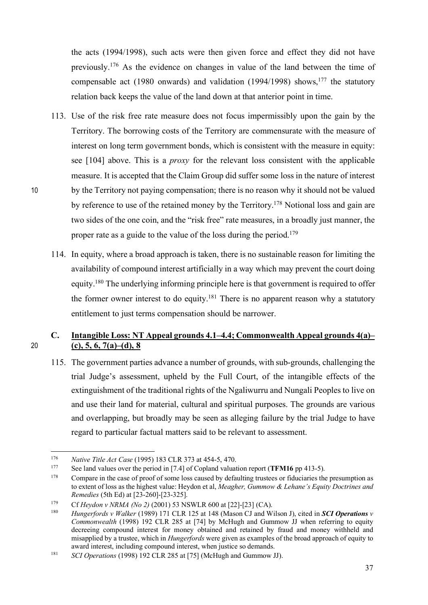the acts (1994/1998), such acts were then given force and effect they did not have previously.176 As the evidence on changes in value of the land between the time of compensable act (1980 onwards) and validation (1994/1998) shows,<sup>177</sup> the statutory relation back keeps the value of the land down at that anterior point in time.

- 113. Use of the risk free rate measure does not focus impermissibly upon the gain by the Territory. The borrowing costs of the Territory are commensurate with the measure of interest on long term government bonds, which is consistent with the measure in equity: see [104] above. This is a *proxy* for the relevant loss consistent with the applicable measure. It is accepted that the Claim Group did suffer some loss in the nature of interest 10 by the Territory not paying compensation; there is no reason why it should not be valued by reference to use of the retained money by the Territory.<sup>178</sup> Notional loss and gain are two sides of the one coin, and the "risk free" rate measures, in a broadly just manner, the proper rate as a guide to the value of the loss during the period.<sup>179</sup>
	- 114. In equity, where a broad approach is taken, there is no sustainable reason for limiting the availability of compound interest artificially in a way which may prevent the court doing equity.<sup>180</sup> The underlying informing principle here is that government is required to offer the former owner interest to do equity.<sup>181</sup> There is no apparent reason why a statutory entitlement to just terms compensation should be narrower.

# **C. Intangible Loss: NT Appeal grounds 4.1–4.4; Commonwealth Appeal grounds 4(a)–** 20 **(c), 5, 6, 7(a)–(d), 8**

115. The government parties advance a number of grounds, with sub-grounds, challenging the trial Judge's assessment, upheld by the Full Court, of the intangible effects of the extinguishment of the traditional rights of the Ngaliwurru and Nungali Peoples to live on and use their land for material, cultural and spiritual purposes. The grounds are various and overlapping, but broadly may be seen as alleging failure by the trial Judge to have regard to particular factual matters said to be relevant to assessment.

<sup>&</sup>lt;sup>176</sup> *Native Title Act Case* (1995) 183 CLR 373 at 454-5, 470.<br><sup>177</sup> See land values over the period in [7.4] of Copland valuation report (**TFM16** pp 413-5).

<sup>&</sup>lt;sup>178</sup> Compare in the case of proof of some loss caused by defaulting trustees or fiduciaries the presumption as to extent of loss as the highest value: Heydon et al, *Meagher, Gummow & Lehane's Equity Doctrines and Remedies* (5th Ed) at [23-260]-[23-325].

<sup>179</sup> Cf *Heydon v NRMA (No 2)* (2001) 53 NSWLR 600 at [22]-[23] (CA).

<sup>180</sup> *Hungerfords v Walker* (1989) 171 CLR 125 at 148 (Mason CJ and Wilson J), cited in *SCI Operations v Commonwealth* (1998) 192 CLR 285 at [74] by McHugh and Gummow JJ when referring to equity decreeing compound interest for money obtained and retained by fraud and money withheld and misapplied by a trustee, which in *Hungerfords* were given as examples of the broad approach of equity to award interest, including compound interest, when justice so demands.

<sup>181</sup> *SCI Operations* (1998) 192 CLR 285 at [75] (McHugh and Gummow JJ).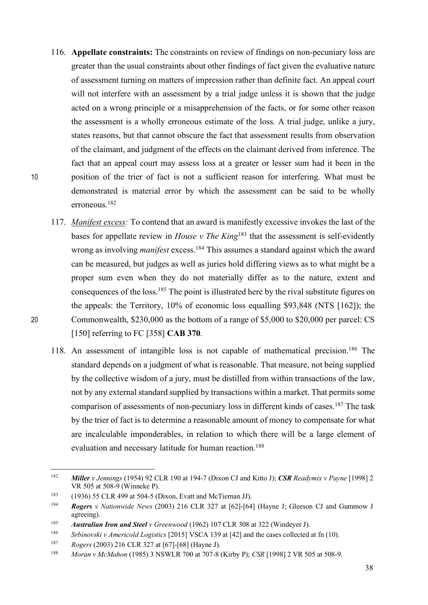- 116. **Appellate constraints:** The constraints on review of findings on non-pecuniary loss are greater than the usual constraints about other findings of fact given the evaluative nature of assessment turning on matters of impression rather than definite fact. An appeal court will not interfere with an assessment by a trial judge unless it is shown that the judge acted on a wrong principle or a misapprehension of the facts, or for some other reason the assessment is a wholly erroneous estimate of the loss. A trial judge, unlike a jury, states reasons, but that cannot obscure the fact that assessment results from observation of the claimant, and judgment of the effects on the claimant derived from inference. The fact that an appeal court may assess loss at a greater or lesser sum had it been in the 10 position of the trier of fact is not a sufficient reason for interfering. What must be demonstrated is material error by which the assessment can be said to be wholly erroneous.182
- 117. *Manifest excess:* To contend that an award is manifestly excessive invokes the last of the bases for appellate review in *House v The King*<sup>183</sup> that the assessment is self-evidently wrong as involving *manifest* excess.<sup>184</sup> This assumes a standard against which the award can be measured, but judges as well as juries hold differing views as to what might be a proper sum even when they do not materially differ as to the nature, extent and consequences of the loss.185 The point is illustrated here by the rival substitute figures on the appeals: the Territory, 10% of economic loss equalling \$93,848 (NTS [162]); the 20 Commonwealth, \$230,000 as the bottom of a range of \$5,000 to \$20,000 per parcel: CS [150] referring to FC [358] **CAB 370**.
	- 118. An assessment of intangible loss is not capable of mathematical precision.186 The standard depends on a judgment of what is reasonable. That measure, not being supplied by the collective wisdom of a jury, must be distilled from within transactions of the law, not by any external standard supplied by transactions within a market. That permits some comparison of assessments of non-pecuniary loss in different kinds of cases.<sup>187</sup> The task by the trier of fact is to determine a reasonable amount of money to compensate for what are incalculable imponderables, in relation to which there will be a large element of evaluation and necessary latitude for human reaction.<sup>188</sup>

 <sup>182</sup> *Miller v Jennings* (1954) 92 CLR 190 at 194-7 (Dixon CJ and Kitto J); *CSR Readymix v Payne* [1998] 2 VR 505 at 508-9 (Winneke P).

<sup>183</sup> (1936) 55 CLR 499 at 504-5 (Dixon, Evatt and McTiernan JJ).

<sup>184</sup> *Rogers v Nationwide News* (2003) 216 CLR 327 at [62]-[64] (Hayne J; Gleeson CJ and Gummow J agreeing).

<sup>185</sup> *Australian Iron and Steel v Greenwood* (1962) 107 CLR 308 at 322 (Windeyer J).

<sup>186</sup> *Srbinovski v Americold Logistics* [2015] VSCA 139 at [42] and the cases collected at fn (10).

<sup>187</sup> *Rogers* (2003) 216 CLR 327 at [67]-[68] (Hayne J).

<sup>188</sup> *Moran v McMahon* (1985) 3 NSWLR 700 at 707-8 (Kirby P); *CSR* [1998] 2 VR 505 at 508-9.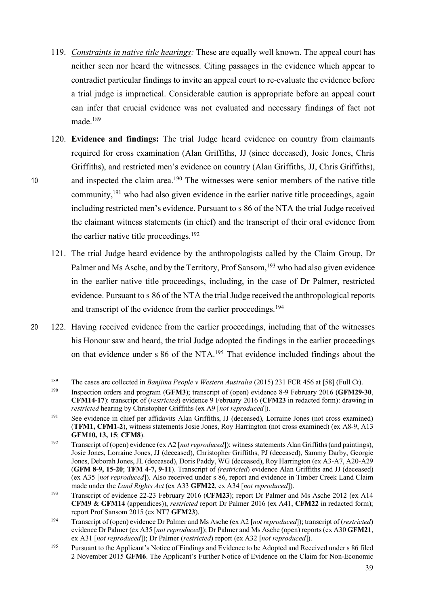- 119. *Constraints in native title hearings:* These are equally well known. The appeal court has neither seen nor heard the witnesses. Citing passages in the evidence which appear to contradict particular findings to invite an appeal court to re-evaluate the evidence before a trial judge is impractical. Considerable caution is appropriate before an appeal court can infer that crucial evidence was not evaluated and necessary findings of fact not made.189
- 120. **Evidence and findings:** The trial Judge heard evidence on country from claimants required for cross examination (Alan Griffiths, JJ (since deceased), Josie Jones, Chris Griffiths), and restricted men's evidence on country (Alan Griffiths, JJ, Chris Griffiths), 10 and inspected the claim area.<sup>190</sup> The witnesses were senior members of the native title community,<sup>191</sup> who had also given evidence in the earlier native title proceedings, again including restricted men's evidence. Pursuant to s 86 of the NTA the trial Judge received the claimant witness statements (in chief) and the transcript of their oral evidence from the earlier native title proceedings.<sup>192</sup>
	- 121. The trial Judge heard evidence by the anthropologists called by the Claim Group, Dr Palmer and Ms Asche, and by the Territory, Prof Sansom,<sup>193</sup> who had also given evidence in the earlier native title proceedings, including, in the case of Dr Palmer, restricted evidence. Pursuant to s 86 of the NTA the trial Judge received the anthropological reports and transcript of the evidence from the earlier proceedings. 194
- 20 122. Having received evidence from the earlier proceedings, including that of the witnesses his Honour saw and heard, the trial Judge adopted the findings in the earlier proceedings on that evidence under s 86 of the NTA.195 That evidence included findings about the

 <sup>189</sup> The cases are collected in *Banjima People v Western Australia* (2015) 231 FCR 456 at [58] (Full Ct).

<sup>190</sup> Inspection orders and program (**GFM3**); transcript of (open) evidence 8-9 February 2016 (**GFM29-30**, **CFM14-17**): transcript of (*restricted*) evidence 9 February 2016 (**CFM23** in redacted form): drawing in *restricted* hearing by Christopher Griffiths (ex A9 [*not reproduced*]).

<sup>191</sup> See evidence in chief per affidavits Alan Griffiths, JJ (deceased), Lorraine Jones (not cross examined) (**TFM1, CFM1-2**), witness statements Josie Jones, Roy Harrington (not cross examined) (ex A8-9, A13 **GFM10, 13, 15**; **CFM8**).

<sup>192</sup> Transcript of (open) evidence (ex A2 [*not reproduced*]); witness statements Alan Griffiths (and paintings), Josie Jones, Lorraine Jones, JJ (deceased), Christopher Griffiths, PJ (deceased), Sammy Darby, Georgie Jones, Deborah Jones, JL (deceased), Doris Paddy, WG (deceased), Roy Harrington (ex A3-A7, A20-A29 (**GFM 8-9, 15-20**; **TFM 4-7, 9-11**). Transcript of *(restricted*) evidence Alan Griffiths and JJ (deceased) (ex A35 [*not reproduced*]). Also received under s 86, report and evidence in Timber Creek Land Claim made under the *Land Rights Act* (ex A33 **GFM22**, ex A34 [*not reproduced*]).

<sup>193</sup> Transcript of evidence 22-23 February 2016 (**CFM23**); report Dr Palmer and Ms Asche 2012 (ex A14 **CFM9** & **GFM14** (appendices)), *restricted* report Dr Palmer 2016 (ex A41, **CFM22** in redacted form); report Prof Sansom 2015 (ex NT7 **GFM23**). 194 Transcript of (open) evidence Dr Palmer and Ms Asche (ex A2 **[***not reproduced*]); transcript of (*restricted*)

evidence Dr Palmer (ex A35 [*not reproduced*]); Dr Palmer and Ms Asche (open) reports (ex A30 **GFM21**, ex A31 [*not reproduced*]); Dr Palmer (*restricted*) report (ex A32 [*not reproduced*]).

<sup>195</sup> Pursuant to the Applicant's Notice of Findings and Evidence to be Adopted and Received under s 86 filed 2 November 2015 **GFM6**. The Applicant's Further Notice of Evidence on the Claim for Non-Economic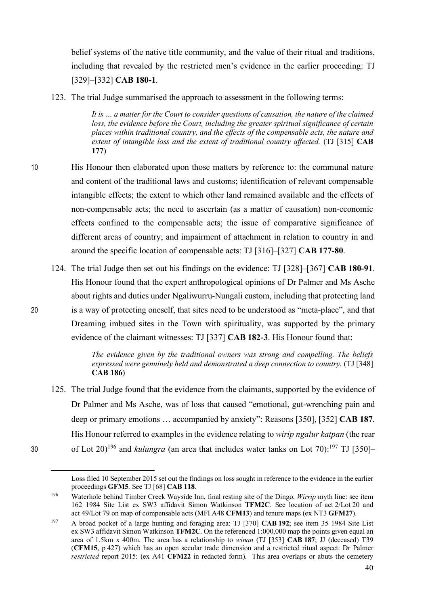belief systems of the native title community, and the value of their ritual and traditions, including that revealed by the restricted men's evidence in the earlier proceeding: TJ [329]–[332] **CAB 180-1**.

123. The trial Judge summarised the approach to assessment in the following terms:

*It is … a matter for the Court to consider questions of causation, the nature of the claimed loss, the evidence before the Court, including the greater spiritual significance of certain places within traditional country, and the effects of the compensable acts, the nature and extent of intangible loss and the extent of traditional country affected.* (TJ [315] **CAB 177**)

- 10 His Honour then elaborated upon those matters by reference to: the communal nature and content of the traditional laws and customs; identification of relevant compensable intangible effects; the extent to which other land remained available and the effects of non-compensable acts; the need to ascertain (as a matter of causation) non-economic effects confined to the compensable acts; the issue of comparative significance of different areas of country; and impairment of attachment in relation to country in and around the specific location of compensable acts: TJ [316]–[327] **CAB 177-80**.
- 124. The trial Judge then set out his findings on the evidence: TJ [328]–[367] **CAB 180-91**. His Honour found that the expert anthropological opinions of Dr Palmer and Ms Asche about rights and duties under Ngaliwurru-Nungali custom, including that protecting land 20 is a way of protecting oneself, that sites need to be understood as "meta-place", and that Dreaming imbued sites in the Town with spirituality, was supported by the primary evidence of the claimant witnesses: TJ [337] **CAB 182-3**. His Honour found that:

*The evidence given by the traditional owners was strong and compelling. The beliefs expressed were genuinely held and demonstrated a deep connection to country.* (TJ [348] **CAB 186**)

125. The trial Judge found that the evidence from the claimants, supported by the evidence of Dr Palmer and Ms Asche, was of loss that caused "emotional, gut-wrenching pain and deep or primary emotions … accompanied by anxiety": Reasons [350], [352] **CAB 187**. His Honour referred to examples in the evidence relating to *wirip ngalur katpan* (the rear 30 of Lot  $20^{196}$  and *kulungra* (an area that includes water tanks on Lot  $70$ ):<sup>197</sup> TJ [350]-

 $\overline{a}$ 

Loss filed 10 September 2015 set out the findings on loss sought in reference to the evidence in the earlier proceedings **GFM5**. See TJ [68] **CAB 118**.

<sup>196</sup> Waterhole behind Timber Creek Wayside Inn, final resting site of the Dingo, *Wirrip* myth line: see item 162 1984 Site List ex SW3 affidavit Simon Watkinson **TFM2C**. See location of act 2/Lot 20 and act 49/Lot 79 on map of compensable acts (MFI A48 **CFM13**) and tenure maps (ex NT3 **GFM27**).

<sup>197</sup> A broad pocket of a large hunting and foraging area: TJ [370] **CAB 192**; see item 35 1984 Site List ex SW3 affidavit Simon Watkinson **TFM2C**. On the referenced 1:000,000 map the points given equal an area of 1.5km x 400m. The area has a relationship to *winan* (TJ [353] **CAB 187**; JJ (deceased) T39 (**CFM15**, p 427) which has an open secular trade dimension and a restricted ritual aspect: Dr Palmer *restricted* report 2015: (ex A41 **CFM22** in redacted form). This area overlaps or abuts the cemetery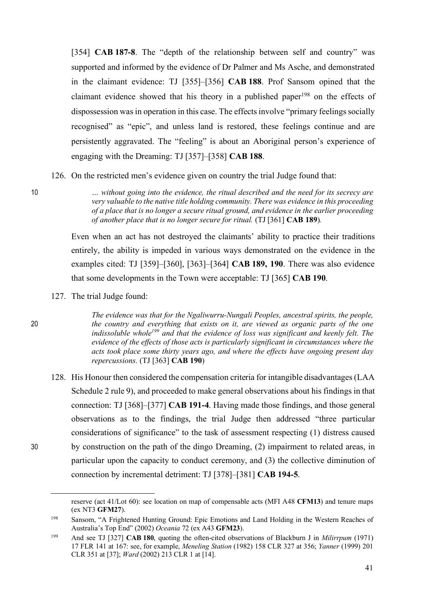[354] **CAB 187-8**. The "depth of the relationship between self and country" was supported and informed by the evidence of Dr Palmer and Ms Asche, and demonstrated in the claimant evidence: TJ [355]–[356] **CAB 188**. Prof Sansom opined that the claimant evidence showed that his theory in a published paper<sup>198</sup> on the effects of dispossession was in operation in this case. The effects involve "primary feelings socially recognised" as "epic", and unless land is restored, these feelings continue and are persistently aggravated. The "feeling" is about an Aboriginal person's experience of engaging with the Dreaming: TJ [357]–[358] **CAB 188**.

126. On the restricted men's evidence given on country the trial Judge found that:

10 *… without going into the evidence, the ritual described and the need for its secrecy are very valuable to the native title holding community. There was evidence in this proceeding of a place that is no longer a secure ritual ground, and evidence in the earlier proceeding of another place that is no longer secure for ritual.* (TJ [361] **CAB 189**)*.* 

> Even when an act has not destroyed the claimants' ability to practice their traditions entirely, the ability is impeded in various ways demonstrated on the evidence in the examples cited: TJ [359]–[360], [363]–[364] **CAB 189, 190**. There was also evidence that some developments in the Town were acceptable: TJ [365] **CAB 190**.

127. The trial Judge found:

*The evidence was that for the Ngaliwurru-Nungali Peoples, ancestral spirits, the people,*  20 *the country and everything that exists on it, are viewed as organic parts of the one indissoluble whole199 and that the evidence of loss was significant and keenly felt. The evidence of the effects of those acts is particularly significant in circumstances where the acts took place some thirty years ago, and where the effects have ongoing present day repercussions.* (TJ [363] **CAB 190**)

128. His Honour then considered the compensation criteria for intangible disadvantages (LAA Schedule 2 rule 9), and proceeded to make general observations about his findings in that connection: TJ [368]–[377] **CAB 191-4**. Having made those findings, and those general observations as to the findings, the trial Judge then addressed "three particular considerations of significance" to the task of assessment respecting (1) distress caused 30 by construction on the path of the dingo Dreaming, (2) impairment to related areas, in particular upon the capacity to conduct ceremony, and (3) the collective diminution of connection by incremental detriment: TJ [378]–[381] **CAB 194-5**.

 $\overline{a}$ 

reserve (act 41/Lot 60): see location on map of compensable acts (MFI A48 **CFM13**) and tenure maps (ex NT3 **GFM27**).

<sup>198</sup> Sansom, "A Frightened Hunting Ground: Epic Emotions and Land Holding in the Western Reaches of Australia's Top End" (2002) *Oceania* 72 (ex A43 **GFM23**).

<sup>199</sup> And see TJ [327] **CAB 180**, quoting the often-cited observations of Blackburn J in *Milirrpum* (1971) 17 FLR 141 at 167: see, for example, *Meneling Station* (1982) 158 CLR 327 at 356; *Yanner* (1999) 201 CLR 351 at [37]; *Ward* (2002) 213 CLR 1 at [14].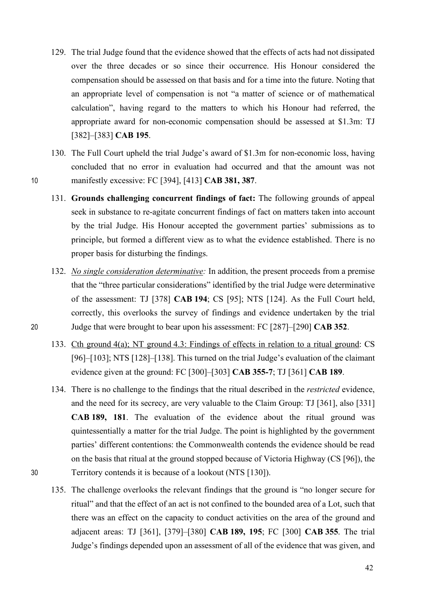- 129. The trial Judge found that the evidence showed that the effects of acts had not dissipated over the three decades or so since their occurrence. His Honour considered the compensation should be assessed on that basis and for a time into the future. Noting that an appropriate level of compensation is not "a matter of science or of mathematical calculation", having regard to the matters to which his Honour had referred, the appropriate award for non-economic compensation should be assessed at \$1.3m: TJ [382]–[383] **CAB 195**.
- 130. The Full Court upheld the trial Judge's award of \$1.3m for non-economic loss, having concluded that no error in evaluation had occurred and that the amount was not 10 manifestly excessive: FC [394], [413] **CAB 381, 387**.
	- 131. **Grounds challenging concurrent findings of fact:** The following grounds of appeal seek in substance to re-agitate concurrent findings of fact on matters taken into account by the trial Judge. His Honour accepted the government parties' submissions as to principle, but formed a different view as to what the evidence established. There is no proper basis for disturbing the findings.
- 132. *No single consideration determinative:* In addition, the present proceeds from a premise that the "three particular considerations" identified by the trial Judge were determinative of the assessment: TJ [378] **CAB 194**; CS [95]; NTS [124]. As the Full Court held, correctly, this overlooks the survey of findings and evidence undertaken by the trial 20 Judge that were brought to bear upon his assessment: FC [287]–[290] **CAB 352**.
	- 133. Cth ground 4(a); NT ground 4.3: Findings of effects in relation to a ritual ground: CS [96]–[103]; NTS [128]–[138]. This turned on the trial Judge's evaluation of the claimant evidence given at the ground: FC [300]–[303] **CAB 355-7**; TJ [361] **CAB 189**.
- 134. There is no challenge to the findings that the ritual described in the *restricted* evidence, and the need for its secrecy, are very valuable to the Claim Group: TJ [361], also [331] **CAB 189, 181**. The evaluation of the evidence about the ritual ground was quintessentially a matter for the trial Judge. The point is highlighted by the government parties' different contentions: the Commonwealth contends the evidence should be read on the basis that ritual at the ground stopped because of Victoria Highway (CS [96]), the 30 Territory contends it is because of a lookout (NTS [130]).
	- 135. The challenge overlooks the relevant findings that the ground is "no longer secure for ritual" and that the effect of an act is not confined to the bounded area of a Lot, such that there was an effect on the capacity to conduct activities on the area of the ground and adjacent areas: TJ [361], [379]–[380] **CAB 189, 195**; FC [300] **CAB 355**. The trial Judge's findings depended upon an assessment of all of the evidence that was given, and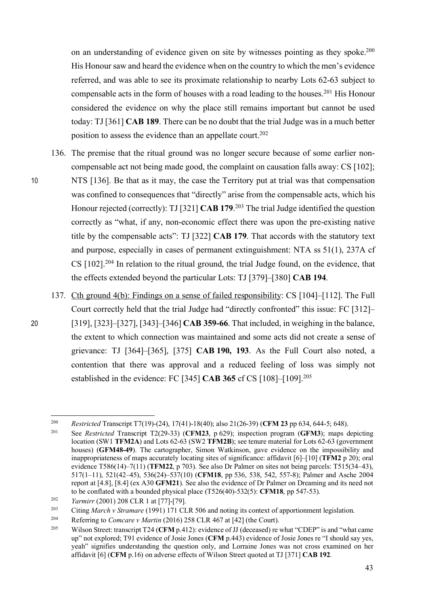on an understanding of evidence given on site by witnesses pointing as they spoke.<sup>200</sup> His Honour saw and heard the evidence when on the country to which the men's evidence referred, and was able to see its proximate relationship to nearby Lots 62-63 subject to compensable acts in the form of houses with a road leading to the houses. <sup>201</sup> His Honour considered the evidence on why the place still remains important but cannot be used today: TJ [361] **CAB 189**. There can be no doubt that the trial Judge was in a much better position to assess the evidence than an appellate court. 202

- 136. The premise that the ritual ground was no longer secure because of some earlier noncompensable act not being made good, the complaint on causation falls away: CS [102]; 10 NTS [136]. Be that as it may, the case the Territory put at trial was that compensation was confined to consequences that "directly" arise from the compensable acts, which his Honour rejected (correctly): TJ [321] **CAB 179**. <sup>203</sup> The trial Judge identified the question correctly as "what, if any, non-economic effect there was upon the pre-existing native title by the compensable acts": TJ [322] **CAB 179**. That accords with the statutory text and purpose, especially in cases of permanent extinguishment: NTA ss 51(1), 237A cf CS [102].<sup>204</sup> In relation to the ritual ground, the trial Judge found, on the evidence, that the effects extended beyond the particular Lots: TJ [379]–[380] **CAB 194**.
	- 137. Cth ground 4(b): Findings on a sense of failed responsibility: CS [104]–[112]. The Full Court correctly held that the trial Judge had "directly confronted" this issue: FC [312]–
- 20 [319], [323]–[327], [343]–[346] **CAB 359-66**. That included, in weighing in the balance, the extent to which connection was maintained and some acts did not create a sense of grievance: TJ [364]–[365], [375] **CAB 190, 193**. As the Full Court also noted, a contention that there was approval and a reduced feeling of loss was simply not established in the evidence: FC [345] **CAB 365** cf CS [108]–[109]. 205

 <sup>200</sup> *Restricted* Transcript T7(19)-(24), 17(41)-18(40); also 21(26-39) (**CFM <sup>23</sup>** pp 634, 644-5; 648).

<sup>201</sup> See *Restricted* Transcript T2(29-33) (**CFM23**, p 629); inspection program (**GFM3**); maps depicting location (SW1 **TFM2A**) and Lots 62-63 (SW2 **TFM2B**); see tenure material for Lots 62-63 (government houses) (**GFM48-49**). The cartographer, Simon Watkinson, gave evidence on the impossibility and inappropriateness of maps accurately locating sites of significance: affidavit [6]–[10] (**TFM2** p 20); oral evidence T586(14)–7(11) (**TFM22**, p 703). See also Dr Palmer on sites not being parcels: T515(34–43), 517(1–11), 521(42–45), 536(24)–537(10) (**CFM18**, pp 536, 538, 542, 557-8); Palmer and Asche 2004 report at [4.8], [8.4] (ex A30 **GFM21**). See also the evidence of Dr Palmer on Dreaming and its need not to be conflated with a bounded physical place (T526(40)-532(5): **CFM18**, pp 547-53).

<sup>202</sup> *Yarmirr* (2001) 208 CLR 1 at [77]-[79].

<sup>203</sup> Citing *March v Stramare* (1991) 171 CLR 506 and noting its context of apportionment legislation.

<sup>204</sup> Referring to *Comcare v Martin* (2016) 258 CLR 467 at [42] (the Court).

<sup>205</sup> Wilson Street: transcript T24 (**CFM** p.412): evidence of JJ (deceased) re what "CDEP" is and "what came up" not explored; T91 evidence of Josie Jones (**CFM** p.443) evidence of Josie Jones re "I should say yes, yeah" signifies understanding the question only, and Lorraine Jones was not cross examined on her affidavit [6] (**CFM** p.16) on adverse effects of Wilson Street quoted at TJ [371] **CAB 192**.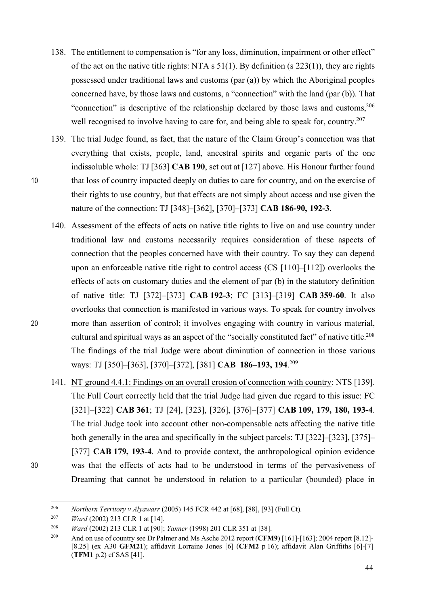- 138. The entitlement to compensation is "for any loss, diminution, impairment or other effect" of the act on the native title rights: NTA s 51(1). By definition (s 223(1)), they are rights possessed under traditional laws and customs (par (a)) by which the Aboriginal peoples concerned have, by those laws and customs, a "connection" with the land (par (b)). That "connection" is descriptive of the relationship declared by those laws and customs,<sup>206</sup> well recognised to involve having to care for, and being able to speak for, country.<sup>207</sup>
- 139. The trial Judge found, as fact, that the nature of the Claim Group's connection was that everything that exists, people, land, ancestral spirits and organic parts of the one indissoluble whole: TJ [363] **CAB 190**, set out at [127] above. His Honour further found 10 that loss of country impacted deeply on duties to care for country, and on the exercise of their rights to use country, but that effects are not simply about access and use given the nature of the connection: TJ [348]–[362], [370]–[373] **CAB 186-90, 192-3**.
- 140. Assessment of the effects of acts on native title rights to live on and use country under traditional law and customs necessarily requires consideration of these aspects of connection that the peoples concerned have with their country. To say they can depend upon an enforceable native title right to control access (CS [110]–[112]) overlooks the effects of acts on customary duties and the element of par (b) in the statutory definition of native title: TJ [372]–[373] **CAB 192-3**; FC [313]–[319] **CAB 359-60**. It also overlooks that connection is manifested in various ways. To speak for country involves 20 more than assertion of control; it involves engaging with country in various material, cultural and spiritual ways as an aspect of the "socially constituted fact" of native title.<sup>208</sup> The findings of the trial Judge were about diminution of connection in those various ways: TJ [350]–[363], [370]–[372], [381] **CAB 186–193, 194**. 209
- 141. NT ground 4.4.1: Findings on an overall erosion of connection with country: NTS [139]. The Full Court correctly held that the trial Judge had given due regard to this issue: FC [321]–[322] **CAB 361**; TJ [24], [323], [326], [376]–[377] **CAB 109, 179, 180, 193-4**. The trial Judge took into account other non-compensable acts affecting the native title both generally in the area and specifically in the subject parcels: TJ [322]–[323], [375]– [377] **CAB 179, 193-4**. And to provide context, the anthropological opinion evidence 30 was that the effects of acts had to be understood in terms of the pervasiveness of Dreaming that cannot be understood in relation to a particular (bounded) place in

 <sup>206</sup> *Northern Territory v Alyawarr* (2005) 145 FCR 442 at [68], [88], [93] (Full Ct).

<sup>207</sup> *Ward* (2002) 213 CLR 1 at [14].

<sup>208</sup> *Ward* (2002) 213 CLR 1 at [90]; *Yanner* (1998) 201 CLR 351 at [38].

<sup>209</sup> And on use of country see Dr Palmer and Ms Asche 2012 report (**CFM9**) [161]-[163]; 2004 report [8.12]- [8.25] (ex A30 **GFM21**); affidavit Lorraine Jones [6] (**CFM2** p 16); affidavit Alan Griffiths [6]-[7] (**TFM1** p.2) cf SAS [41].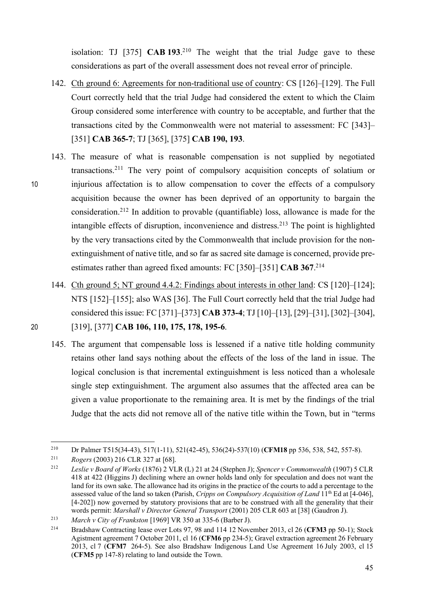isolation: TJ [375] **CAB 193**. <sup>210</sup> The weight that the trial Judge gave to these considerations as part of the overall assessment does not reveal error of principle.

- 142. Cth ground 6: Agreements for non-traditional use of country: CS [126]–[129]. The Full Court correctly held that the trial Judge had considered the extent to which the Claim Group considered some interference with country to be acceptable, and further that the transactions cited by the Commonwealth were not material to assessment: FC [343]– [351] **CAB 365-7**; TJ [365], [375] **CAB 190, 193**.
- 143. The measure of what is reasonable compensation is not supplied by negotiated transactions.211 The very point of compulsory acquisition concepts of solatium or 10 injurious affectation is to allow compensation to cover the effects of a compulsory acquisition because the owner has been deprived of an opportunity to bargain the consideration. <sup>212</sup> In addition to provable (quantifiable) loss, allowance is made for the intangible effects of disruption, inconvenience and distress. <sup>213</sup> The point is highlighted by the very transactions cited by the Commonwealth that include provision for the nonextinguishment of native title, and so far as sacred site damage is concerned, provide preestimates rather than agreed fixed amounts: FC [350]–[351] **CAB 367**. 214
- 144. Cth ground 5; NT ground 4.4.2: Findings about interests in other land: CS [120]–[124]; NTS [152]–[155]; also WAS [36]. The Full Court correctly held that the trial Judge had considered this issue: FC [371]–[373] **CAB 373-4**; TJ [10]–[13], [29]–[31], [302]–[304], 20 [319], [377] **CAB 106, 110, 175, 178, 195-6**.
	- 145. The argument that compensable loss is lessened if a native title holding community retains other land says nothing about the effects of the loss of the land in issue. The logical conclusion is that incremental extinguishment is less noticed than a wholesale single step extinguishment. The argument also assumes that the affected area can be given a value proportionate to the remaining area. It is met by the findings of the trial Judge that the acts did not remove all of the native title within the Town, but in "terms

 <sup>210</sup> Dr Palmer T515(34-43), 517(1-11), 521(42-45), 536(24)-537(10) (**CFM18** pp 536, 538, 542, 557-8).

<sup>211</sup> *Rogers* (2003) 216 CLR 327 at [68].

<sup>212</sup> *Leslie v Board of Works* (1876) 2 VLR (L) 21 at 24 (Stephen J); *Spencer v Commonwealth* (1907) 5 CLR 418 at 422 (Higgins J) declining where an owner holds land only for speculation and does not want the land for its own sake. The allowance had its origins in the practice of the courts to add a percentage to the assessed value of the land so taken (Parish, *Cripps on Compulsory Acquisition of Land* 11th Ed at [4-046], [4-202]) now governed by statutory provisions that are to be construed with all the generality that their words permit: *Marshall v Director General Transport* (2001) 205 CLR 603 at [38] (Gaudron J).

<sup>213</sup> *March v City of Frankston* [1969] VR 350 at 335-6 (Barber J).

<sup>214</sup> Bradshaw Contracting lease over Lots 97, 98 and 114 12 November 2013, cl 26 (**CFM3** pp 50-1); Stock Agistment agreement 7 October 2011, cl 16 (**CFM6** pp 234-5); Gravel extraction agreement 26 February 2013, cl 7 (**CFM7** 264-5). See also Bradshaw Indigenous Land Use Agreement 16 July 2003, cl 15 (**CFM5** pp 147-8) relating to land outside the Town.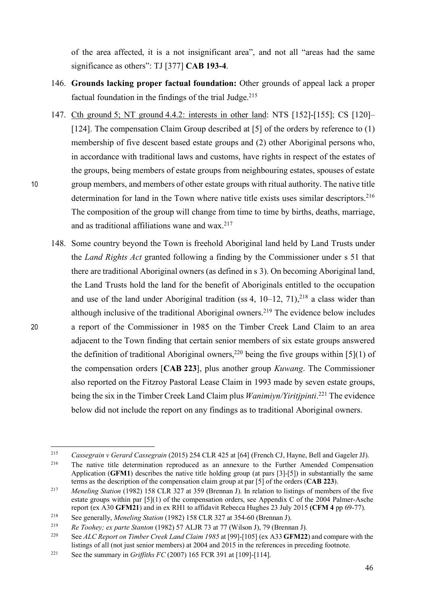of the area affected, it is a not insignificant area", and not all "areas had the same significance as others": TJ [377] **CAB 193-4**.

- 146. **Grounds lacking proper factual foundation:** Other grounds of appeal lack a proper factual foundation in the findings of the trial Judge. $215$
- 147. Cth ground 5; NT ground 4.4.2: interests in other land: NTS [152]-[155]; CS [120]– [124]. The compensation Claim Group described at [5] of the orders by reference to (1) membership of five descent based estate groups and (2) other Aboriginal persons who, in accordance with traditional laws and customs, have rights in respect of the estates of the groups, being members of estate groups from neighbouring estates, spouses of estate 10 group members, and members of other estate groups with ritual authority. The native title determination for land in the Town where native title exists uses similar descriptors.<sup>216</sup> The composition of the group will change from time to time by births, deaths, marriage, and as traditional affiliations wane and wax. 217
- 148. Some country beyond the Town is freehold Aboriginal land held by Land Trusts under the *Land Rights Act* granted following a finding by the Commissioner under s 51 that there are traditional Aboriginal owners (as defined in s 3). On becoming Aboriginal land, the Land Trusts hold the land for the benefit of Aboriginals entitled to the occupation and use of the land under Aboriginal tradition (ss 4,  $10-12$ ,  $71$ ),<sup>218</sup> a class wider than although inclusive of the traditional Aboriginal owners.<sup>219</sup> The evidence below includes 20 a report of the Commissioner in 1985 on the Timber Creek Land Claim to an area adjacent to the Town finding that certain senior members of six estate groups answered the definition of traditional Aboriginal owners,<sup>220</sup> being the five groups within [5](1) of the compensation orders [**CAB 223**], plus another group *Kuwang*. The Commissioner also reported on the Fitzroy Pastoral Lease Claim in 1993 made by seven estate groups, being the six in the Timber Creek Land Claim plus *Wanimiyn/Yiritjpinti*. <sup>221</sup> The evidence below did not include the report on any findings as to traditional Aboriginal owners.

 <sup>215</sup> *Cassegrain v Gerard Cassegrain* (2015) 254 CLR 425 at [64] (French CJ, Hayne, Bell and Gageler JJ).  $216$  The native title determination reproduced as an annexure to the Further Amended Compensation Application (**GFM1**) describes the native title holding group (at pars [3]-[5]) in substantially the same terms as the description of the compensation claim group at par [5] of the orders (**CAB 223**).

<sup>&</sup>lt;sup>217</sup> *Meneling Station* (1982) 158 CLR 327 at 359 (Brennan J). In relation to listings of members of the five estate groups within par [5](1) of the compensation orders, see Appendix C of the 2004 Palmer-Asche report (ex A30 **GFM21**) and in ex RH1 to affidavit Rebecca Hughes 23 July 2015 **(CFM 4** pp 69-77).

<sup>218</sup> See generally, *Meneling Station* (1982) 158 CLR 327 at 354-60 (Brennan J).

<sup>219</sup> *Re Toohey; ex parte Stanton* (1982) 57 ALJR 73 at 77 (Wilson J), 79 (Brennan J).

<sup>220</sup> See *ALC Report on Timber Creek Land Claim 1985* at [99]-[105] (ex A33 **GFM22**) and compare with the listings of all (not just senior members) at 2004 and 2015 in the references in preceding footnote.

<sup>221</sup> See the summary in *Griffiths FC* (2007) 165 FCR 391 at [109]-[114].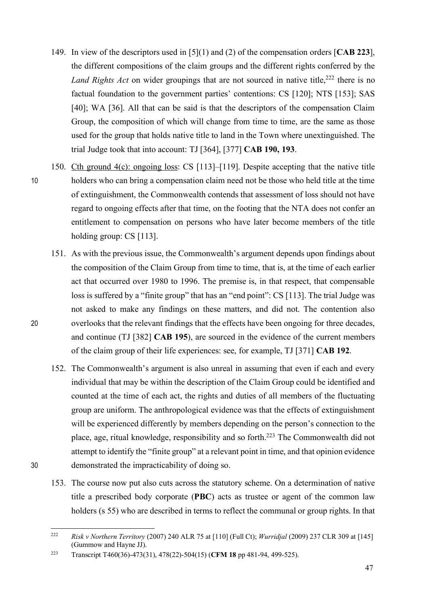- 149. In view of the descriptors used in [5](1) and (2) of the compensation orders [**CAB 223**], the different compositions of the claim groups and the different rights conferred by the Land Rights Act on wider groupings that are not sourced in native title,<sup>222</sup> there is no factual foundation to the government parties' contentions: CS [120]; NTS [153]; SAS [40]; WA [36]. All that can be said is that the descriptors of the compensation Claim Group, the composition of which will change from time to time, are the same as those used for the group that holds native title to land in the Town where unextinguished. The trial Judge took that into account: TJ [364], [377] **CAB 190, 193**.
- 150. Cth ground 4(c): ongoing loss: CS [113]–[119]. Despite accepting that the native title 10 holders who can bring a compensation claim need not be those who held title at the time of extinguishment, the Commonwealth contends that assessment of loss should not have regard to ongoing effects after that time, on the footing that the NTA does not confer an entitlement to compensation on persons who have later become members of the title holding group: CS [113].
- 151. As with the previous issue, the Commonwealth's argument depends upon findings about the composition of the Claim Group from time to time, that is, at the time of each earlier act that occurred over 1980 to 1996. The premise is, in that respect, that compensable loss is suffered by a "finite group" that has an "end point": CS [113]. The trial Judge was not asked to make any findings on these matters, and did not. The contention also 20 overlooks that the relevant findings that the effects have been ongoing for three decades, and continue (TJ [382] **CAB 195**), are sourced in the evidence of the current members of the claim group of their life experiences: see, for example, TJ [371] **CAB 192**.
- 152. The Commonwealth's argument is also unreal in assuming that even if each and every individual that may be within the description of the Claim Group could be identified and counted at the time of each act, the rights and duties of all members of the fluctuating group are uniform. The anthropological evidence was that the effects of extinguishment will be experienced differently by members depending on the person's connection to the place, age, ritual knowledge, responsibility and so forth.223 The Commonwealth did not attempt to identify the "finite group" at a relevant point in time, and that opinion evidence 30 demonstrated the impracticability of doing so.
	- 153. The course now put also cuts across the statutory scheme. On a determination of native title a prescribed body corporate (**PBC**) acts as trustee or agent of the common law holders (s 55) who are described in terms to reflect the communal or group rights. In that

 <sup>222</sup> *Risk v Northern Territory* (2007) 240 ALR 75 at [110] (Full Ct); *Wurridjal* (2009) 237 CLR 309 at [145] (Gummow and Hayne JJ).

<sup>223</sup> Transcript T460(36)-473(31), 478(22)-504(15) (**CFM 18** pp 481-94, 499-525).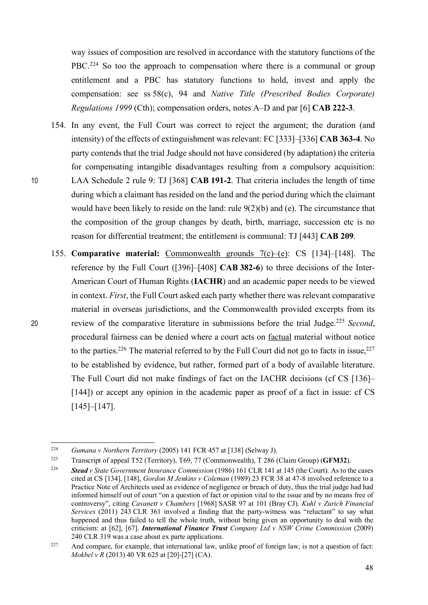way issues of composition are resolved in accordance with the statutory functions of the PBC.<sup>224</sup> So too the approach to compensation where there is a communal or group entitlement and a PBC has statutory functions to hold, invest and apply the compensation: see ss 58(c), 94 and *Native Title (Prescribed Bodies Corporate) Regulations 1999* (Cth); compensation orders, notes A–D and par [6] **CAB 222-3**.

- 154. In any event, the Full Court was correct to reject the argument; the duration (and intensity) of the effects of extinguishment was relevant: FC [333]–[336] **CAB 363-4**. No party contends that the trial Judge should not have considered (by adaptation) the criteria for compensating intangible disadvantages resulting from a compulsory acquisition: 10 LAA Schedule 2 rule 9: TJ [368] **CAB 191-2**. That criteria includes the length of time during which a claimant has resided on the land and the period during which the claimant would have been likely to reside on the land: rule 9(2)(b) and (e). The circumstance that the composition of the group changes by death, birth, marriage, succession etc is no reason for differential treatment; the entitlement is communal: TJ [443] **CAB 209**.
- 155. **Comparative material:** Commonwealth grounds 7(c)–(e): CS [134]–[148]. The reference by the Full Court ([396]–[408] **CAB 382-6**) to three decisions of the Inter-American Court of Human Rights (**IACHR**) and an academic paper needs to be viewed in context. *First*, the Full Court asked each party whether there was relevant comparative material in overseas jurisdictions, and the Commonwealth provided excerpts from its review of the comparative literature in submissions before the trial Judge.<sup>225</sup> Second, procedural fairness can be denied where a court acts on factual material without notice to the parties.<sup>226</sup> The material referred to by the Full Court did not go to facts in issue,<sup>227</sup> to be established by evidence, but rather, formed part of a body of available literature. The Full Court did not make findings of fact on the IACHR decisions (cf CS [136]– [144]) or accept any opinion in the academic paper as proof of a fact in issue: cf CS [145]–[147].

 <sup>224</sup> *Gumana v Northern Territory* (2005) 141 FCR 457 at [138] (Selway J).

<sup>225</sup> Transcript of appeal T52 (Territory), T69, 77 (Commonwealth), T 286 (Claim Group) (**GFM32**).

<sup>226</sup> *Stead v State Government Insurance Commission* (1986) 161 CLR 141 at 145 (the Court). As to the cases cited at CS [134], [148], *Gordon M Jenkins v Coleman* (1989) 23 FCR 38 at 47-8 involved reference to a Practice Note of Architects used as evidence of negligence or breach of duty, thus the trial judge had had informed himself out of court "on a question of fact or opinion vital to the issue and by no means free of controversy", citing *Cavanett v Chambers* [1968] SASR 97 at 101 (Bray CJ). *Kuhl v Zurich Financial Services* (2011) 243 CLR 361 involved a finding that the party-witness was "reluctant" to say what happened and thus failed to tell the whole truth, without being given an opportunity to deal with the criticism: at [62], [67]. *International Finance Trust Company Ltd v NSW Crime Commission* (2009) 240 CLR 319 was a case about ex parte applications.

<sup>&</sup>lt;sup>227</sup> And compare, for example, that international law, unlike proof of foreign law, is not a question of fact: *Mokbel v R* (2013) 40 VR 625 at [20]-[27] (CA).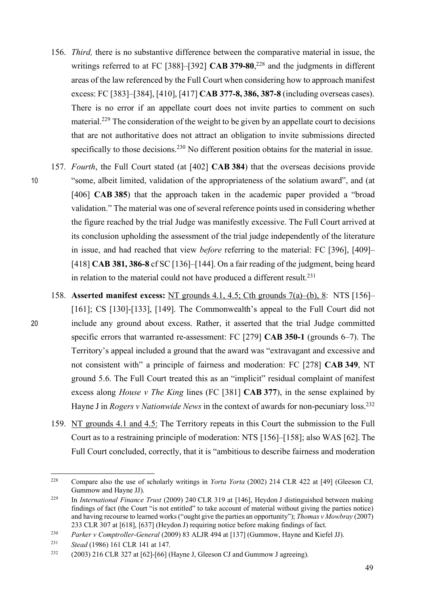- 156. *Third,* there is no substantive difference between the comparative material in issue, the writings referred to at FC [388]–[392] **CAB 379-80**, <sup>228</sup> and the judgments in different areas of the law referenced by the Full Court when considering how to approach manifest excess: FC [383]–[384], [410], [417] **CAB 377-8, 386, 387-8** (including overseas cases). There is no error if an appellate court does not invite parties to comment on such material.<sup>229</sup> The consideration of the weight to be given by an appellate court to decisions that are not authoritative does not attract an obligation to invite submissions directed specifically to those decisions.<sup>230</sup> No different position obtains for the material in issue.
- 157. *Fourth*, the Full Court stated (at [402] **CAB 384**) that the overseas decisions provide 10 "some, albeit limited, validation of the appropriateness of the solatium award", and (at [406] **CAB 385**) that the approach taken in the academic paper provided a "broad validation." The material was one of several reference points used in considering whether the figure reached by the trial Judge was manifestly excessive. The Full Court arrived at its conclusion upholding the assessment of the trial judge independently of the literature in issue, and had reached that view *before* referring to the material: FC [396], [409]– [418] **CAB 381, 386-8** cf SC [136]–[144]. On a fair reading of the judgment, being heard in relation to the material could not have produced a different result.<sup>231</sup>
- 158. **Asserted manifest excess:** NT grounds 4.1, 4.5; Cth grounds 7(a)–(b), 8: NTS [156]– [161]; CS [130]-[133], [149]. The Commonwealth's appeal to the Full Court did not 20 include any ground about excess. Rather, it asserted that the trial Judge committed specific errors that warranted re-assessment: FC [279] **CAB 350-1** (grounds 6–7). The Territory's appeal included a ground that the award was "extravagant and excessive and not consistent with" a principle of fairness and moderation: FC [278] **CAB 349**, NT ground 5.6. The Full Court treated this as an "implicit" residual complaint of manifest excess along *House v The King* lines (FC [381] **CAB 377**), in the sense explained by Hayne J in *Rogers v Nationwide News* in the context of awards for non-pecuniary loss.<sup>232</sup>
	- 159. NT grounds 4.1 and 4.5: The Territory repeats in this Court the submission to the Full Court as to a restraining principle of moderation: NTS [156]–[158]; also WAS [62]. The Full Court concluded, correctly, that it is "ambitious to describe fairness and moderation

 <sup>228</sup> Compare also the use of scholarly writings in *Yorta Yorta* (2002) 214 CLR 422 at [49] (Gleeson CJ, Gummow and Hayne JJ).

<sup>229</sup> In *International Finance Trust* (2009) 240 CLR 319 at [146], Heydon J distinguished between making findings of fact (the Court "is not entitled" to take account of material without giving the parties notice) and having recourse to learned works ("ought give the parties an opportunity"); *Thomas v Mowbray* (2007) 233 CLR 307 at [618], [637] (Heydon J) requiring notice before making findings of fact.

<sup>230</sup> *Parker v Comptroller-General* (2009) 83 ALJR 494 at [137] (Gummow, Hayne and Kiefel JJ).

<sup>231</sup> *Stead* (1986) 161 CLR 141 at 147.

<sup>&</sup>lt;sup>232</sup> (2003) 216 CLR 327 at [62]-[66] (Hayne J, Gleeson CJ and Gummow J agreeing).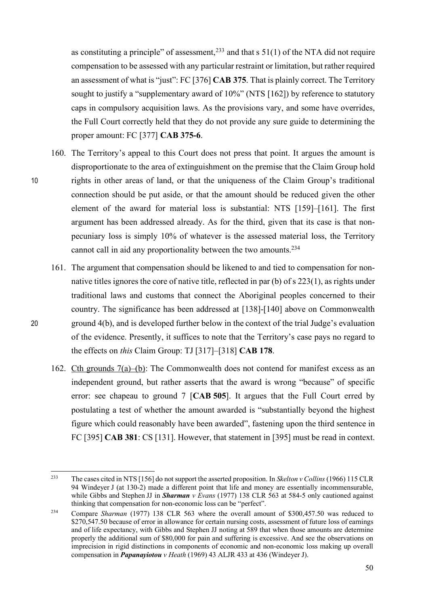as constituting a principle" of assessment,  $233$  and that s 51(1) of the NTA did not require compensation to be assessed with any particular restraint or limitation, but rather required an assessment of what is "just": FC [376] **CAB 375**. That is plainly correct. The Territory sought to justify a "supplementary award of 10%" (NTS [162]) by reference to statutory caps in compulsory acquisition laws. As the provisions vary, and some have overrides, the Full Court correctly held that they do not provide any sure guide to determining the proper amount: FC [377] **CAB 375-6**.

- 160. The Territory's appeal to this Court does not press that point. It argues the amount is disproportionate to the area of extinguishment on the premise that the Claim Group hold 10 rights in other areas of land, or that the uniqueness of the Claim Group's traditional connection should be put aside, or that the amount should be reduced given the other element of the award for material loss is substantial: NTS [159]–[161]. The first argument has been addressed already. As for the third, given that its case is that nonpecuniary loss is simply 10% of whatever is the assessed material loss, the Territory cannot call in aid any proportionality between the two amounts.<sup>234</sup>
- 161. The argument that compensation should be likened to and tied to compensation for nonnative titles ignores the core of native title, reflected in par (b) of s 223(1), as rights under traditional laws and customs that connect the Aboriginal peoples concerned to their country. The significance has been addressed at [138]-[140] above on Commonwealth 20 ground 4(b), and is developed further below in the context of the trial Judge's evaluation of the evidence. Presently, it suffices to note that the Territory's case pays no regard to the effects on *this* Claim Group: TJ [317]–[318] **CAB 178**.
	- 162. Cth grounds 7(a)–(b): The Commonwealth does not contend for manifest excess as an independent ground, but rather asserts that the award is wrong "because" of specific error: see chapeau to ground 7 [**CAB 505**]. It argues that the Full Court erred by postulating a test of whether the amount awarded is "substantially beyond the highest figure which could reasonably have been awarded", fastening upon the third sentence in FC [395] **CAB 381**: CS [131]. However, that statement in [395] must be read in context.

 <sup>233</sup> The cases cited in NTS [156] do not support the asserted proposition. In *Skelton v Collins* (1966) 115 CLR 94 Windeyer J (at 130-2) made a different point that life and money are essentially incommensurable, while Gibbs and Stephen JJ in *Sharman v Evans* (1977) 138 CLR 563 at 584-5 only cautioned against thinking that compensation for non-economic loss can be "perfect".

<sup>234</sup> Compare *Sharman* (1977) 138 CLR 563 where the overall amount of \$300,457.50 was reduced to \$270,547.50 because of error in allowance for certain nursing costs, assessment of future loss of earnings and of life expectancy, with Gibbs and Stephen JJ noting at 589 that when those amounts are determine properly the additional sum of \$80,000 for pain and suffering is excessive. And see the observations on imprecision in rigid distinctions in components of economic and non-economic loss making up overall compensation in *Papanayiotou v Heath* (1969) 43 ALJR 433 at 436 (Windeyer J).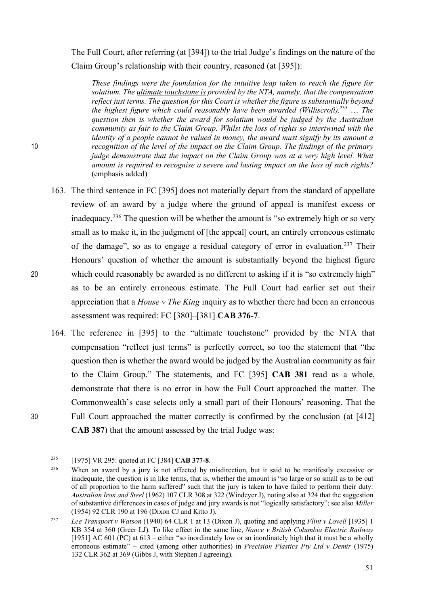The Full Court, after referring (at [394]) to the trial Judge's findings on the nature of the Claim Group's relationship with their country, reasoned (at [395]):

*These findings were the foundation for the intuitive leap taken to reach the figure for solatium. The ultimate touchstone is provided by the NTA, namely, that the compensation reflect just terms. The question for this Court is whether the figure is substantially beyond the highest figure which could reasonably have been awarded (Williscroft).*<sup>235</sup> … *The question then is whether the award for solatium would be judged by the Australian community as fair to the Claim Group*. *Whilst the loss of rights so intertwined with the identity of a people cannot be valued in money, the award must signify by its amount a*  10 *recognition of the level of the impact on the Claim Group. The findings of the primary judge demonstrate that the impact on the Claim Group was at a very high level. What amount is required to recognise a severe and lasting impact on the loss of such rights?* (emphasis added)

- 163. The third sentence in FC [395] does not materially depart from the standard of appellate review of an award by a judge where the ground of appeal is manifest excess or inadequacy.236 The question will be whether the amount is "so extremely high or so very small as to make it, in the judgment of [the appeal] court, an entirely erroneous estimate of the damage", so as to engage a residual category of error in evaluation.237 Their Honours' question of whether the amount is substantially beyond the highest figure 20 which could reasonably be awarded is no different to asking if it is "so extremely high" as to be an entirely erroneous estimate. The Full Court had earlier set out their appreciation that a *House v The King* inquiry as to whether there had been an erroneous assessment was required: FC [380]–[381] **CAB 376-7**.
- 164. The reference in [395] to the "ultimate touchstone" provided by the NTA that compensation "reflect just terms" is perfectly correct, so too the statement that "the question then is whether the award would be judged by the Australian community as fair to the Claim Group." The statements, and FC [395] **CAB 381** read as a whole, demonstrate that there is no error in how the Full Court approached the matter. The Commonwealth's case selects only a small part of their Honours' reasoning. That the 30 Full Court approached the matter correctly is confirmed by the conclusion (at [412] **CAB 387**) that the amount assessed by the trial Judge was:

 <sup>235</sup> [1975] VR 295: quoted at FC [384] **CAB 377-8**.

<sup>236</sup> When an award by a jury is not affected by misdirection, but it said to be manifestly excessive or inadequate, the question is in like terms, that is, whether the amount is "so large or so small as to be out of all proportion to the harm suffered" such that the jury is taken to have failed to perform their duty: *Australian Iron and Steel* (1962) 107 CLR 308 at 322 (Windeyer J), noting also at 324 that the suggestion of substantive differences in cases of judge and jury awards is not "logically satisfactory"; see also *Miller*  (1954) 92 CLR 190 at 196 (Dixon CJ and Kitto J).

<sup>237</sup> *Lee Transport v Watson* (1940) 64 CLR 1 at 13 (Dixon J), quoting and applying *Flint v Lovell* [1935] 1 KB 354 at 360 (Greer LJ). To like effect in the same line, *Nance v British Columbia Electric Railway* [1951] AC 601 (PC) at  $613$  – either "so inordinately low or so inordinately high that it must be a wholly erroneous estimate" – cited (among other authorities) in *Precision Plastics Pty Ltd v Demir* (1975) 132 CLR 362 at 369 (Gibbs J, with Stephen J agreeing).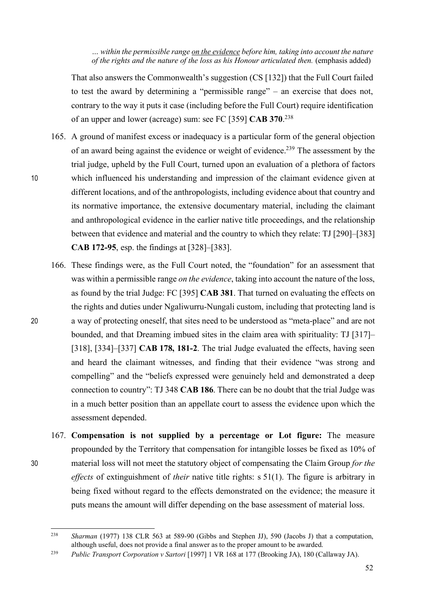*… within the permissible range on the evidence before him, taking into account the nature of the rights and the nature of the loss as his Honour articulated then.* (emphasis added)

That also answers the Commonwealth's suggestion (CS [132]) that the Full Court failed to test the award by determining a "permissible range" – an exercise that does not, contrary to the way it puts it case (including before the Full Court) require identification of an upper and lower (acreage) sum: see FC [359] **CAB 370**. 238

- 165. A ground of manifest excess or inadequacy is a particular form of the general objection of an award being against the evidence or weight of evidence.239 The assessment by the trial judge, upheld by the Full Court, turned upon an evaluation of a plethora of factors 10 which influenced his understanding and impression of the claimant evidence given at different locations, and of the anthropologists, including evidence about that country and its normative importance, the extensive documentary material, including the claimant and anthropological evidence in the earlier native title proceedings, and the relationship between that evidence and material and the country to which they relate: TJ [290]–[383] **CAB 172-95**, esp. the findings at [328]–[383].
- 166. These findings were, as the Full Court noted, the "foundation" for an assessment that was within a permissible range *on the evidence*, taking into account the nature of the loss, as found by the trial Judge: FC [395] **CAB 381**. That turned on evaluating the effects on the rights and duties under Ngaliwurru-Nungali custom, including that protecting land is 20 a way of protecting oneself, that sites need to be understood as "meta-place" and are not bounded, and that Dreaming imbued sites in the claim area with spirituality: TJ [317]– [318], [334]–[337] **CAB 178, 181-2**. The trial Judge evaluated the effects, having seen and heard the claimant witnesses, and finding that their evidence "was strong and compelling" and the "beliefs expressed were genuinely held and demonstrated a deep connection to country": TJ 348 **CAB 186**. There can be no doubt that the trial Judge was in a much better position than an appellate court to assess the evidence upon which the assessment depended.
- 167. **Compensation is not supplied by a percentage or Lot figure:** The measure propounded by the Territory that compensation for intangible losses be fixed as 10% of 30 material loss will not meet the statutory object of compensating the Claim Group *for the effects* of extinguishment of *their* native title rights: s 51(1). The figure is arbitrary in being fixed without regard to the effects demonstrated on the evidence; the measure it puts means the amount will differ depending on the base assessment of material loss.

 <sup>238</sup> *Sharman* (1977) 138 CLR 563 at 589-90 (Gibbs and Stephen JJ), 590 (Jacobs J) that a computation, although useful, does not provide a final answer as to the proper amount to be awarded.

<sup>239</sup> *Public Transport Corporation v Sartori* [1997] 1 VR 168 at 177 (Brooking JA), 180 (Callaway JA).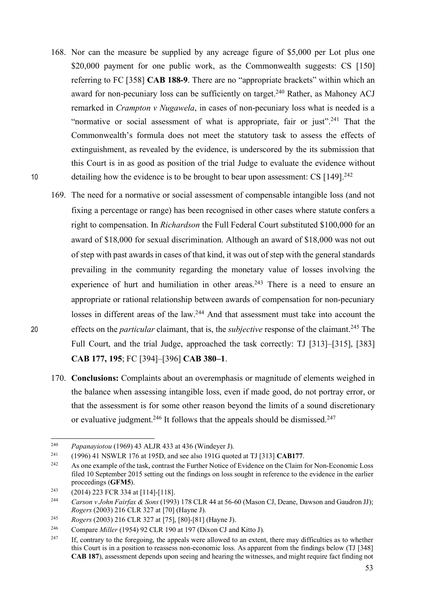- 168. Nor can the measure be supplied by any acreage figure of \$5,000 per Lot plus one \$20,000 payment for one public work, as the Commonwealth suggests: CS [150] referring to FC [358] **CAB 188-9**. There are no "appropriate brackets" within which an award for non-pecuniary loss can be sufficiently on target.<sup>240</sup> Rather, as Mahoney ACJ remarked in *Crampton v Nugawela*, in cases of non-pecuniary loss what is needed is a "normative or social assessment of what is appropriate, fair or just".<sup>241</sup> That the Commonwealth's formula does not meet the statutory task to assess the effects of extinguishment, as revealed by the evidence, is underscored by the its submission that this Court is in as good as position of the trial Judge to evaluate the evidence without 10 detailing how the evidence is to be brought to bear upon assessment: CS [149].<sup>242</sup>
- 169. The need for a normative or social assessment of compensable intangible loss (and not fixing a percentage or range) has been recognised in other cases where statute confers a right to compensation. In *Richardson* the Full Federal Court substituted \$100,000 for an award of \$18,000 for sexual discrimination. Although an award of \$18,000 was not out of step with past awards in cases of that kind, it was out of step with the general standards prevailing in the community regarding the monetary value of losses involving the experience of hurt and humiliation in other areas.<sup>243</sup> There is a need to ensure an appropriate or rational relationship between awards of compensation for non-pecuniary losses in different areas of the law.<sup>244</sup> And that assessment must take into account the effects on the *particular* claimant, that is, the *subjective* response of the claimant.<sup>245</sup> The Full Court, and the trial Judge, approached the task correctly: TJ [313]–[315], [383] **CAB 177, 195**; FC [394]–[396] **CAB 380–1**.
	- 170. **Conclusions:** Complaints about an overemphasis or magnitude of elements weighed in the balance when assessing intangible loss, even if made good, do not portray error, or that the assessment is for some other reason beyond the limits of a sound discretionary or evaluative judgment.<sup>246</sup> It follows that the appeals should be dismissed.<sup>247</sup>

 <sup>240</sup> *Papanayiotou* (1969) 43 ALJR 433 at 436 (Windeyer J).

<sup>241</sup> (1996) 41 NSWLR 176 at 195D, and see also 191G quoted at TJ [313] **CAB177**.

<sup>&</sup>lt;sup>242</sup> As one example of the task, contrast the Further Notice of Evidence on the Claim for Non-Economic Loss filed 10 September 2015 setting out the findings on loss sought in reference to the evidence in the earlier proceedings (**GFM5**).

 $^{243}$  (2014) 223 FCR 334 at [114]-[118].

<sup>244</sup> *Carson v John Fairfax & Sons* (1993) 178 CLR 44 at 56-60 (Mason CJ, Deane, Dawson and Gaudron JJ); *Rogers* (2003) 216 CLR 327 at [70] (Hayne J).

<sup>245</sup> *Rogers* (2003) 216 CLR 327 at [75], [80]-[81] (Hayne J).

<sup>246</sup> Compare *Miller* (1954) 92 CLR 190 at 197 (Dixon CJ and Kitto J).

<sup>&</sup>lt;sup>247</sup> If, contrary to the foregoing, the appeals were allowed to an extent, there may difficulties as to whether this Court is in a position to reassess non-economic loss. As apparent from the findings below (TJ [348] **CAB 187**), assessment depends upon seeing and hearing the witnesses, and might require fact finding not